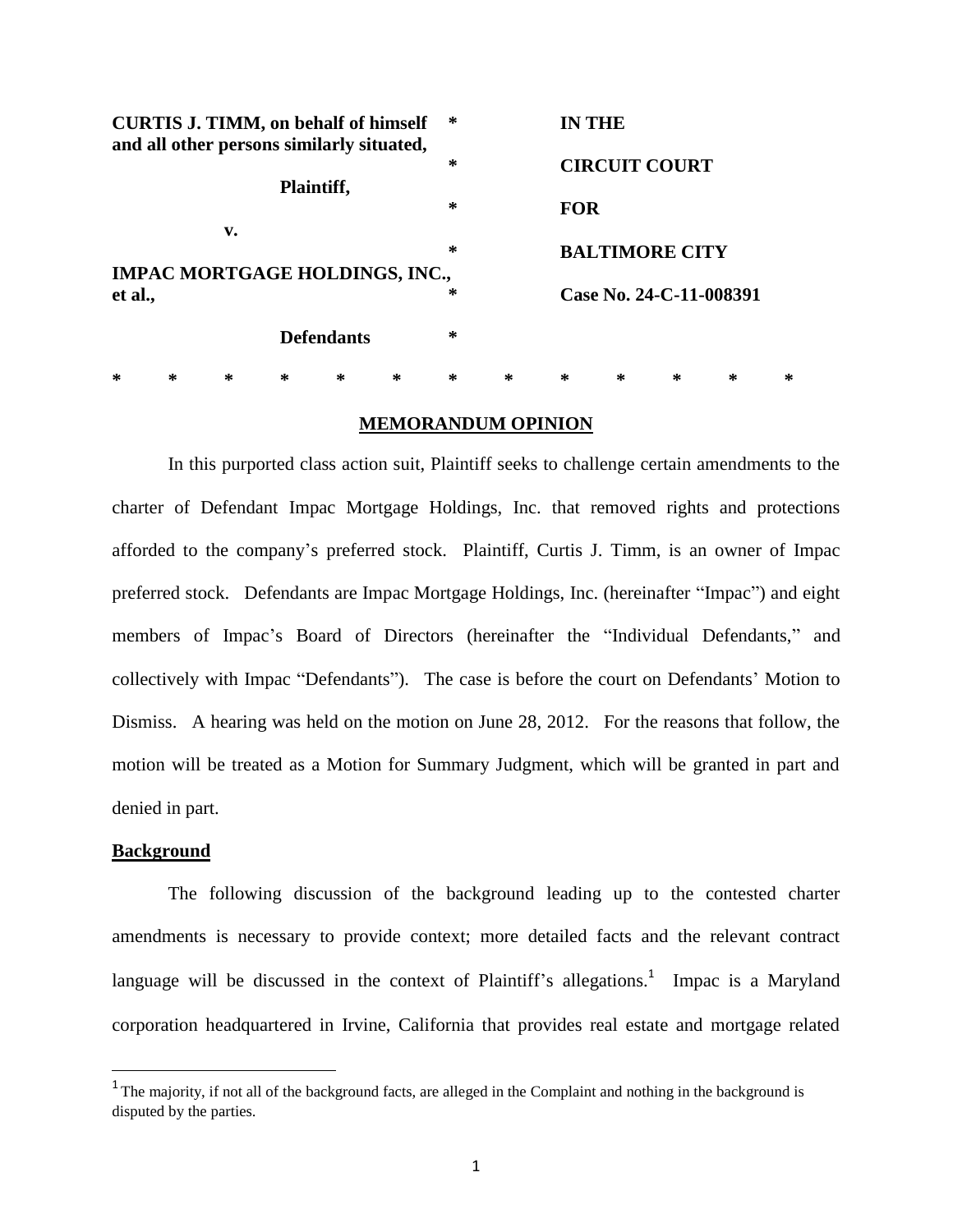| <b>CURTIS J. TIMM, on behalf of himself</b><br>and all other persons similarly situated,<br>Plaintiff, |                   |   |   |                                       | ∗ |   | <b>IN THE</b>           |                       |   |   |   |   |
|--------------------------------------------------------------------------------------------------------|-------------------|---|---|---------------------------------------|---|---|-------------------------|-----------------------|---|---|---|---|
|                                                                                                        |                   |   |   |                                       |   | ∗ |                         | <b>CIRCUIT COURT</b>  |   |   |   |   |
|                                                                                                        |                   |   |   |                                       |   | ∗ | <b>FOR</b>              |                       |   |   |   |   |
| v.                                                                                                     |                   |   |   |                                       |   |   |                         |                       |   |   |   |   |
|                                                                                                        |                   |   |   |                                       |   | ∗ |                         | <b>BALTIMORE CITY</b> |   |   |   |   |
|                                                                                                        |                   |   |   | <b>IMPAC MORTGAGE HOLDINGS, INC.,</b> |   |   |                         |                       |   |   |   |   |
| et al.,                                                                                                |                   |   |   |                                       |   | ∗ | Case No. 24-C-11-008391 |                       |   |   |   |   |
|                                                                                                        | <b>Defendants</b> |   |   |                                       |   | ∗ |                         |                       |   |   |   |   |
| ∗                                                                                                      | ∗                 | ∗ | ∗ | ∗                                     | ∗ | ∗ | ∗                       | ∗                     | ∗ | ∗ | ∗ | ∗ |

# **MEMORANDUM OPINION**

In this purported class action suit, Plaintiff seeks to challenge certain amendments to the charter of Defendant Impac Mortgage Holdings, Inc. that removed rights and protections afforded to the company"s preferred stock. Plaintiff, Curtis J. Timm, is an owner of Impac preferred stock. Defendants are Impac Mortgage Holdings, Inc. (hereinafter "Impac") and eight members of Impac"s Board of Directors (hereinafter the "Individual Defendants," and collectively with Impac "Defendants"). The case is before the court on Defendants" Motion to Dismiss. A hearing was held on the motion on June 28, 2012. For the reasons that follow, the motion will be treated as a Motion for Summary Judgment, which will be granted in part and denied in part.

# **Background**

 $\overline{a}$ 

The following discussion of the background leading up to the contested charter amendments is necessary to provide context; more detailed facts and the relevant contract language will be discussed in the context of Plaintiff's allegations.<sup>1</sup> Impac is a Maryland corporation headquartered in Irvine, California that provides real estate and mortgage related

<sup>&</sup>lt;sup>1</sup> The majority, if not all of the background facts, are alleged in the Complaint and nothing in the background is disputed by the parties.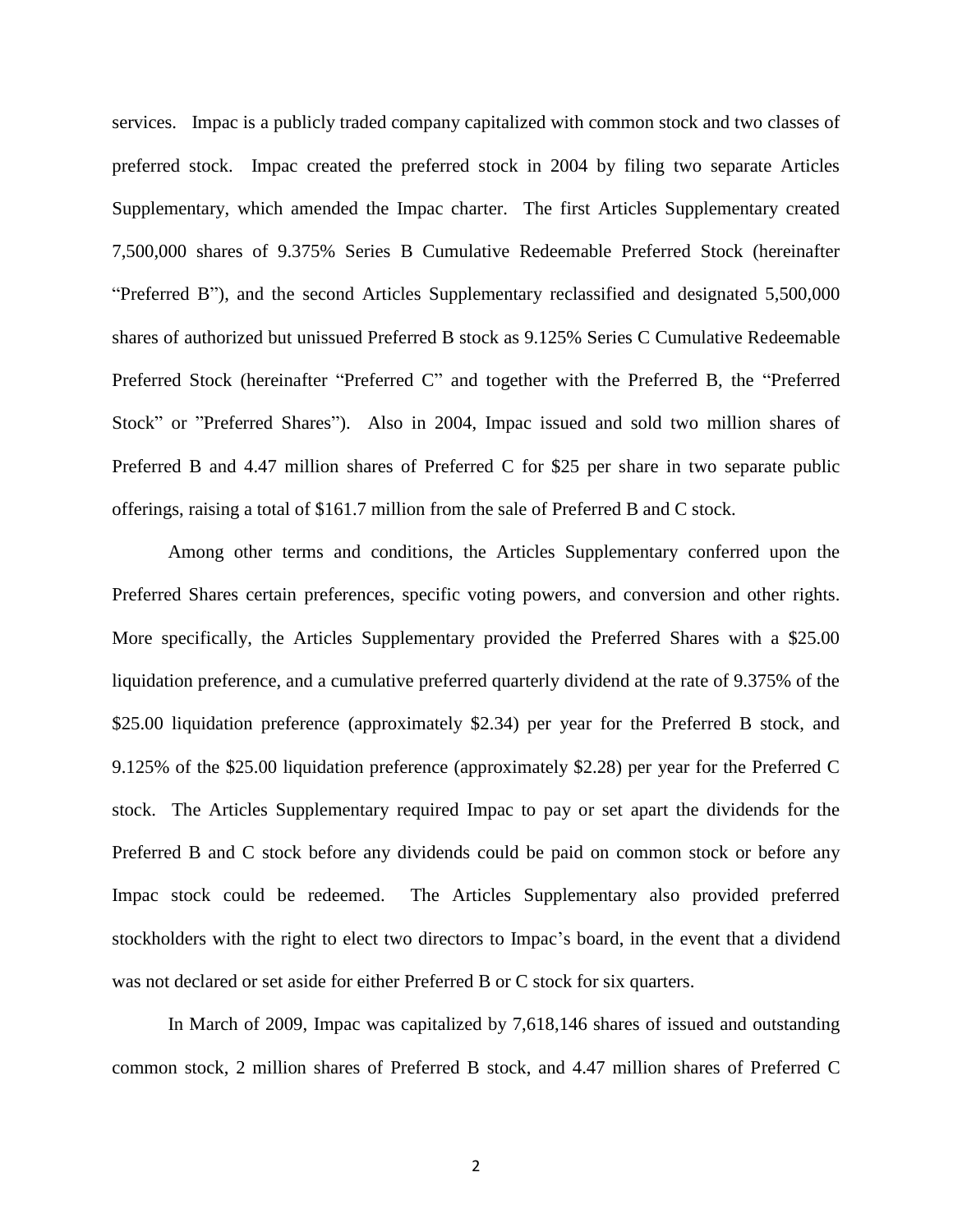services. Impac is a publicly traded company capitalized with common stock and two classes of preferred stock. Impac created the preferred stock in 2004 by filing two separate Articles Supplementary, which amended the Impac charter. The first Articles Supplementary created 7,500,000 shares of 9.375% Series B Cumulative Redeemable Preferred Stock (hereinafter "Preferred B"), and the second Articles Supplementary reclassified and designated 5,500,000 shares of authorized but unissued Preferred B stock as 9.125% Series C Cumulative Redeemable Preferred Stock (hereinafter "Preferred C" and together with the Preferred B, the "Preferred Stock" or "Preferred Shares"). Also in 2004, Impac issued and sold two million shares of Preferred B and 4.47 million shares of Preferred C for \$25 per share in two separate public offerings, raising a total of \$161.7 million from the sale of Preferred B and C stock.

Among other terms and conditions, the Articles Supplementary conferred upon the Preferred Shares certain preferences, specific voting powers, and conversion and other rights. More specifically, the Articles Supplementary provided the Preferred Shares with a \$25.00 liquidation preference, and a cumulative preferred quarterly dividend at the rate of 9.375% of the \$25.00 liquidation preference (approximately \$2.34) per year for the Preferred B stock, and 9.125% of the \$25.00 liquidation preference (approximately \$2.28) per year for the Preferred C stock. The Articles Supplementary required Impac to pay or set apart the dividends for the Preferred B and C stock before any dividends could be paid on common stock or before any Impac stock could be redeemed. The Articles Supplementary also provided preferred stockholders with the right to elect two directors to Impac's board, in the event that a dividend was not declared or set aside for either Preferred B or C stock for six quarters.

In March of 2009, Impac was capitalized by 7,618,146 shares of issued and outstanding common stock, 2 million shares of Preferred B stock, and 4.47 million shares of Preferred C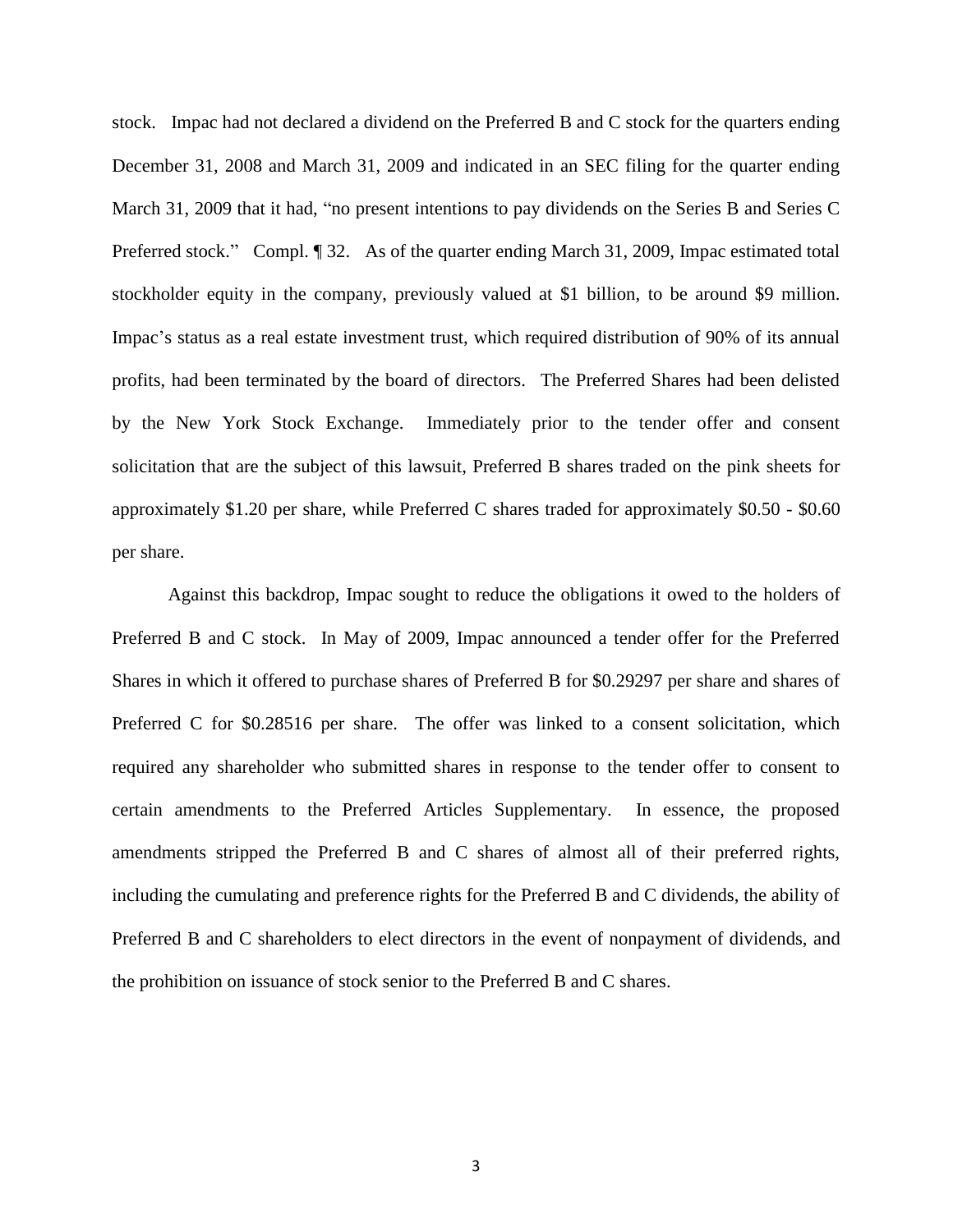stock. Impac had not declared a dividend on the Preferred B and C stock for the quarters ending December 31, 2008 and March 31, 2009 and indicated in an SEC filing for the quarter ending March 31, 2009 that it had, "no present intentions to pay dividends on the Series B and Series C Preferred stock." Compl. ¶ 32. As of the quarter ending March 31, 2009, Impac estimated total stockholder equity in the company, previously valued at \$1 billion, to be around \$9 million. Impac"s status as a real estate investment trust, which required distribution of 90% of its annual profits, had been terminated by the board of directors. The Preferred Shares had been delisted by the New York Stock Exchange. Immediately prior to the tender offer and consent solicitation that are the subject of this lawsuit, Preferred B shares traded on the pink sheets for approximately \$1.20 per share, while Preferred C shares traded for approximately \$0.50 - \$0.60 per share.

Against this backdrop, Impac sought to reduce the obligations it owed to the holders of Preferred B and C stock. In May of 2009, Impac announced a tender offer for the Preferred Shares in which it offered to purchase shares of Preferred B for \$0.29297 per share and shares of Preferred C for \$0.28516 per share. The offer was linked to a consent solicitation, which required any shareholder who submitted shares in response to the tender offer to consent to certain amendments to the Preferred Articles Supplementary. In essence, the proposed amendments stripped the Preferred B and C shares of almost all of their preferred rights, including the cumulating and preference rights for the Preferred B and C dividends, the ability of Preferred B and C shareholders to elect directors in the event of nonpayment of dividends, and the prohibition on issuance of stock senior to the Preferred B and C shares.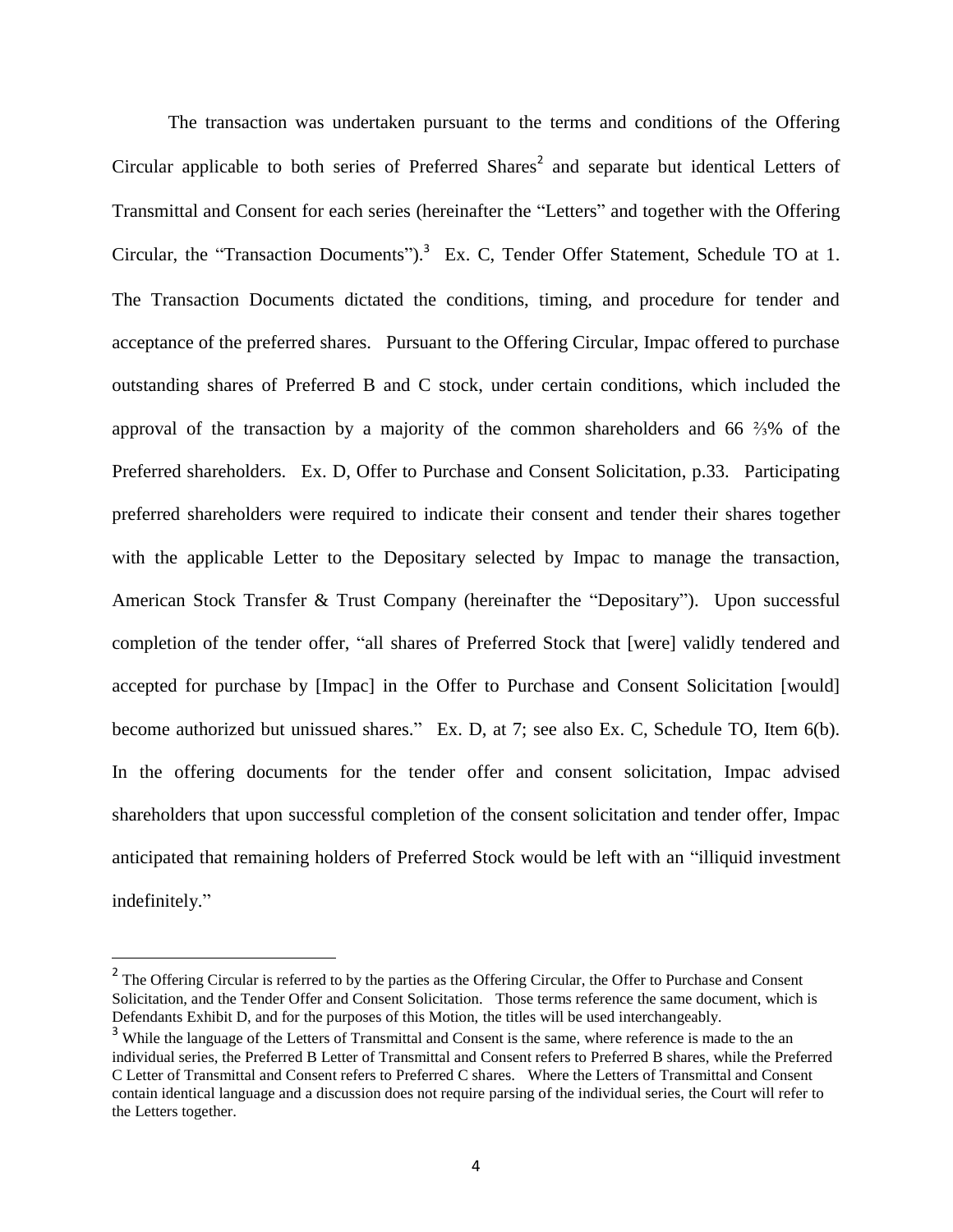The transaction was undertaken pursuant to the terms and conditions of the Offering Circular applicable to both series of Preferred Shares<sup>2</sup> and separate but identical Letters of Transmittal and Consent for each series (hereinafter the "Letters" and together with the Offering Circular, the "Transaction Documents").<sup>3</sup> Ex. C, Tender Offer Statement, Schedule TO at 1. The Transaction Documents dictated the conditions, timing, and procedure for tender and acceptance of the preferred shares. Pursuant to the Offering Circular, Impac offered to purchase outstanding shares of Preferred B and C stock, under certain conditions, which included the approval of the transaction by a majority of the common shareholders and 66 ⅔% of the Preferred shareholders. Ex. D, Offer to Purchase and Consent Solicitation, p.33. Participating preferred shareholders were required to indicate their consent and tender their shares together with the applicable Letter to the Depositary selected by Impac to manage the transaction, American Stock Transfer & Trust Company (hereinafter the "Depositary"). Upon successful completion of the tender offer, "all shares of Preferred Stock that [were] validly tendered and accepted for purchase by [Impac] in the Offer to Purchase and Consent Solicitation [would] become authorized but unissued shares." Ex. D, at 7; see also Ex. C, Schedule TO, Item 6(b). In the offering documents for the tender offer and consent solicitation, Impac advised shareholders that upon successful completion of the consent solicitation and tender offer, Impac anticipated that remaining holders of Preferred Stock would be left with an "illiquid investment indefinitely."

<sup>&</sup>lt;sup>2</sup> The Offering Circular is referred to by the parties as the Offering Circular, the Offer to Purchase and Consent Solicitation, and the Tender Offer and Consent Solicitation. Those terms reference the same document, which is Defendants Exhibit D, and for the purposes of this Motion, the titles will be used interchangeably.

<sup>&</sup>lt;sup>3</sup> While the language of the Letters of Transmittal and Consent is the same, where reference is made to the an individual series, the Preferred B Letter of Transmittal and Consent refers to Preferred B shares, while the Preferred C Letter of Transmittal and Consent refers to Preferred C shares. Where the Letters of Transmittal and Consent contain identical language and a discussion does not require parsing of the individual series, the Court will refer to the Letters together.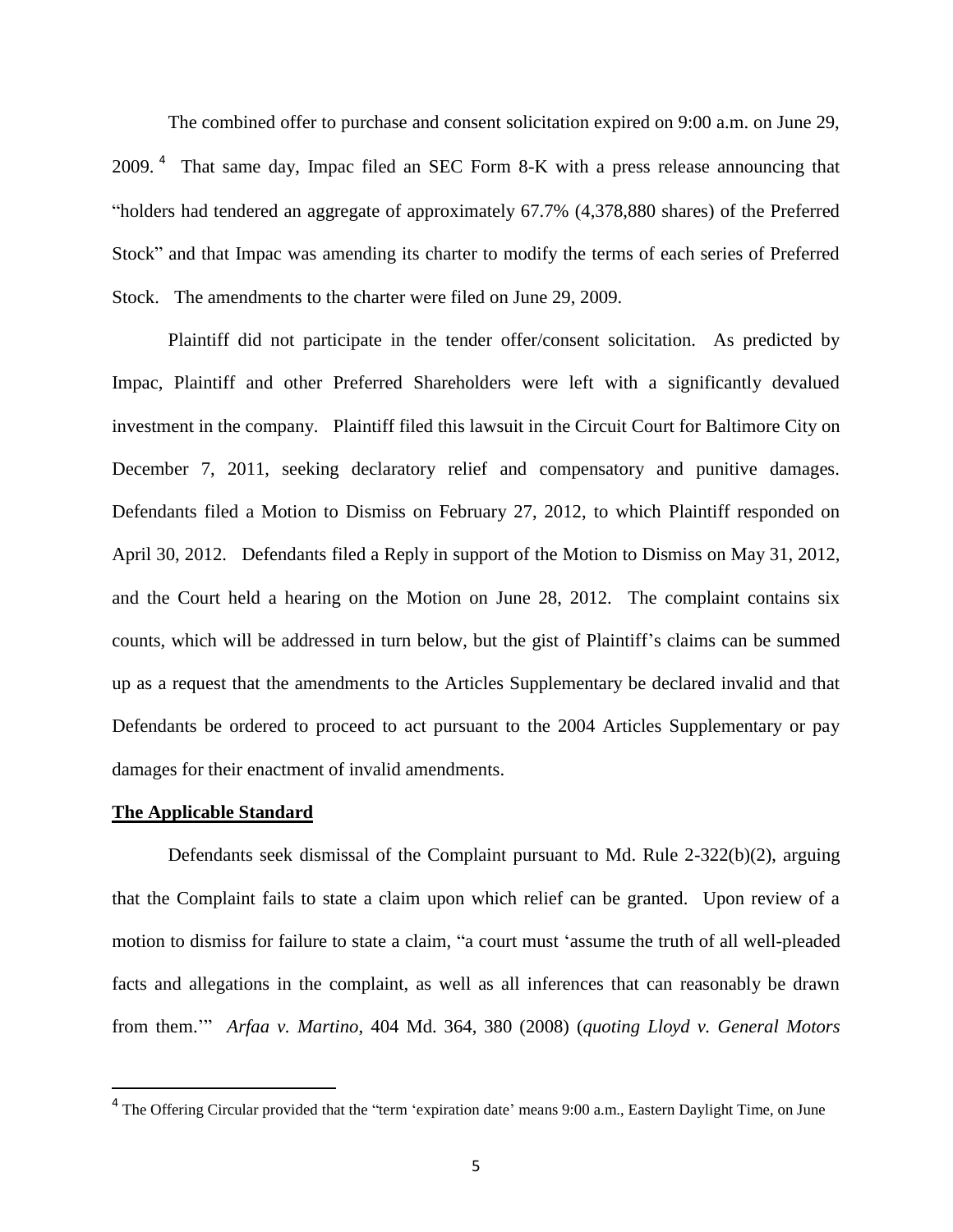The combined offer to purchase and consent solicitation expired on 9:00 a.m. on June 29, 2009.<sup>4</sup> That same day, Impac filed an SEC Form 8-K with a press release announcing that "holders had tendered an aggregate of approximately 67.7% (4,378,880 shares) of the Preferred Stock" and that Impac was amending its charter to modify the terms of each series of Preferred Stock. The amendments to the charter were filed on June 29, 2009.

Plaintiff did not participate in the tender offer/consent solicitation. As predicted by Impac, Plaintiff and other Preferred Shareholders were left with a significantly devalued investment in the company. Plaintiff filed this lawsuit in the Circuit Court for Baltimore City on December 7, 2011, seeking declaratory relief and compensatory and punitive damages. Defendants filed a Motion to Dismiss on February 27, 2012, to which Plaintiff responded on April 30, 2012. Defendants filed a Reply in support of the Motion to Dismiss on May 31, 2012, and the Court held a hearing on the Motion on June 28, 2012. The complaint contains six counts, which will be addressed in turn below, but the gist of Plaintiff"s claims can be summed up as a request that the amendments to the Articles Supplementary be declared invalid and that Defendants be ordered to proceed to act pursuant to the 2004 Articles Supplementary or pay damages for their enactment of invalid amendments.

## **The Applicable Standard**

 $\overline{a}$ 

Defendants seek dismissal of the Complaint pursuant to Md. Rule 2-322(b)(2), arguing that the Complaint fails to state a claim upon which relief can be granted. Upon review of a motion to dismiss for failure to state a claim, "a court must "assume the truth of all well-pleaded facts and allegations in the complaint, as well as all inferences that can reasonably be drawn from them."" *Arfaa v. Martino*, 404 Md. 364, 380 (2008) (*quoting Lloyd v. General Motors* 

<sup>&</sup>lt;sup>4</sup> The Offering Circular provided that the "term 'expiration date' means 9:00 a.m., Eastern Daylight Time, on June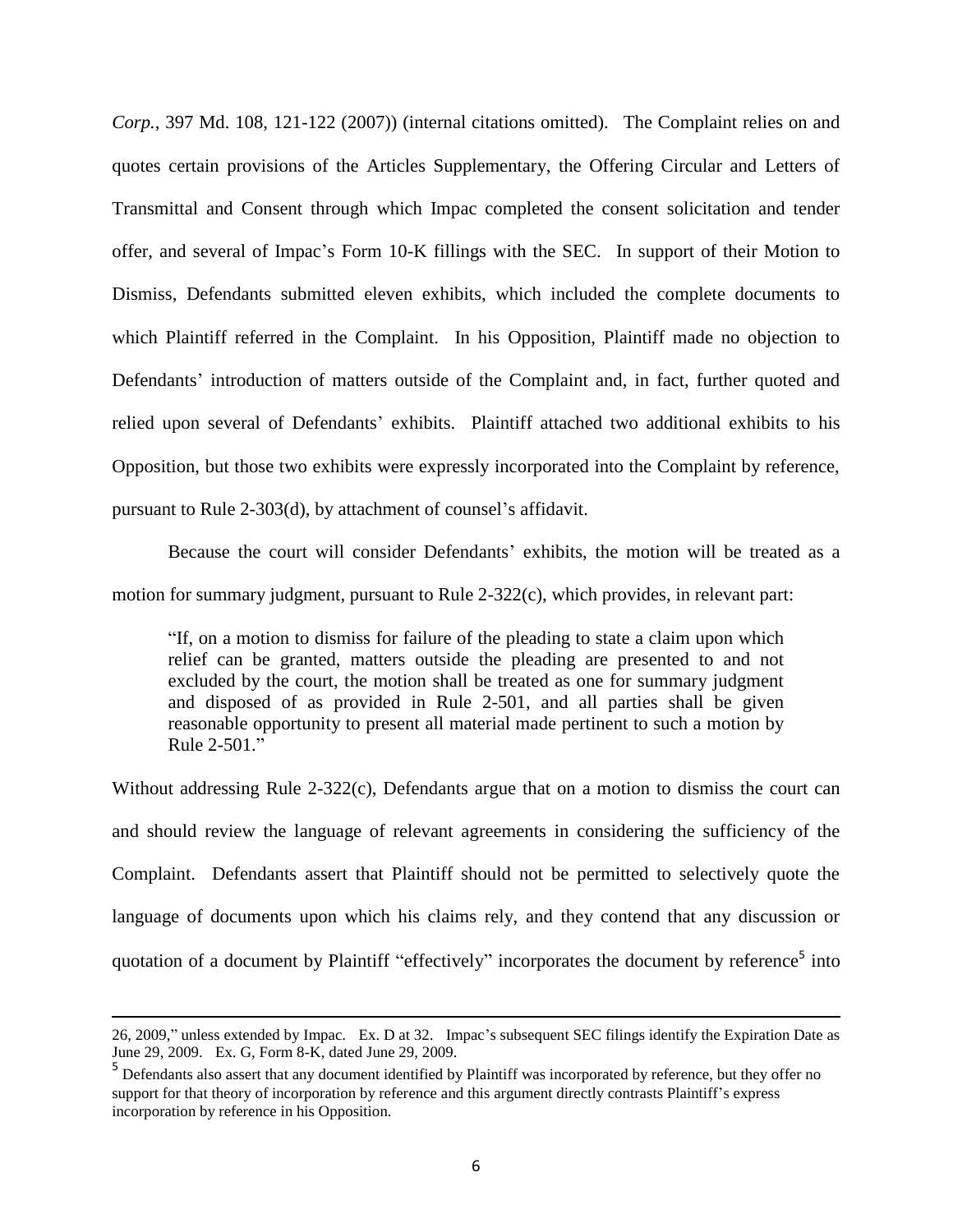*Corp.*, 397 Md. 108, 121-122 (2007)) (internal citations omitted). The Complaint relies on and quotes certain provisions of the Articles Supplementary, the Offering Circular and Letters of Transmittal and Consent through which Impac completed the consent solicitation and tender offer, and several of Impac"s Form 10-K fillings with the SEC. In support of their Motion to Dismiss, Defendants submitted eleven exhibits, which included the complete documents to which Plaintiff referred in the Complaint. In his Opposition, Plaintiff made no objection to Defendants' introduction of matters outside of the Complaint and, in fact, further quoted and relied upon several of Defendants' exhibits. Plaintiff attached two additional exhibits to his Opposition, but those two exhibits were expressly incorporated into the Complaint by reference, pursuant to Rule 2-303(d), by attachment of counsel's affidavit.

Because the court will consider Defendants" exhibits, the motion will be treated as a motion for summary judgment, pursuant to Rule 2-322(c), which provides, in relevant part:

"If, on a motion to dismiss for failure of the pleading to state a claim upon which relief can be granted, matters outside the pleading are presented to and not excluded by the court, the motion shall be treated as one for summary judgment and disposed of as provided in Rule 2-501, and all parties shall be given reasonable opportunity to present all material made pertinent to such a motion by Rule 2-501."

Without addressing Rule 2-322(c), Defendants argue that on a motion to dismiss the court can and should review the language of relevant agreements in considering the sufficiency of the Complaint. Defendants assert that Plaintiff should not be permitted to selectively quote the language of documents upon which his claims rely, and they contend that any discussion or quotation of a document by Plaintiff "effectively" incorporates the document by reference<sup>5</sup> into

<sup>26, 2009,&</sup>quot; unless extended by Impac. Ex. D at 32. Impac"s subsequent SEC filings identify the Expiration Date as June 29, 2009. Ex. G, Form 8-K, dated June 29, 2009.

<sup>&</sup>lt;sup>5</sup> Defendants also assert that any document identified by Plaintiff was incorporated by reference, but they offer no support for that theory of incorporation by reference and this argument directly contrasts Plaintiff"s express incorporation by reference in his Opposition.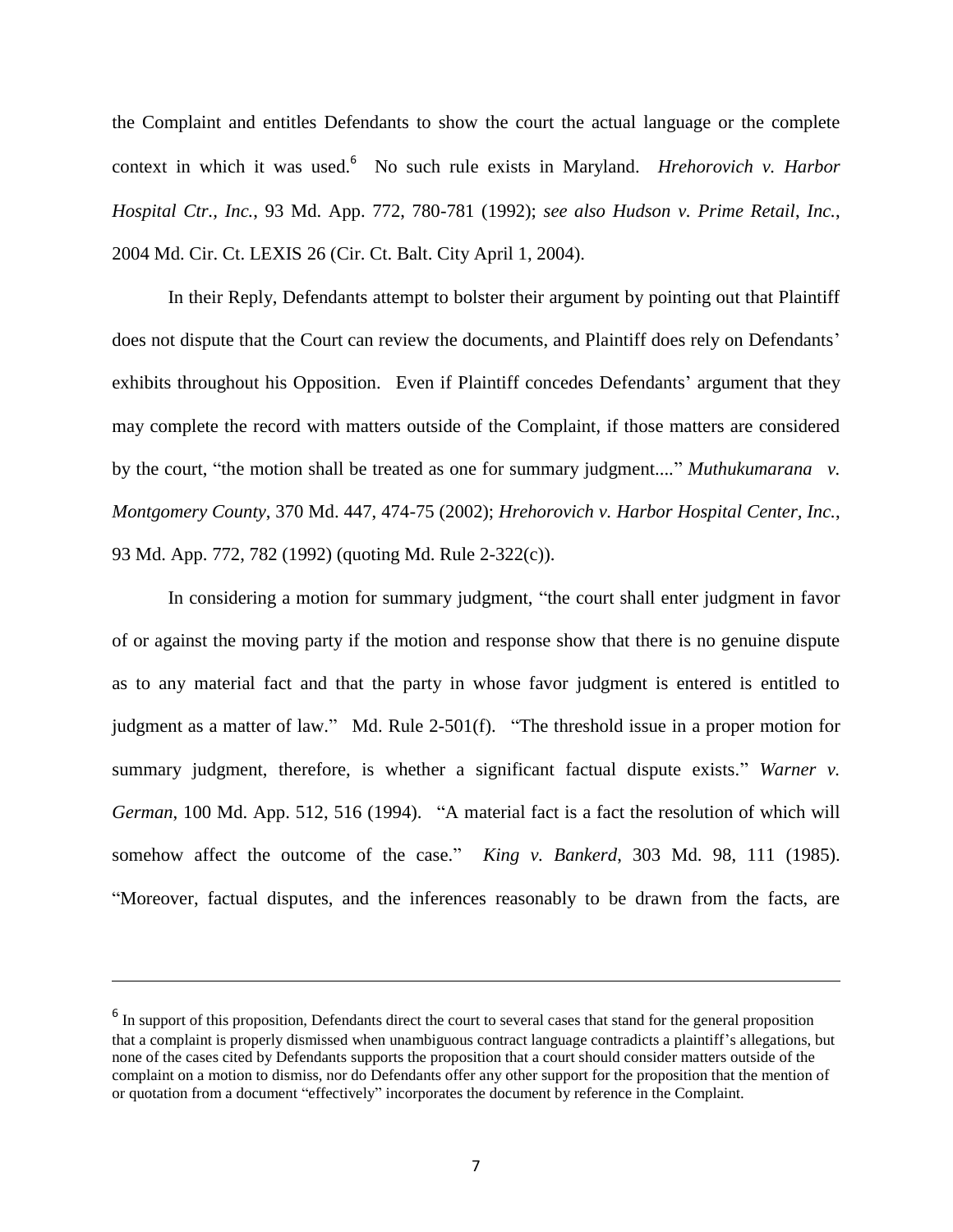the Complaint and entitles Defendants to show the court the actual language or the complete context in which it was used.<sup>6</sup> No such rule exists in Maryland. *Hrehorovich v. Harbor Hospital Ctr., Inc.*, 93 Md. App. 772, 780-781 (1992); *see also Hudson v. Prime Retail*, *Inc.*, 2004 Md. Cir. Ct. LEXIS 26 (Cir. Ct. Balt. City April 1, 2004).

In their Reply, Defendants attempt to bolster their argument by pointing out that Plaintiff does not dispute that the Court can review the documents, and Plaintiff does rely on Defendants' exhibits throughout his Opposition. Even if Plaintiff concedes Defendants' argument that they may complete the record with matters outside of the Complaint, if those matters are considered by the court, "the motion shall be treated as one for summary judgment...." *Muthukumarana* v. *Montgomery County*, 370 Md. 447, 474-75 (2002); *Hrehorovich v. Harbor Hospital Center, Inc.*, 93 Md. App. 772, 782 (1992) (quoting Md. Rule 2-322(c)).

In considering a motion for summary judgment, "the court shall enter judgment in favor of or against the moving party if the motion and response show that there is no genuine dispute as to any material fact and that the party in whose favor judgment is entered is entitled to judgment as a matter of law." Md. Rule 2-501(f). "The threshold issue in a proper motion for summary judgment, therefore, is whether a significant factual dispute exists." *Warner v. German*, 100 Md. App. 512, 516 (1994). "A material fact is a fact the resolution of which will somehow affect the outcome of the case." *King v. Bankerd*, 303 Md. 98, 111 (1985). "Moreover, factual disputes, and the inferences reasonably to be drawn from the facts, are

 $<sup>6</sup>$  In support of this proposition, Defendants direct the court to several cases that stand for the general proposition</sup> that a complaint is properly dismissed when unambiguous contract language contradicts a plaintiff"s allegations, but none of the cases cited by Defendants supports the proposition that a court should consider matters outside of the complaint on a motion to dismiss, nor do Defendants offer any other support for the proposition that the mention of or quotation from a document "effectively" incorporates the document by reference in the Complaint.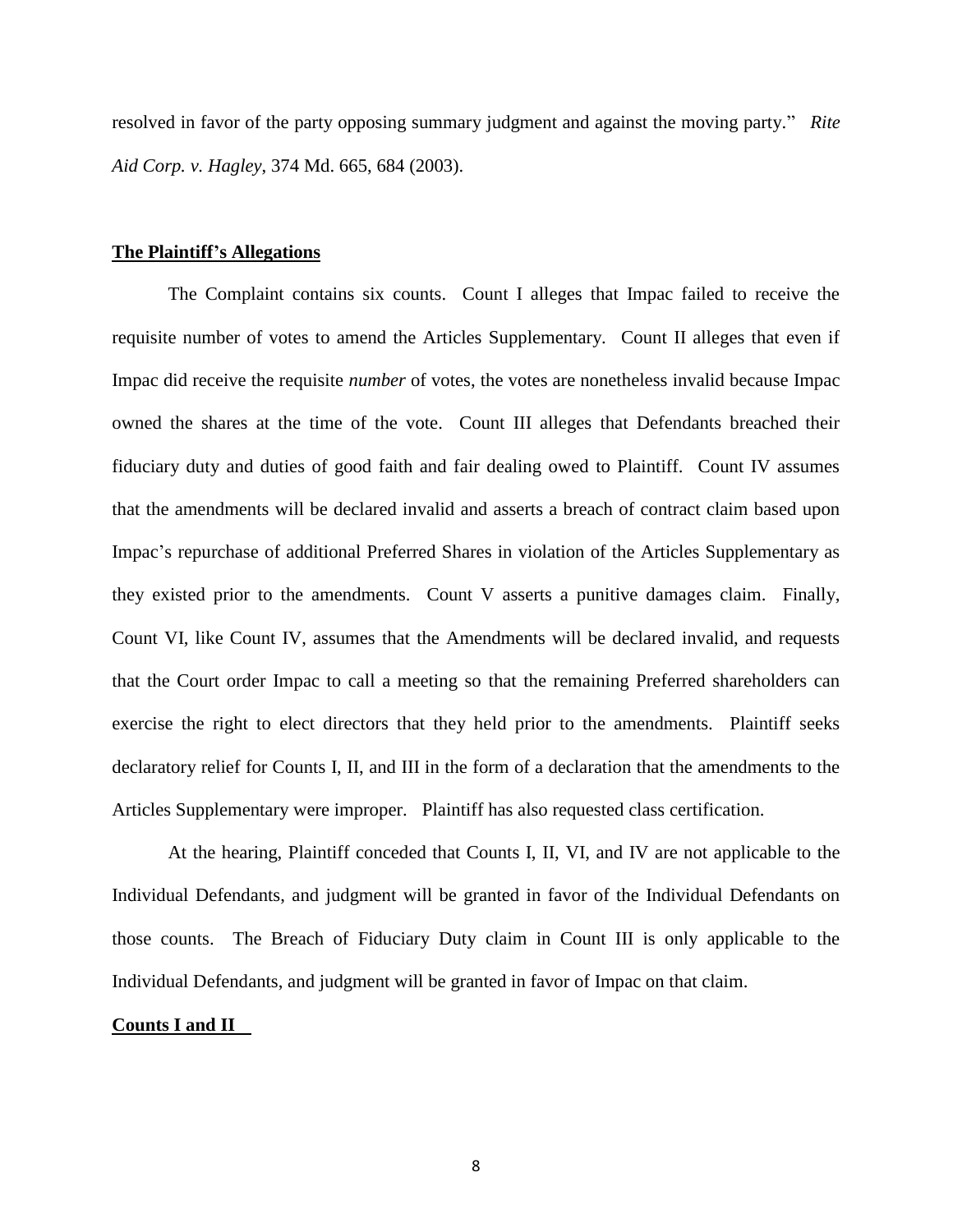resolved in favor of the party opposing summary judgment and against the moving party." *Rite Aid Corp. v. Hagley*, 374 Md. 665, 684 (2003).

## **The Plaintiff's Allegations**

The Complaint contains six counts. Count I alleges that Impac failed to receive the requisite number of votes to amend the Articles Supplementary. Count II alleges that even if Impac did receive the requisite *number* of votes, the votes are nonetheless invalid because Impac owned the shares at the time of the vote. Count III alleges that Defendants breached their fiduciary duty and duties of good faith and fair dealing owed to Plaintiff. Count IV assumes that the amendments will be declared invalid and asserts a breach of contract claim based upon Impac"s repurchase of additional Preferred Shares in violation of the Articles Supplementary as they existed prior to the amendments. Count V asserts a punitive damages claim. Finally, Count VI, like Count IV, assumes that the Amendments will be declared invalid, and requests that the Court order Impac to call a meeting so that the remaining Preferred shareholders can exercise the right to elect directors that they held prior to the amendments. Plaintiff seeks declaratory relief for Counts I, II, and III in the form of a declaration that the amendments to the Articles Supplementary were improper. Plaintiff has also requested class certification.

At the hearing, Plaintiff conceded that Counts I, II, VI, and IV are not applicable to the Individual Defendants, and judgment will be granted in favor of the Individual Defendants on those counts. The Breach of Fiduciary Duty claim in Count III is only applicable to the Individual Defendants, and judgment will be granted in favor of Impac on that claim.

## **Counts I and II**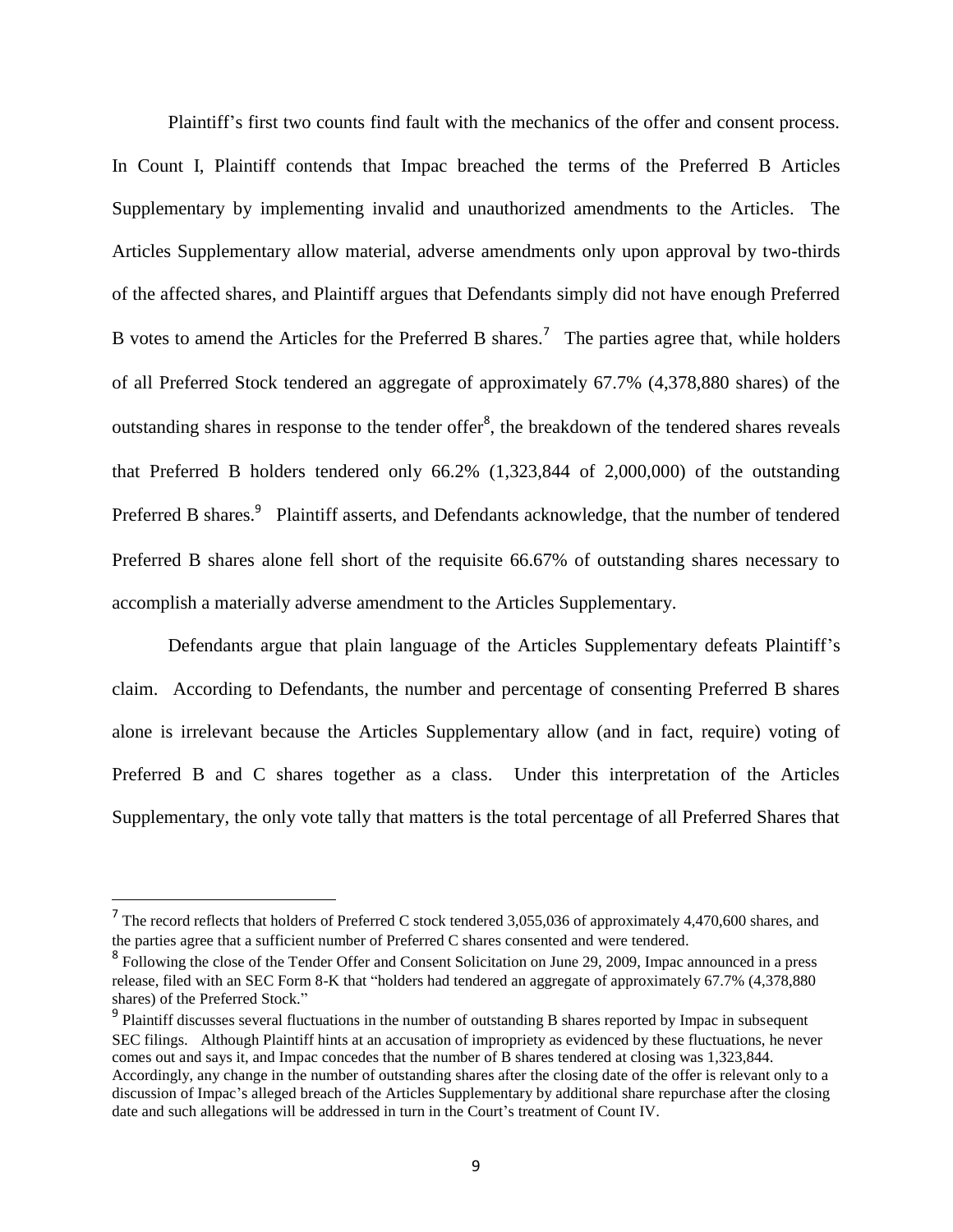Plaintiff"s first two counts find fault with the mechanics of the offer and consent process. In Count I, Plaintiff contends that Impac breached the terms of the Preferred B Articles Supplementary by implementing invalid and unauthorized amendments to the Articles. The Articles Supplementary allow material, adverse amendments only upon approval by two-thirds of the affected shares, and Plaintiff argues that Defendants simply did not have enough Preferred B votes to amend the Articles for the Preferred B shares.<sup>7</sup> The parties agree that, while holders of all Preferred Stock tendered an aggregate of approximately 67.7% (4,378,880 shares) of the outstanding shares in response to the tender offer $\delta$ , the breakdown of the tendered shares reveals that Preferred B holders tendered only 66.2% (1,323,844 of 2,000,000) of the outstanding Preferred B shares.<sup>9</sup> Plaintiff asserts, and Defendants acknowledge, that the number of tendered Preferred B shares alone fell short of the requisite 66.67% of outstanding shares necessary to accomplish a materially adverse amendment to the Articles Supplementary.

Defendants argue that plain language of the Articles Supplementary defeats Plaintiff"s claim. According to Defendants, the number and percentage of consenting Preferred B shares alone is irrelevant because the Articles Supplementary allow (and in fact, require) voting of Preferred B and C shares together as a class. Under this interpretation of the Articles Supplementary, the only vote tally that matters is the total percentage of all Preferred Shares that

<sup>&</sup>lt;sup>7</sup> The record reflects that holders of Preferred C stock tendered 3,055,036 of approximately 4,470,600 shares, and the parties agree that a sufficient number of Preferred C shares consented and were tendered.

<sup>&</sup>lt;sup>8</sup> Following the close of the Tender Offer and Consent Solicitation on June 29, 2009, Impac announced in a press release, filed with an SEC Form 8-K that "holders had tendered an aggregate of approximately 67.7% (4,378,880 shares) of the Preferred Stock."

<sup>&</sup>lt;sup>9</sup> Plaintiff discusses several fluctuations in the number of outstanding B shares reported by Impac in subsequent SEC filings. Although Plaintiff hints at an accusation of impropriety as evidenced by these fluctuations, he never comes out and says it, and Impac concedes that the number of B shares tendered at closing was 1,323,844. Accordingly, any change in the number of outstanding shares after the closing date of the offer is relevant only to a discussion of Impac"s alleged breach of the Articles Supplementary by additional share repurchase after the closing date and such allegations will be addressed in turn in the Court's treatment of Count IV.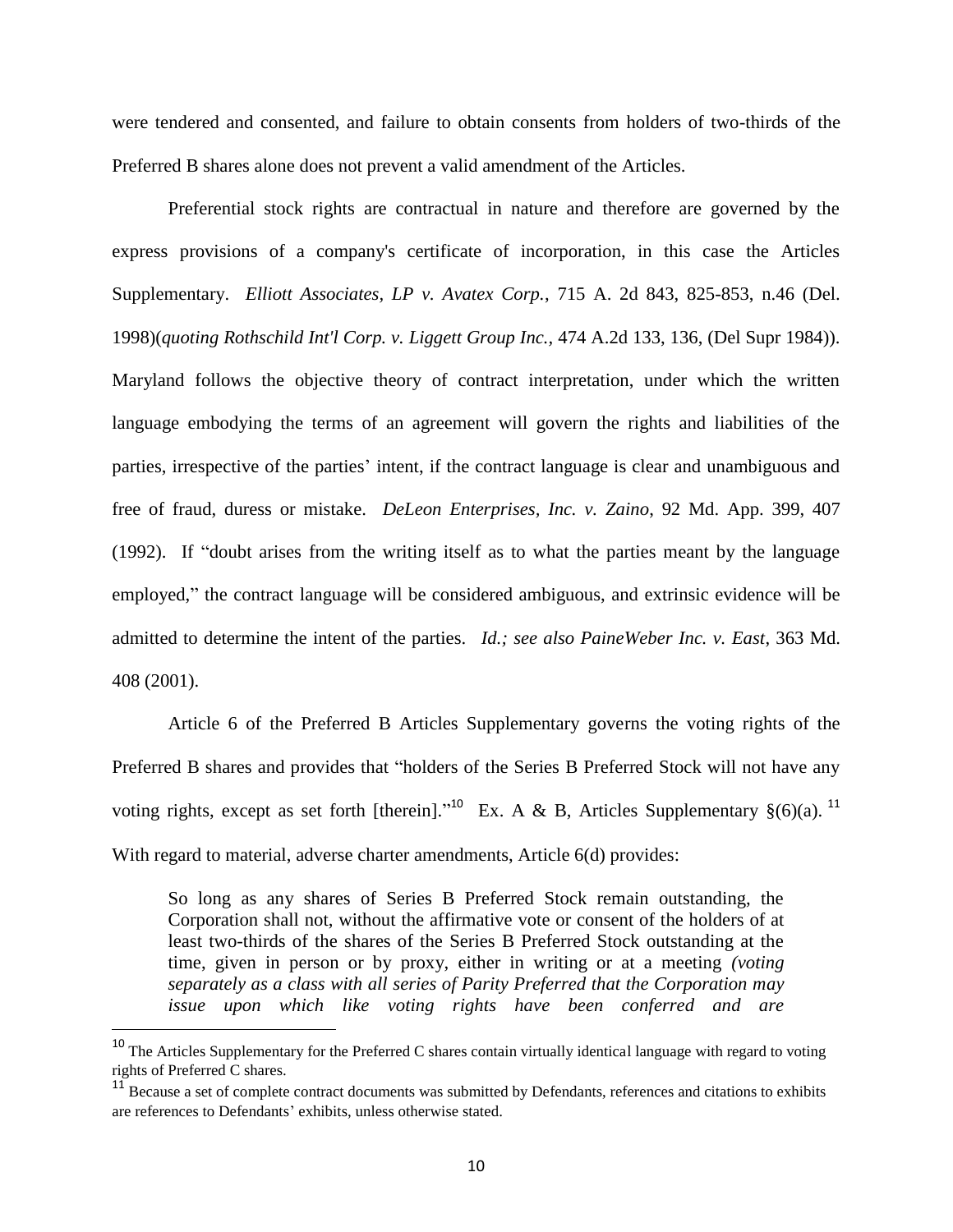were tendered and consented, and failure to obtain consents from holders of two-thirds of the Preferred B shares alone does not prevent a valid amendment of the Articles.

Preferential stock rights are contractual in nature and therefore are governed by the express provisions of a company's certificate of incorporation, in this case the Articles Supplementary. *Elliott Associates, LP v. Avatex Corp.*, 715 A. 2d 843, 825-853, n.46 (Del. 1998)(*quoting Rothschild Int'l Corp. v. Liggett Group Inc.,* 474 A.2d 133, 136, (Del Supr 1984)). Maryland follows the objective theory of contract interpretation, under which the written language embodying the terms of an agreement will govern the rights and liabilities of the parties, irrespective of the parties" intent, if the contract language is clear and unambiguous and free of fraud, duress or mistake. *DeLeon Enterprises, Inc. v. Zaino*, 92 Md. App. 399, 407 (1992). If "doubt arises from the writing itself as to what the parties meant by the language employed," the contract language will be considered ambiguous, and extrinsic evidence will be admitted to determine the intent of the parties. *Id.; see also PaineWeber Inc. v. East*, 363 Md. 408 (2001).

Article 6 of the Preferred B Articles Supplementary governs the voting rights of the Preferred B shares and provides that "holders of the Series B Preferred Stock will not have any voting rights, except as set forth [therein].<sup>"10</sup> Ex. A & B, Articles Supplementary  $\S(6)(a)$ .<sup>11</sup> With regard to material, adverse charter amendments, Article 6(d) provides:

So long as any shares of Series B Preferred Stock remain outstanding, the Corporation shall not, without the affirmative vote or consent of the holders of at least two-thirds of the shares of the Series B Preferred Stock outstanding at the time, given in person or by proxy, either in writing or at a meeting *(voting separately as a class with all series of Parity Preferred that the Corporation may issue upon which like voting rights have been conferred and are* 

<sup>&</sup>lt;sup>10</sup> The Articles Supplementary for the Preferred C shares contain virtually identical language with regard to voting rights of Preferred C shares.

<sup>&</sup>lt;sup>11</sup> Because a set of complete contract documents was submitted by Defendants, references and citations to exhibits are references to Defendants' exhibits, unless otherwise stated.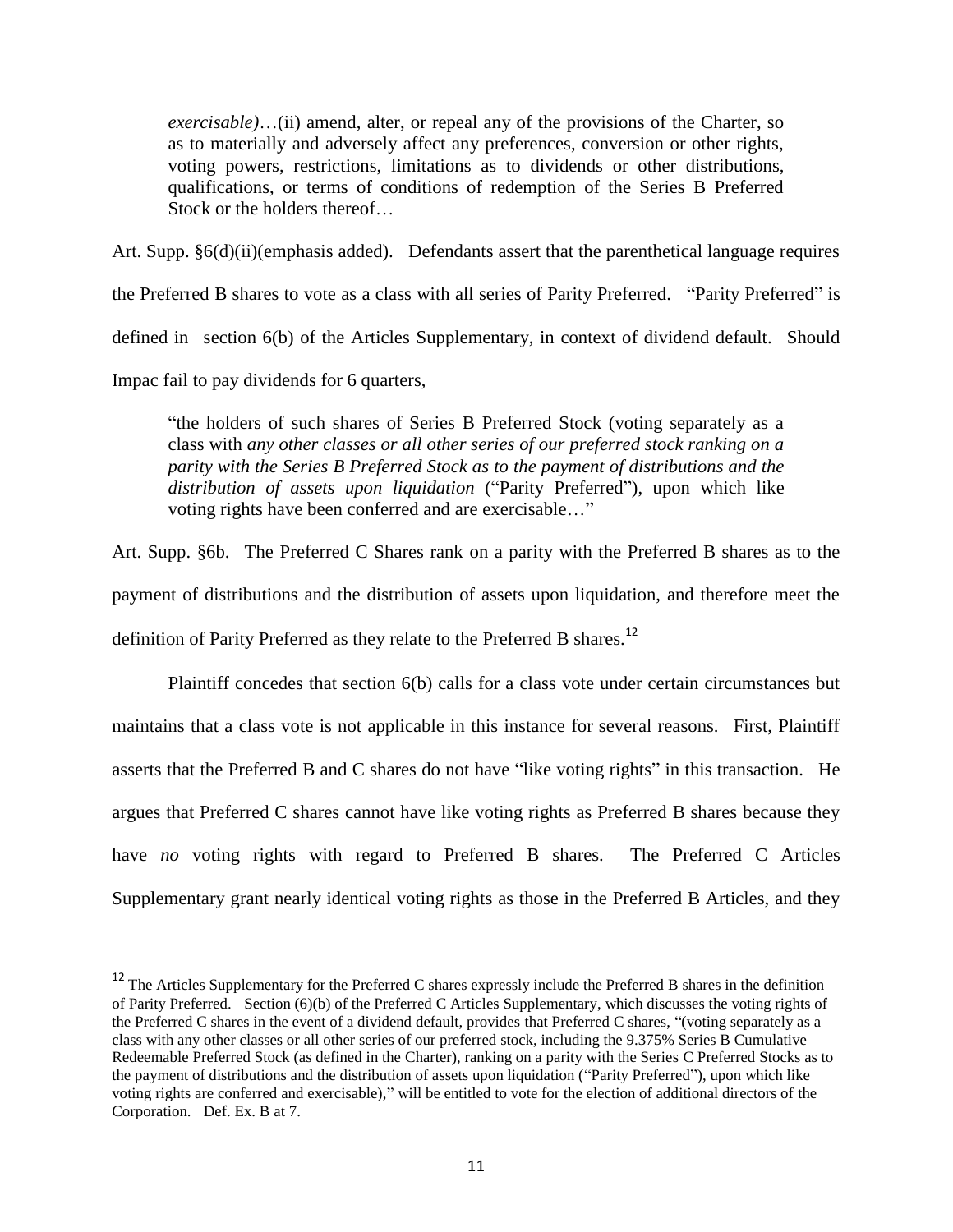*exercisable)*…(ii) amend, alter, or repeal any of the provisions of the Charter, so as to materially and adversely affect any preferences, conversion or other rights, voting powers, restrictions, limitations as to dividends or other distributions, qualifications, or terms of conditions of redemption of the Series B Preferred Stock or the holders thereof…

Art. Supp. §6(d)(ii)(emphasis added). Defendants assert that the parenthetical language requires the Preferred B shares to vote as a class with all series of Parity Preferred. "Parity Preferred" is defined in section 6(b) of the Articles Supplementary, in context of dividend default. Should Impac fail to pay dividends for 6 quarters,

"the holders of such shares of Series B Preferred Stock (voting separately as a class with *any other classes or all other series of our preferred stock ranking on a parity with the Series B Preferred Stock as to the payment of distributions and the distribution of assets upon liquidation* ("Parity Preferred"), upon which like voting rights have been conferred and are exercisable…"

Art. Supp. §6b. The Preferred C Shares rank on a parity with the Preferred B shares as to the payment of distributions and the distribution of assets upon liquidation, and therefore meet the definition of Parity Preferred as they relate to the Preferred B shares.<sup>12</sup>

Plaintiff concedes that section 6(b) calls for a class vote under certain circumstances but maintains that a class vote is not applicable in this instance for several reasons. First, Plaintiff asserts that the Preferred B and C shares do not have "like voting rights" in this transaction. He argues that Preferred C shares cannot have like voting rights as Preferred B shares because they have *no* voting rights with regard to Preferred B shares. The Preferred C Articles Supplementary grant nearly identical voting rights as those in the Preferred B Articles, and they

<sup>&</sup>lt;sup>12</sup> The Articles Supplementary for the Preferred C shares expressly include the Preferred B shares in the definition of Parity Preferred. Section (6)(b) of the Preferred C Articles Supplementary, which discusses the voting rights of the Preferred C shares in the event of a dividend default, provides that Preferred C shares, "(voting separately as a class with any other classes or all other series of our preferred stock, including the 9.375% Series B Cumulative Redeemable Preferred Stock (as defined in the Charter), ranking on a parity with the Series C Preferred Stocks as to the payment of distributions and the distribution of assets upon liquidation ("Parity Preferred"), upon which like voting rights are conferred and exercisable)," will be entitled to vote for the election of additional directors of the Corporation. Def. Ex. B at 7.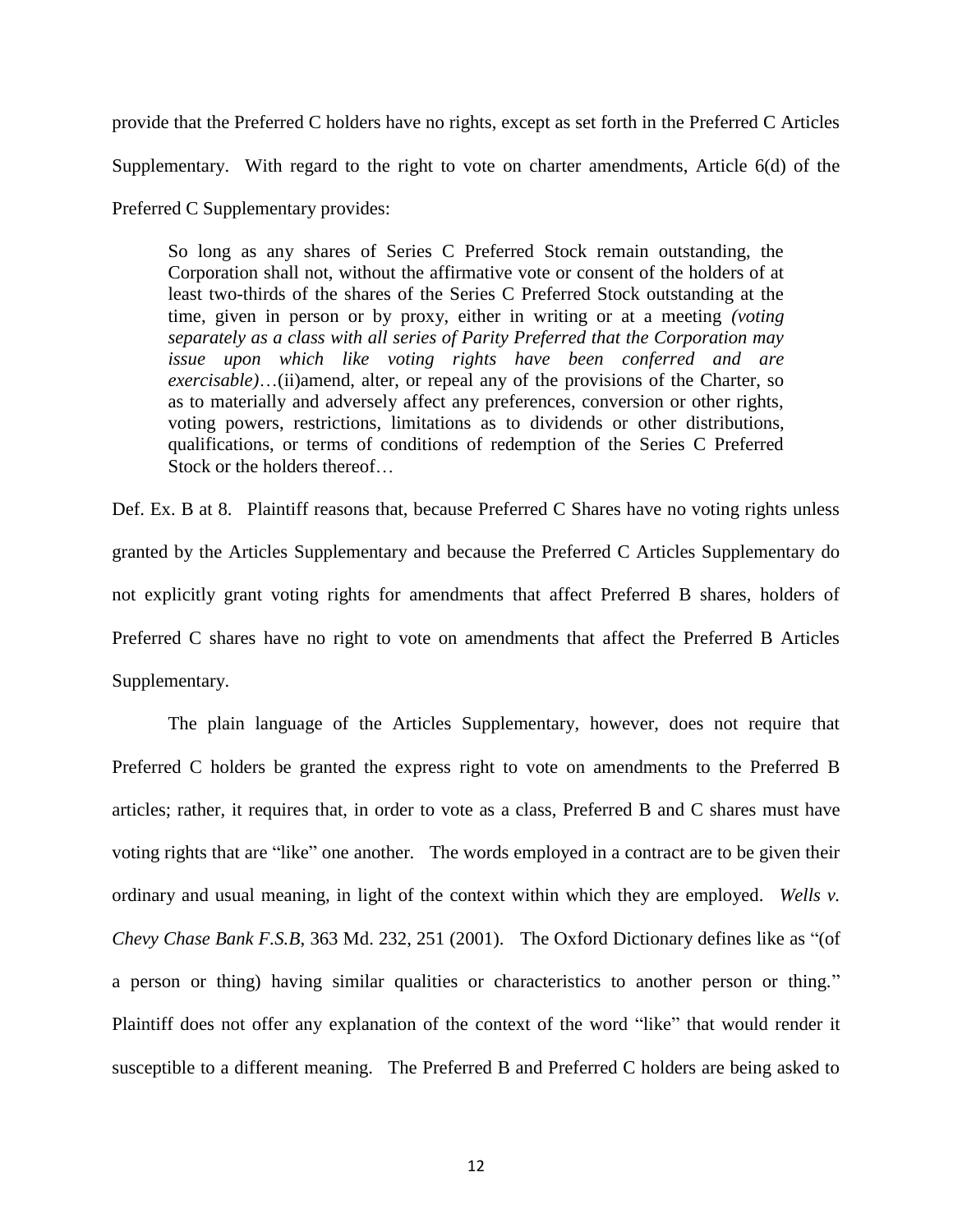provide that the Preferred C holders have no rights, except as set forth in the Preferred C Articles Supplementary. With regard to the right to vote on charter amendments, Article 6(d) of the Preferred C Supplementary provides:

So long as any shares of Series C Preferred Stock remain outstanding, the Corporation shall not, without the affirmative vote or consent of the holders of at least two-thirds of the shares of the Series C Preferred Stock outstanding at the time, given in person or by proxy, either in writing or at a meeting *(voting separately as a class with all series of Parity Preferred that the Corporation may issue upon which like voting rights have been conferred and are exercisable)*…(ii)amend, alter, or repeal any of the provisions of the Charter, so as to materially and adversely affect any preferences, conversion or other rights, voting powers, restrictions, limitations as to dividends or other distributions, qualifications, or terms of conditions of redemption of the Series C Preferred Stock or the holders thereof…

Def. Ex. B at 8. Plaintiff reasons that, because Preferred C Shares have no voting rights unless granted by the Articles Supplementary and because the Preferred C Articles Supplementary do not explicitly grant voting rights for amendments that affect Preferred B shares, holders of Preferred C shares have no right to vote on amendments that affect the Preferred B Articles Supplementary.

The plain language of the Articles Supplementary, however, does not require that Preferred C holders be granted the express right to vote on amendments to the Preferred B articles; rather, it requires that, in order to vote as a class, Preferred B and C shares must have voting rights that are "like" one another. The words employed in a contract are to be given their ordinary and usual meaning, in light of the context within which they are employed. *Wells v. Chevy Chase Bank F.S.B*, 363 Md. 232, 251 (2001).The Oxford Dictionary defines like as "(of a person or thing) having similar qualities or characteristics to another person or thing." Plaintiff does not offer any explanation of the context of the word "like" that would render it susceptible to a different meaning. The Preferred B and Preferred C holders are being asked to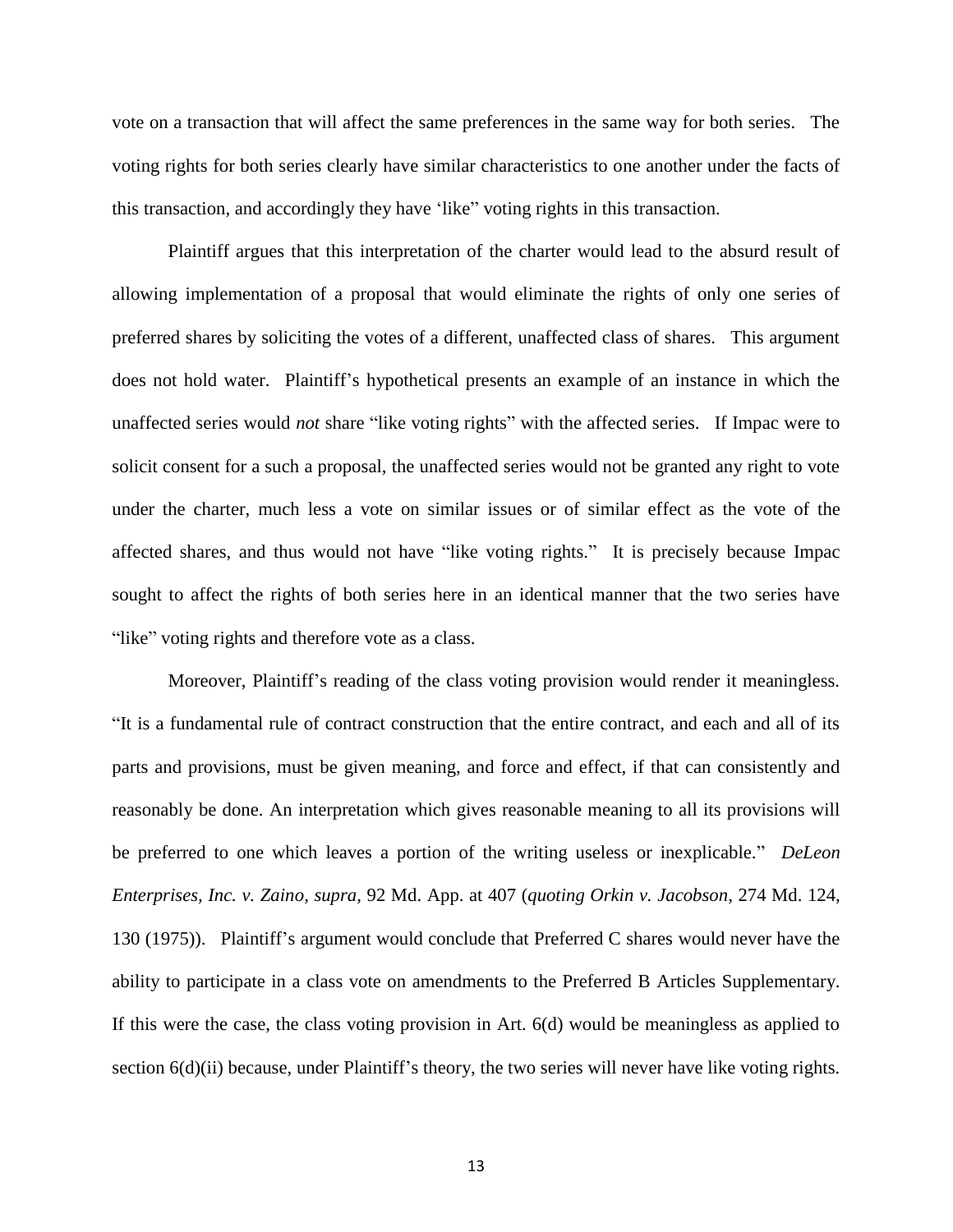vote on a transaction that will affect the same preferences in the same way for both series. The voting rights for both series clearly have similar characteristics to one another under the facts of this transaction, and accordingly they have "like" voting rights in this transaction.

Plaintiff argues that this interpretation of the charter would lead to the absurd result of allowing implementation of a proposal that would eliminate the rights of only one series of preferred shares by soliciting the votes of a different, unaffected class of shares. This argument does not hold water. Plaintiff"s hypothetical presents an example of an instance in which the unaffected series would *not* share "like voting rights" with the affected series. If Impac were to solicit consent for a such a proposal, the unaffected series would not be granted any right to vote under the charter, much less a vote on similar issues or of similar effect as the vote of the affected shares, and thus would not have "like voting rights." It is precisely because Impac sought to affect the rights of both series here in an identical manner that the two series have "like" voting rights and therefore vote as a class.

Moreover, Plaintiff"s reading of the class voting provision would render it meaningless. "It is a fundamental rule of contract construction that the entire contract, and each and all of its parts and provisions, must be given meaning, and force and effect, if that can consistently and reasonably be done. An interpretation which gives reasonable meaning to all its provisions will be preferred to one which leaves a portion of the writing useless or inexplicable." *DeLeon Enterprises, Inc. v. Zaino, supra,* 92 Md. App. at 407 (*quoting Orkin v. Jacobson*, 274 Md. 124, 130 (1975)). Plaintiff"s argument would conclude that Preferred C shares would never have the ability to participate in a class vote on amendments to the Preferred B Articles Supplementary. If this were the case, the class voting provision in Art. 6(d) would be meaningless as applied to section  $6(d)(ii)$  because, under Plaintiff's theory, the two series will never have like voting rights.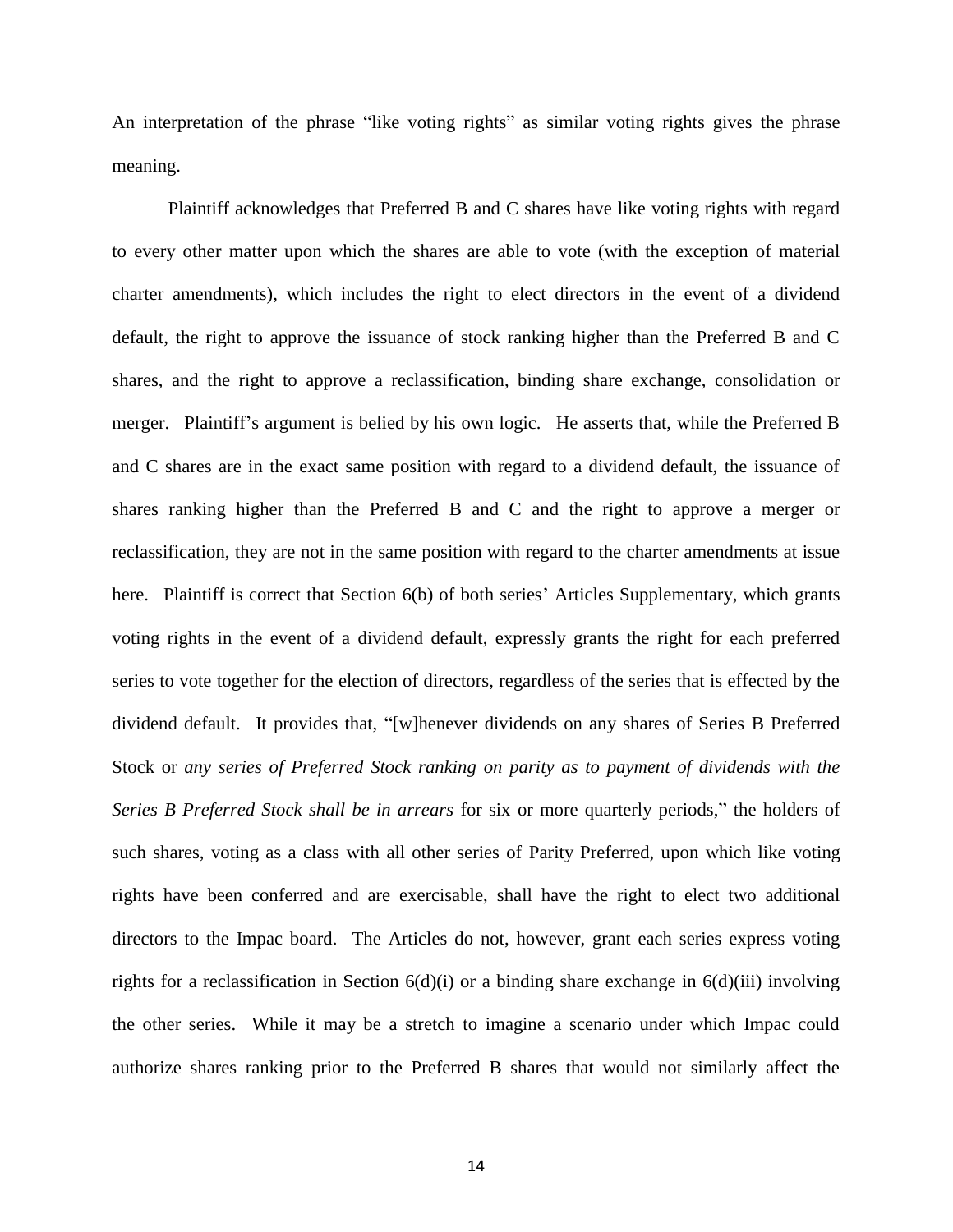An interpretation of the phrase "like voting rights" as similar voting rights gives the phrase meaning.

Plaintiff acknowledges that Preferred B and C shares have like voting rights with regard to every other matter upon which the shares are able to vote (with the exception of material charter amendments), which includes the right to elect directors in the event of a dividend default, the right to approve the issuance of stock ranking higher than the Preferred B and C shares, and the right to approve a reclassification, binding share exchange, consolidation or merger. Plaintiff"s argument is belied by his own logic. He asserts that, while the Preferred B and C shares are in the exact same position with regard to a dividend default, the issuance of shares ranking higher than the Preferred B and C and the right to approve a merger or reclassification, they are not in the same position with regard to the charter amendments at issue here. Plaintiff is correct that Section 6(b) of both series' Articles Supplementary, which grants voting rights in the event of a dividend default, expressly grants the right for each preferred series to vote together for the election of directors, regardless of the series that is effected by the dividend default. It provides that, "[w]henever dividends on any shares of Series B Preferred Stock or *any series of Preferred Stock ranking on parity as to payment of dividends with the Series B Preferred Stock shall be in arrears* for six or more quarterly periods," the holders of such shares, voting as a class with all other series of Parity Preferred, upon which like voting rights have been conferred and are exercisable, shall have the right to elect two additional directors to the Impac board. The Articles do not, however, grant each series express voting rights for a reclassification in Section  $6(d)(i)$  or a binding share exchange in  $6(d)(iii)$  involving the other series. While it may be a stretch to imagine a scenario under which Impac could authorize shares ranking prior to the Preferred B shares that would not similarly affect the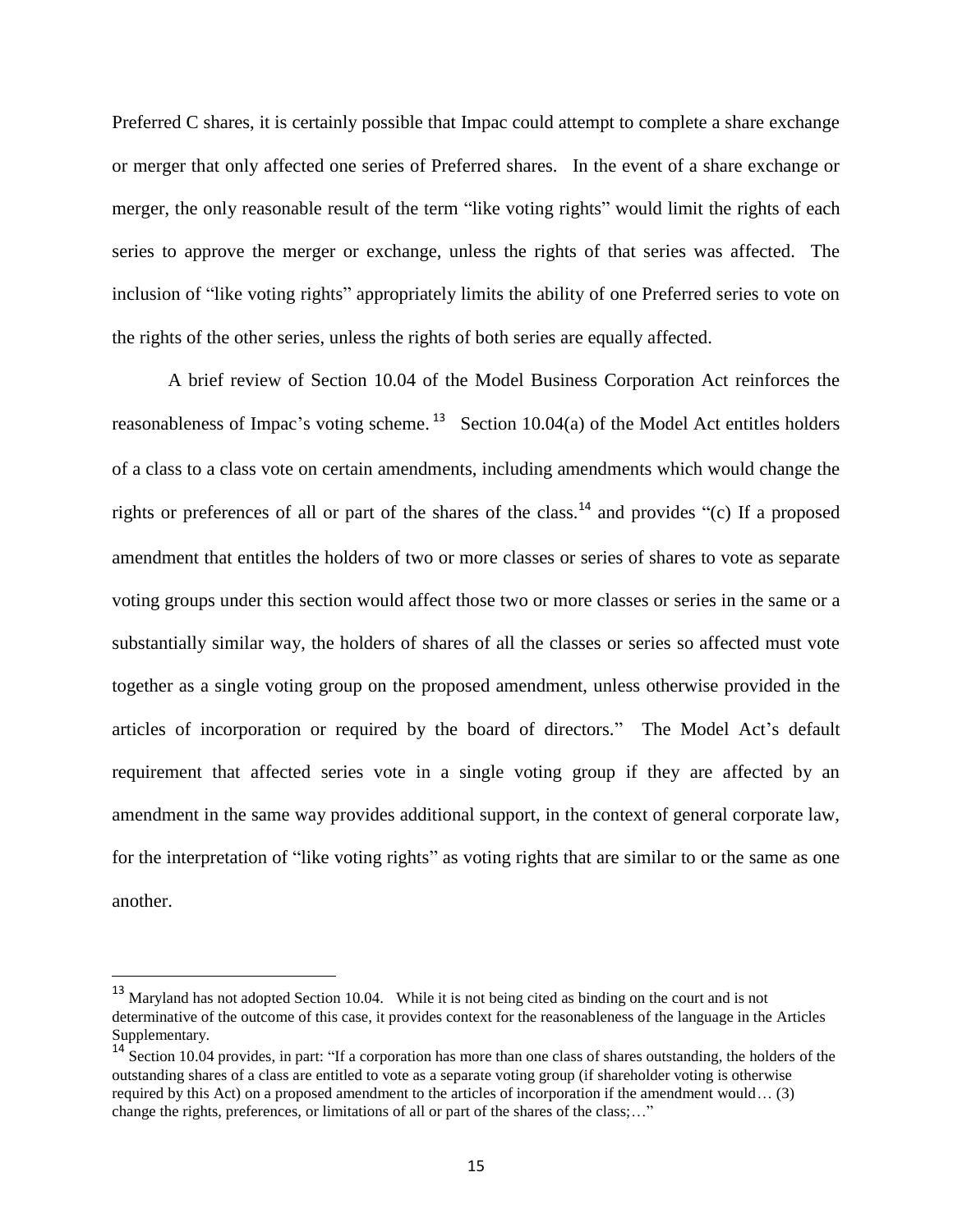Preferred C shares, it is certainly possible that Impac could attempt to complete a share exchange or merger that only affected one series of Preferred shares. In the event of a share exchange or merger, the only reasonable result of the term "like voting rights" would limit the rights of each series to approve the merger or exchange, unless the rights of that series was affected. The inclusion of "like voting rights" appropriately limits the ability of one Preferred series to vote on the rights of the other series, unless the rights of both series are equally affected.

A brief review of Section 10.04 of the Model Business Corporation Act reinforces the reasonableness of Impac's voting scheme.<sup>13</sup> Section 10.04(a) of the Model Act entitles holders of a class to a class vote on certain amendments, including amendments which would change the rights or preferences of all or part of the shares of the class.<sup>14</sup> and provides "(c) If a proposed amendment that entitles the holders of two or more classes or series of shares to vote as separate voting groups under this section would affect those two or more classes or series in the same or a substantially similar way, the holders of shares of all the classes or series so affected must vote together as a single voting group on the proposed amendment, unless otherwise provided in the articles of incorporation or required by the board of directors." The Model Act's default requirement that affected series vote in a single voting group if they are affected by an amendment in the same way provides additional support, in the context of general corporate law, for the interpretation of "like voting rights" as voting rights that are similar to or the same as one another.

<sup>&</sup>lt;sup>13</sup> Maryland has not adopted Section 10.04. While it is not being cited as binding on the court and is not determinative of the outcome of this case, it provides context for the reasonableness of the language in the Articles Supplementary.

<sup>&</sup>lt;sup>14</sup> Section 10.04 provides, in part: "If a corporation has more than one class of shares outstanding, the holders of the outstanding shares of a class are entitled to vote as a separate voting group (if shareholder voting is otherwise required by this Act) on a proposed amendment to the articles of incorporation if the amendment would… (3) change the rights, preferences, or limitations of all or part of the shares of the class;…"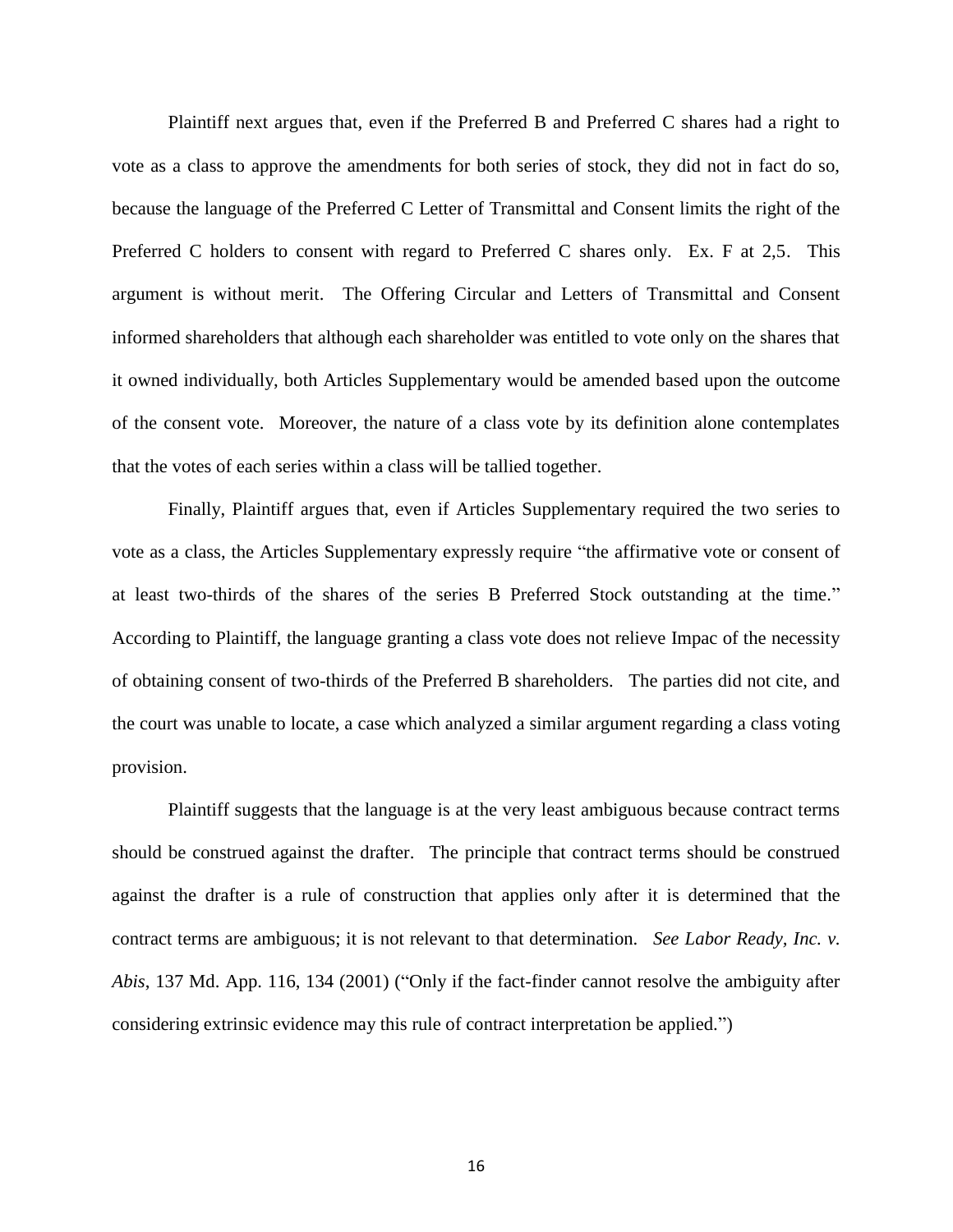Plaintiff next argues that, even if the Preferred B and Preferred C shares had a right to vote as a class to approve the amendments for both series of stock, they did not in fact do so, because the language of the Preferred C Letter of Transmittal and Consent limits the right of the Preferred C holders to consent with regard to Preferred C shares only. Ex. F at 2,5. This argument is without merit. The Offering Circular and Letters of Transmittal and Consent informed shareholders that although each shareholder was entitled to vote only on the shares that it owned individually, both Articles Supplementary would be amended based upon the outcome of the consent vote. Moreover, the nature of a class vote by its definition alone contemplates that the votes of each series within a class will be tallied together.

Finally, Plaintiff argues that, even if Articles Supplementary required the two series to vote as a class, the Articles Supplementary expressly require "the affirmative vote or consent of at least two-thirds of the shares of the series B Preferred Stock outstanding at the time." According to Plaintiff, the language granting a class vote does not relieve Impac of the necessity of obtaining consent of two-thirds of the Preferred B shareholders. The parties did not cite, and the court was unable to locate, a case which analyzed a similar argument regarding a class voting provision.

Plaintiff suggests that the language is at the very least ambiguous because contract terms should be construed against the drafter. The principle that contract terms should be construed against the drafter is a rule of construction that applies only after it is determined that the contract terms are ambiguous; it is not relevant to that determination. *See Labor Ready, Inc. v. Abis*, 137 Md. App. 116, 134 (2001) ("Only if the fact-finder cannot resolve the ambiguity after considering extrinsic evidence may this rule of contract interpretation be applied.")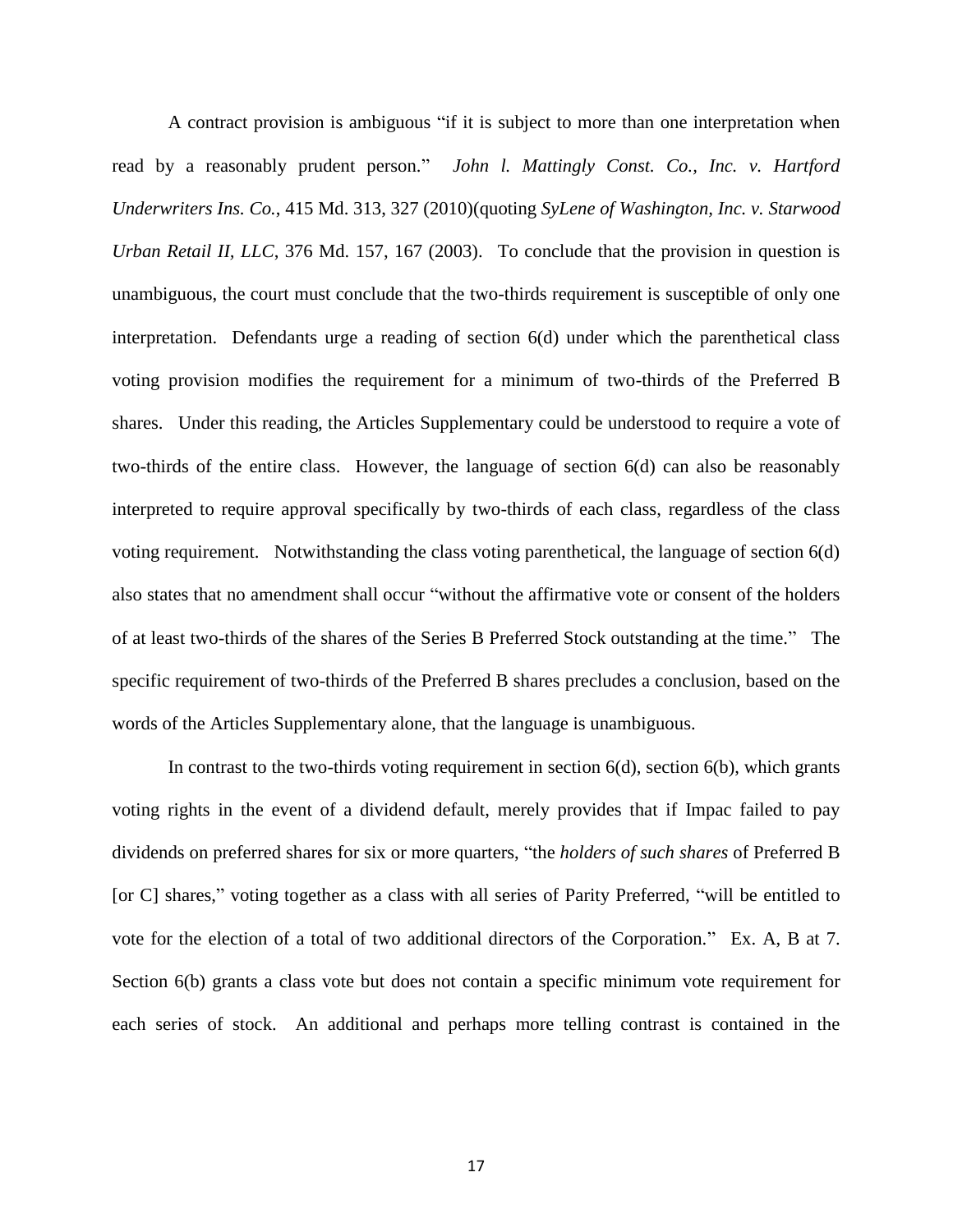A contract provision is ambiguous "if it is subject to more than one interpretation when read by a reasonably prudent person." *John l. Mattingly Const. Co., Inc. v. Hartford Underwriters Ins. Co.*, 415 Md. 313, 327 (2010)(quoting *SyLene of Washington, Inc. v. Starwood Urban Retail II, LLC*, 376 Md. 157, 167 (2003). To conclude that the provision in question is unambiguous, the court must conclude that the two-thirds requirement is susceptible of only one interpretation. Defendants urge a reading of section 6(d) under which the parenthetical class voting provision modifies the requirement for a minimum of two-thirds of the Preferred B shares. Under this reading, the Articles Supplementary could be understood to require a vote of two-thirds of the entire class. However, the language of section 6(d) can also be reasonably interpreted to require approval specifically by two-thirds of each class, regardless of the class voting requirement. Notwithstanding the class voting parenthetical, the language of section 6(d) also states that no amendment shall occur "without the affirmative vote or consent of the holders of at least two-thirds of the shares of the Series B Preferred Stock outstanding at the time." The specific requirement of two-thirds of the Preferred B shares precludes a conclusion, based on the words of the Articles Supplementary alone, that the language is unambiguous.

In contrast to the two-thirds voting requirement in section  $6(d)$ , section  $6(b)$ , which grants voting rights in the event of a dividend default, merely provides that if Impac failed to pay dividends on preferred shares for six or more quarters, "the *holders of such shares* of Preferred B [or C] shares," voting together as a class with all series of Parity Preferred, "will be entitled to vote for the election of a total of two additional directors of the Corporation." Ex. A, B at 7. Section 6(b) grants a class vote but does not contain a specific minimum vote requirement for each series of stock. An additional and perhaps more telling contrast is contained in the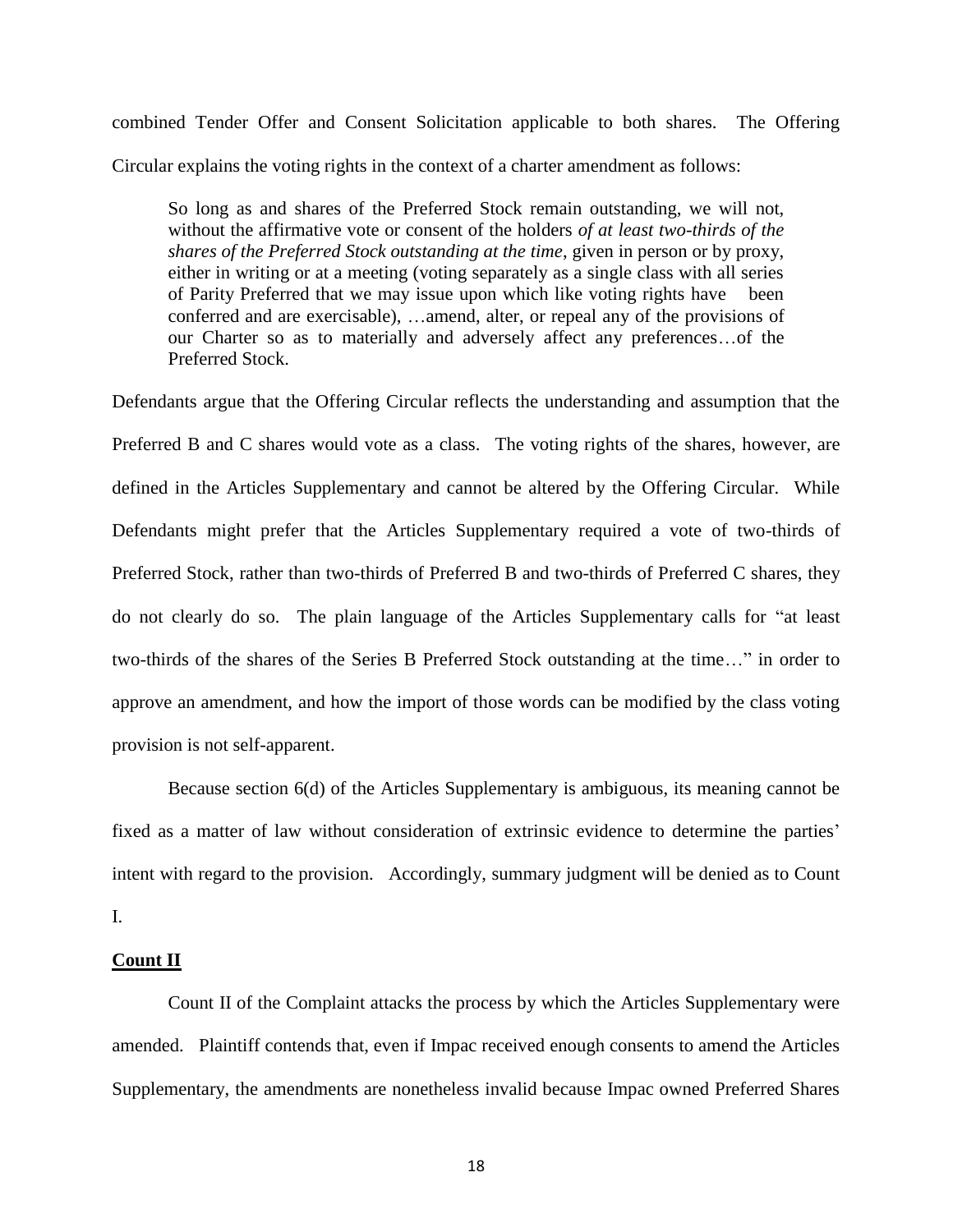combined Tender Offer and Consent Solicitation applicable to both shares. The Offering Circular explains the voting rights in the context of a charter amendment as follows:

So long as and shares of the Preferred Stock remain outstanding, we will not, without the affirmative vote or consent of the holders *of at least two-thirds of the shares of the Preferred Stock outstanding at the time*, given in person or by proxy, either in writing or at a meeting (voting separately as a single class with all series of Parity Preferred that we may issue upon which like voting rights have been conferred and are exercisable), …amend, alter, or repeal any of the provisions of our Charter so as to materially and adversely affect any preferences…of the Preferred Stock.

Defendants argue that the Offering Circular reflects the understanding and assumption that the Preferred B and C shares would vote as a class. The voting rights of the shares, however, are defined in the Articles Supplementary and cannot be altered by the Offering Circular. While Defendants might prefer that the Articles Supplementary required a vote of two-thirds of Preferred Stock, rather than two-thirds of Preferred B and two-thirds of Preferred C shares, they do not clearly do so. The plain language of the Articles Supplementary calls for "at least two-thirds of the shares of the Series B Preferred Stock outstanding at the time…" in order to approve an amendment, and how the import of those words can be modified by the class voting provision is not self-apparent.

Because section 6(d) of the Articles Supplementary is ambiguous, its meaning cannot be fixed as a matter of law without consideration of extrinsic evidence to determine the parties' intent with regard to the provision. Accordingly, summary judgment will be denied as to Count I.

# **Count II**

Count II of the Complaint attacks the process by which the Articles Supplementary were amended. Plaintiff contends that, even if Impac received enough consents to amend the Articles Supplementary, the amendments are nonetheless invalid because Impac owned Preferred Shares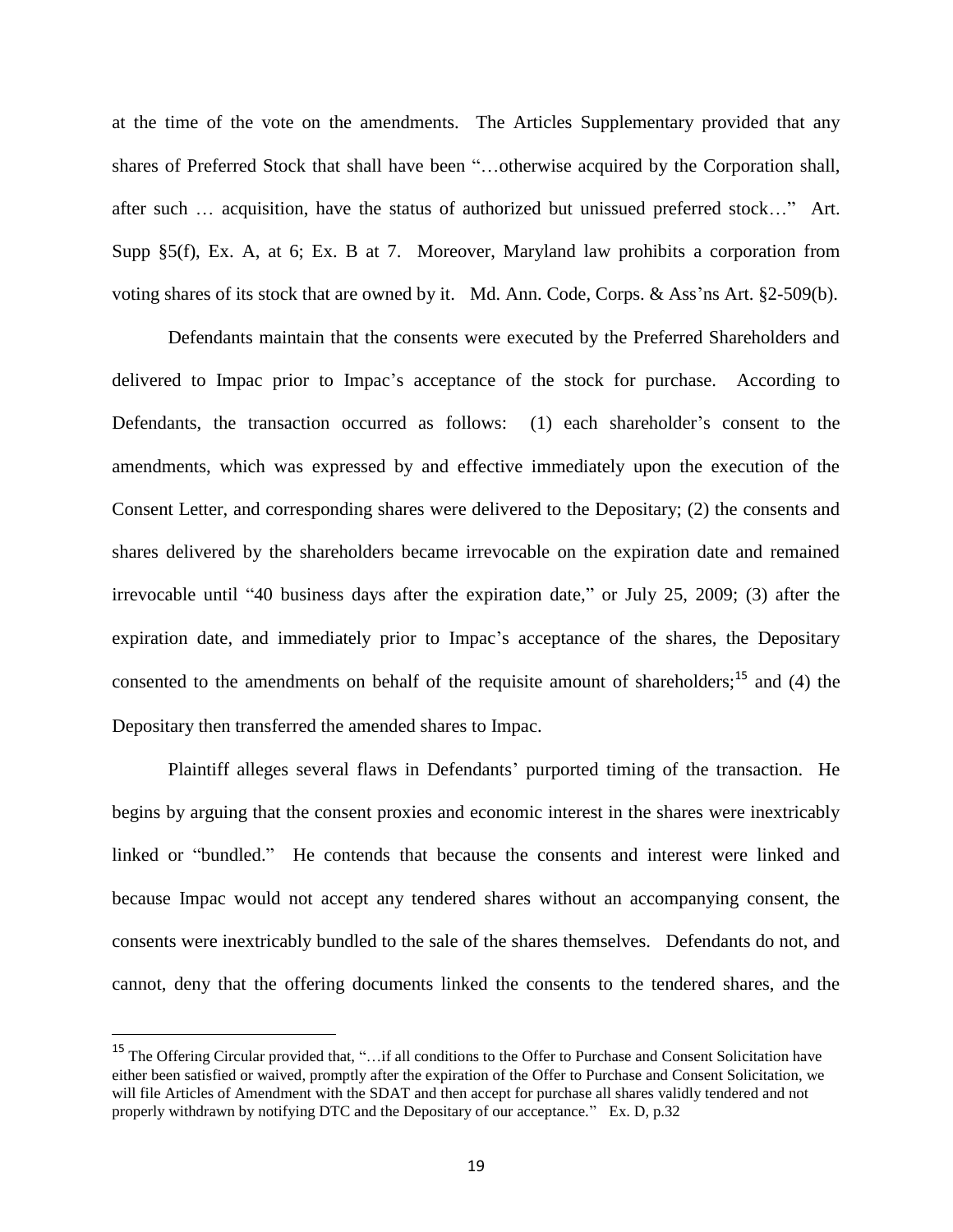at the time of the vote on the amendments. The Articles Supplementary provided that any shares of Preferred Stock that shall have been "…otherwise acquired by the Corporation shall, after such … acquisition, have the status of authorized but unissued preferred stock…" Art. Supp §5(f), Ex. A, at 6; Ex. B at 7. Moreover, Maryland law prohibits a corporation from voting shares of its stock that are owned by it. Md. Ann. Code, Corps. & Ass'ns Art. §2-509(b).

Defendants maintain that the consents were executed by the Preferred Shareholders and delivered to Impac prior to Impac"s acceptance of the stock for purchase. According to Defendants, the transaction occurred as follows: (1) each shareholder"s consent to the amendments, which was expressed by and effective immediately upon the execution of the Consent Letter, and corresponding shares were delivered to the Depositary; (2) the consents and shares delivered by the shareholders became irrevocable on the expiration date and remained irrevocable until "40 business days after the expiration date," or July 25, 2009; (3) after the expiration date, and immediately prior to Impac"s acceptance of the shares, the Depositary consented to the amendments on behalf of the requisite amount of shareholders;<sup>15</sup> and (4) the Depositary then transferred the amended shares to Impac.

Plaintiff alleges several flaws in Defendants' purported timing of the transaction. He begins by arguing that the consent proxies and economic interest in the shares were inextricably linked or "bundled." He contends that because the consents and interest were linked and because Impac would not accept any tendered shares without an accompanying consent, the consents were inextricably bundled to the sale of the shares themselves. Defendants do not, and cannot, deny that the offering documents linked the consents to the tendered shares, and the

<sup>&</sup>lt;sup>15</sup> The Offering Circular provided that, "...if all conditions to the Offer to Purchase and Consent Solicitation have either been satisfied or waived, promptly after the expiration of the Offer to Purchase and Consent Solicitation, we will file Articles of Amendment with the SDAT and then accept for purchase all shares validly tendered and not properly withdrawn by notifying DTC and the Depositary of our acceptance." Ex. D, p.32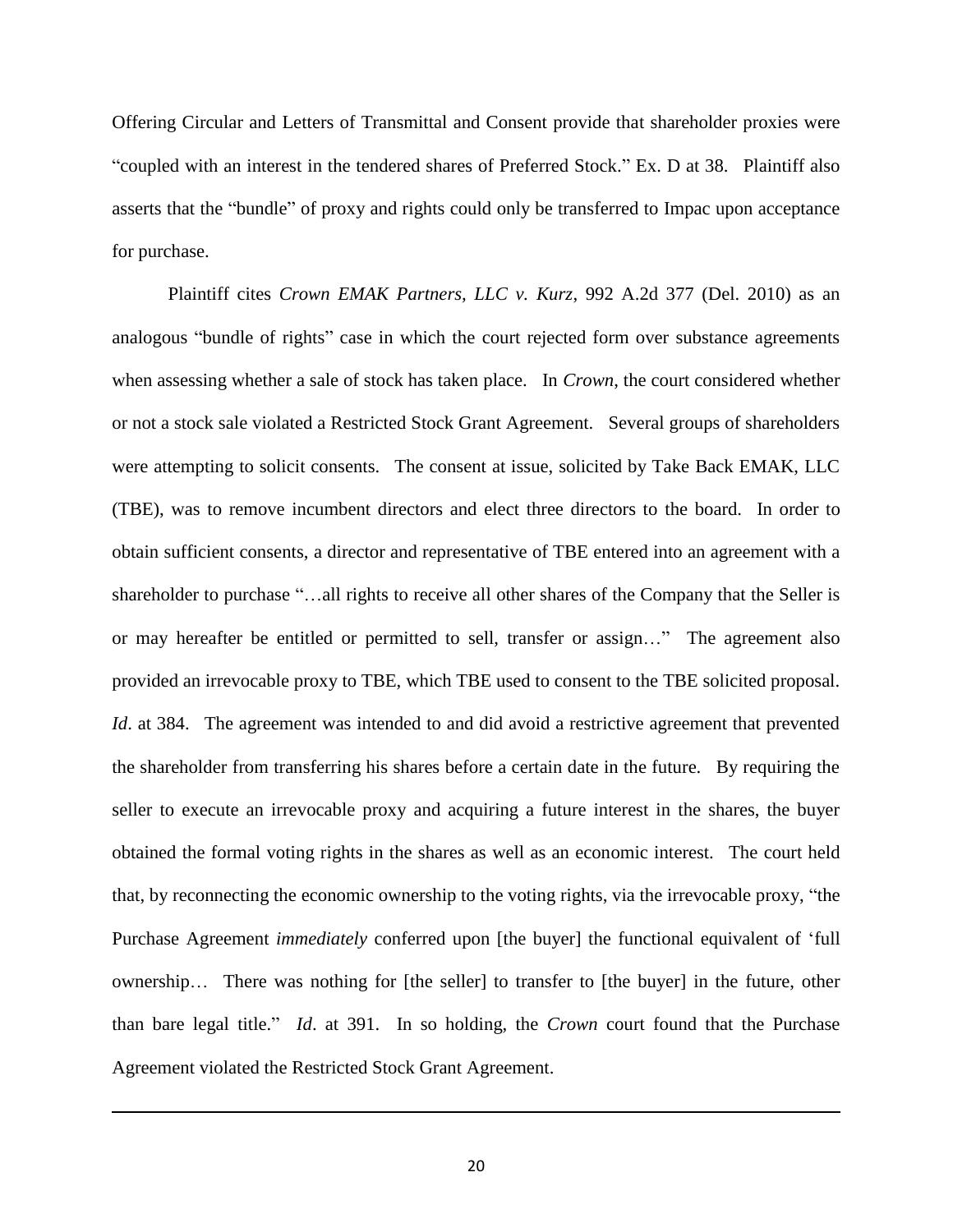Offering Circular and Letters of Transmittal and Consent provide that shareholder proxies were "coupled with an interest in the tendered shares of Preferred Stock." Ex. D at 38. Plaintiff also asserts that the "bundle" of proxy and rights could only be transferred to Impac upon acceptance for purchase.

Plaintiff cites *Crown EMAK Partners, LLC v. Kurz*, 992 A.2d 377 (Del. 2010) as an analogous "bundle of rights" case in which the court rejected form over substance agreements when assessing whether a sale of stock has taken place. In *Crown*, the court considered whether or not a stock sale violated a Restricted Stock Grant Agreement. Several groups of shareholders were attempting to solicit consents. The consent at issue, solicited by Take Back EMAK, LLC (TBE), was to remove incumbent directors and elect three directors to the board. In order to obtain sufficient consents, a director and representative of TBE entered into an agreement with a shareholder to purchase "…all rights to receive all other shares of the Company that the Seller is or may hereafter be entitled or permitted to sell, transfer or assign…" The agreement also provided an irrevocable proxy to TBE, which TBE used to consent to the TBE solicited proposal. *Id.* at 384. The agreement was intended to and did avoid a restrictive agreement that prevented the shareholder from transferring his shares before a certain date in the future. By requiring the seller to execute an irrevocable proxy and acquiring a future interest in the shares, the buyer obtained the formal voting rights in the shares as well as an economic interest. The court held that, by reconnecting the economic ownership to the voting rights, via the irrevocable proxy, "the Purchase Agreement *immediately* conferred upon [the buyer] the functional equivalent of "full ownership… There was nothing for [the seller] to transfer to [the buyer] in the future, other than bare legal title." *Id*. at 391. In so holding, the *Crown* court found that the Purchase Agreement violated the Restricted Stock Grant Agreement.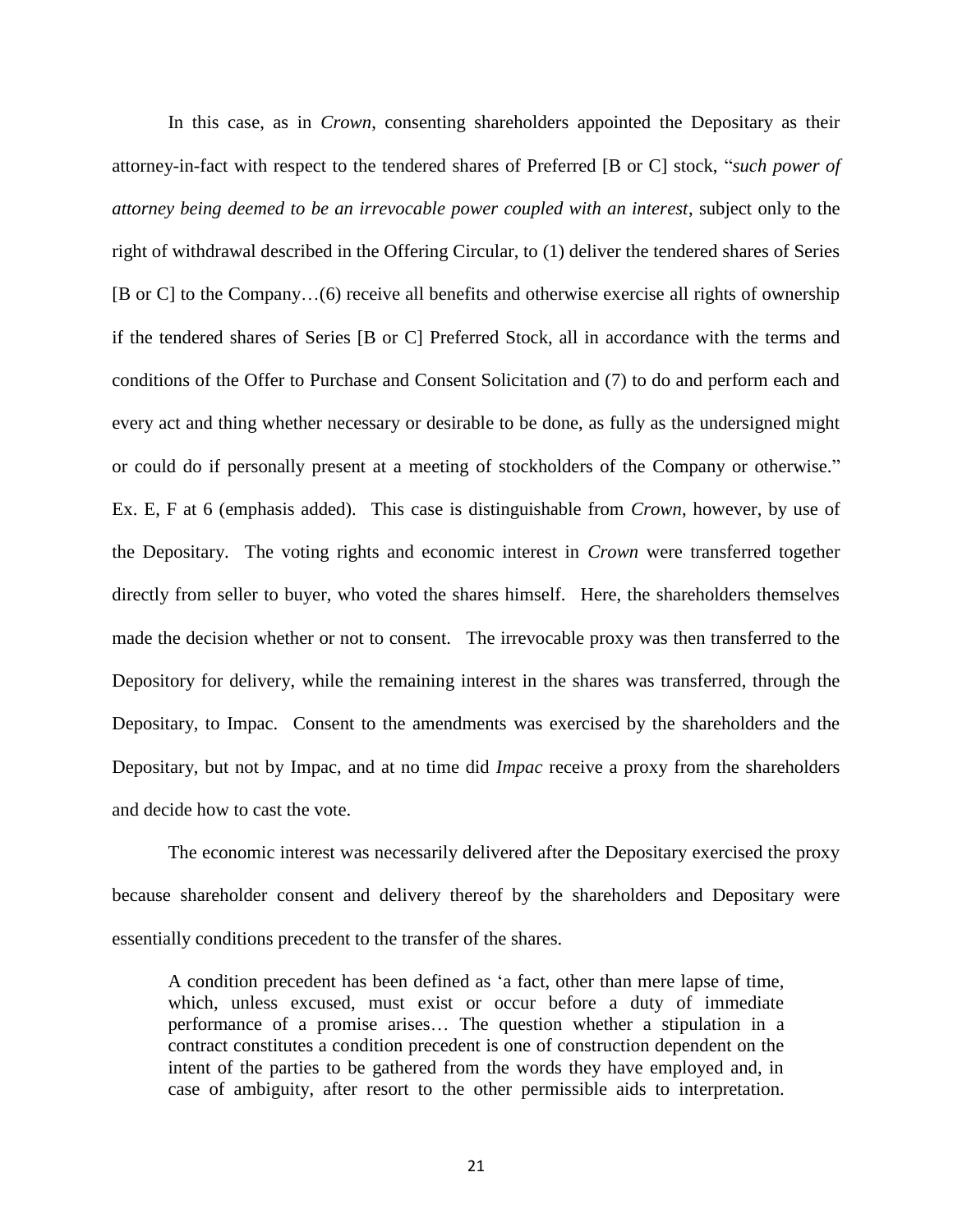In this case, as in *Crown*, consenting shareholders appointed the Depositary as their attorney-in-fact with respect to the tendered shares of Preferred [B or C] stock, "*such power of attorney being deemed to be an irrevocable power coupled with an interest*, subject only to the right of withdrawal described in the Offering Circular, to (1) deliver the tendered shares of Series [B or C] to the Company…(6) receive all benefits and otherwise exercise all rights of ownership if the tendered shares of Series [B or C] Preferred Stock, all in accordance with the terms and conditions of the Offer to Purchase and Consent Solicitation and (7) to do and perform each and every act and thing whether necessary or desirable to be done, as fully as the undersigned might or could do if personally present at a meeting of stockholders of the Company or otherwise." Ex. E, F at 6 (emphasis added). This case is distinguishable from *Crown*, however, by use of the Depositary. The voting rights and economic interest in *Crown* were transferred together directly from seller to buyer, who voted the shares himself. Here, the shareholders themselves made the decision whether or not to consent. The irrevocable proxy was then transferred to the Depository for delivery, while the remaining interest in the shares was transferred, through the Depositary, to Impac. Consent to the amendments was exercised by the shareholders and the Depositary, but not by Impac, and at no time did *Impac* receive a proxy from the shareholders and decide how to cast the vote.

The economic interest was necessarily delivered after the Depositary exercised the proxy because shareholder consent and delivery thereof by the shareholders and Depositary were essentially conditions precedent to the transfer of the shares.

A condition precedent has been defined as "a fact, other than mere lapse of time, which, unless excused, must exist or occur before a duty of immediate performance of a promise arises… The question whether a stipulation in a contract constitutes a condition precedent is one of construction dependent on the intent of the parties to be gathered from the words they have employed and, in case of ambiguity, after resort to the other permissible aids to interpretation.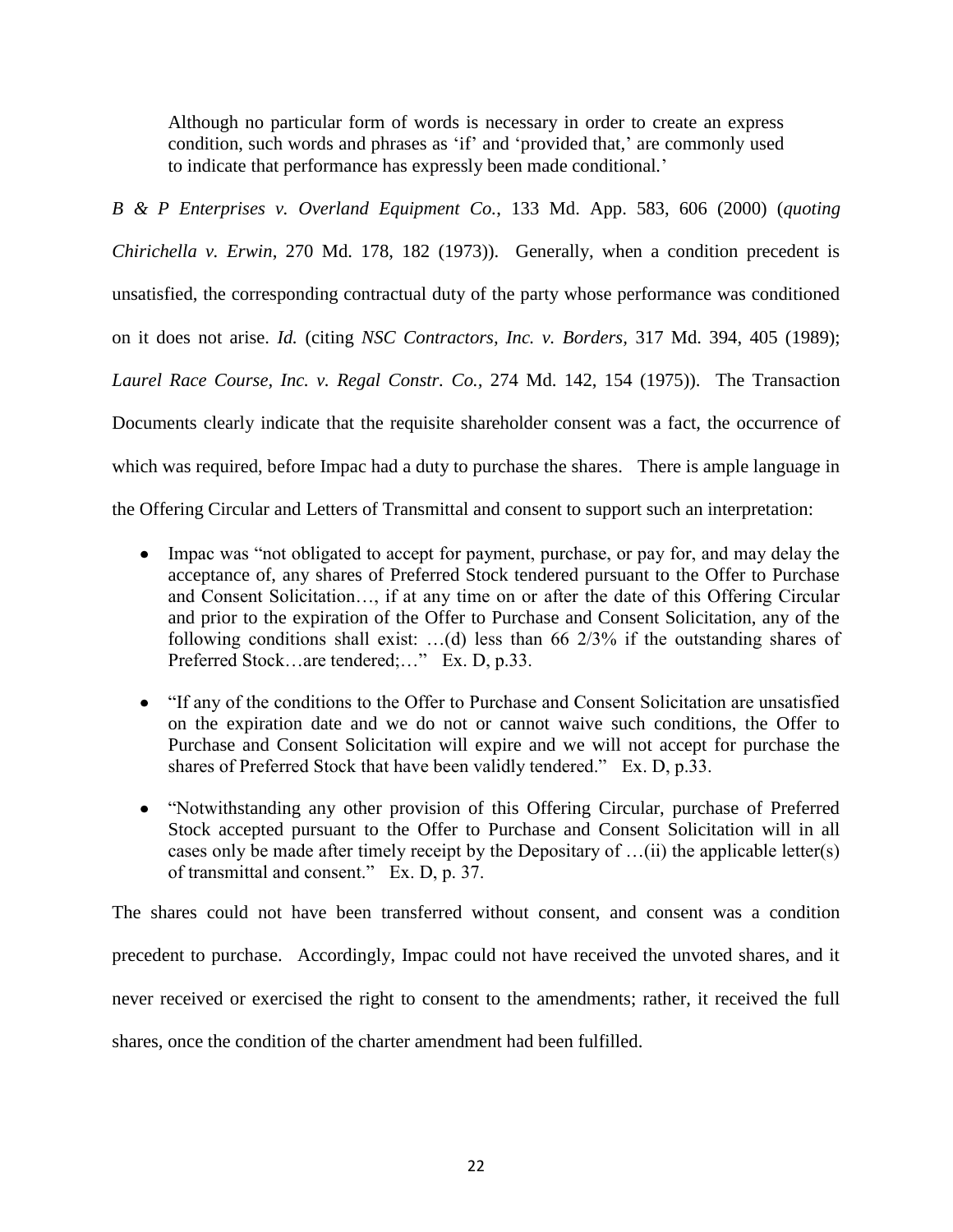Although no particular form of words is necessary in order to create an express condition, such words and phrases as 'if' and 'provided that,' are commonly used to indicate that performance has expressly been made conditional*.*"

*B & P Enterprises v. Overland Equipment Co.*, 133 Md. App. 583, 606 (2000) (*quoting Chirichella v. Erwin*, 270 Md. 178, 182 (1973)). Generally, when a condition precedent is unsatisfied, the corresponding contractual duty of the party whose performance was conditioned on it does not arise. *Id.* (citing *NSC Contractors, Inc. v. Borders,* 317 Md. 394, 405 (1989); *Laurel Race Course, Inc. v. Regal Constr. Co.,* 274 Md. 142, 154 (1975)). The Transaction Documents clearly indicate that the requisite shareholder consent was a fact, the occurrence of which was required, before Impac had a duty to purchase the shares. There is ample language in the Offering Circular and Letters of Transmittal and consent to support such an interpretation:

- Impac was "not obligated to accept for payment, purchase, or pay for, and may delay the acceptance of, any shares of Preferred Stock tendered pursuant to the Offer to Purchase and Consent Solicitation…, if at any time on or after the date of this Offering Circular and prior to the expiration of the Offer to Purchase and Consent Solicitation, any of the following conditions shall exist: …(d) less than 66 2/3% if the outstanding shares of Preferred Stock…are tendered;…" Ex. D, p.33.
- "If any of the conditions to the Offer to Purchase and Consent Solicitation are unsatisfied on the expiration date and we do not or cannot waive such conditions, the Offer to Purchase and Consent Solicitation will expire and we will not accept for purchase the shares of Preferred Stock that have been validly tendered." Ex. D, p.33.
- "Notwithstanding any other provision of this Offering Circular, purchase of Preferred Stock accepted pursuant to the Offer to Purchase and Consent Solicitation will in all cases only be made after timely receipt by the Depositary of …(ii) the applicable letter(s) of transmittal and consent." Ex. D, p. 37.

The shares could not have been transferred without consent, and consent was a condition

precedent to purchase. Accordingly, Impac could not have received the unvoted shares, and it

never received or exercised the right to consent to the amendments; rather, it received the full

shares, once the condition of the charter amendment had been fulfilled.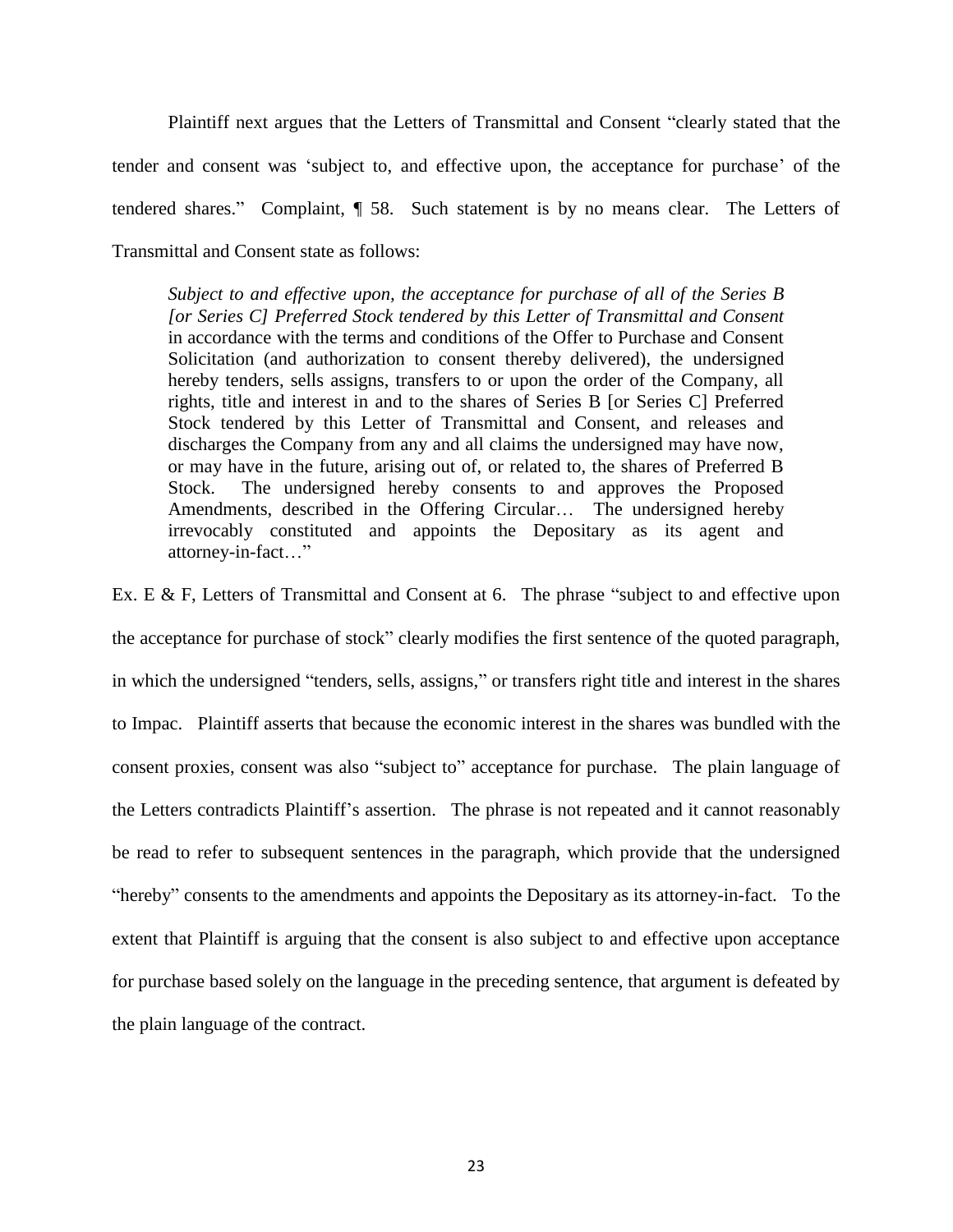Plaintiff next argues that the Letters of Transmittal and Consent "clearly stated that the tender and consent was "subject to, and effective upon, the acceptance for purchase" of the tendered shares." Complaint, ¶ 58. Such statement is by no means clear. The Letters of Transmittal and Consent state as follows:

*Subject to and effective upon, the acceptance for purchase of all of the Series B [or Series C] Preferred Stock tendered by this Letter of Transmittal and Consent* in accordance with the terms and conditions of the Offer to Purchase and Consent Solicitation (and authorization to consent thereby delivered), the undersigned hereby tenders, sells assigns, transfers to or upon the order of the Company, all rights, title and interest in and to the shares of Series B [or Series C] Preferred Stock tendered by this Letter of Transmittal and Consent, and releases and discharges the Company from any and all claims the undersigned may have now, or may have in the future, arising out of, or related to, the shares of Preferred B Stock. The undersigned hereby consents to and approves the Proposed Amendments, described in the Offering Circular… The undersigned hereby irrevocably constituted and appoints the Depositary as its agent and attorney-in-fact…"

Ex. E & F, Letters of Transmittal and Consent at 6. The phrase "subject to and effective upon the acceptance for purchase of stock" clearly modifies the first sentence of the quoted paragraph, in which the undersigned "tenders, sells, assigns," or transfers right title and interest in the shares to Impac. Plaintiff asserts that because the economic interest in the shares was bundled with the consent proxies, consent was also "subject to" acceptance for purchase. The plain language of the Letters contradicts Plaintiff"s assertion. The phrase is not repeated and it cannot reasonably be read to refer to subsequent sentences in the paragraph, which provide that the undersigned "hereby" consents to the amendments and appoints the Depositary as its attorney-in-fact. To the extent that Plaintiff is arguing that the consent is also subject to and effective upon acceptance for purchase based solely on the language in the preceding sentence, that argument is defeated by the plain language of the contract.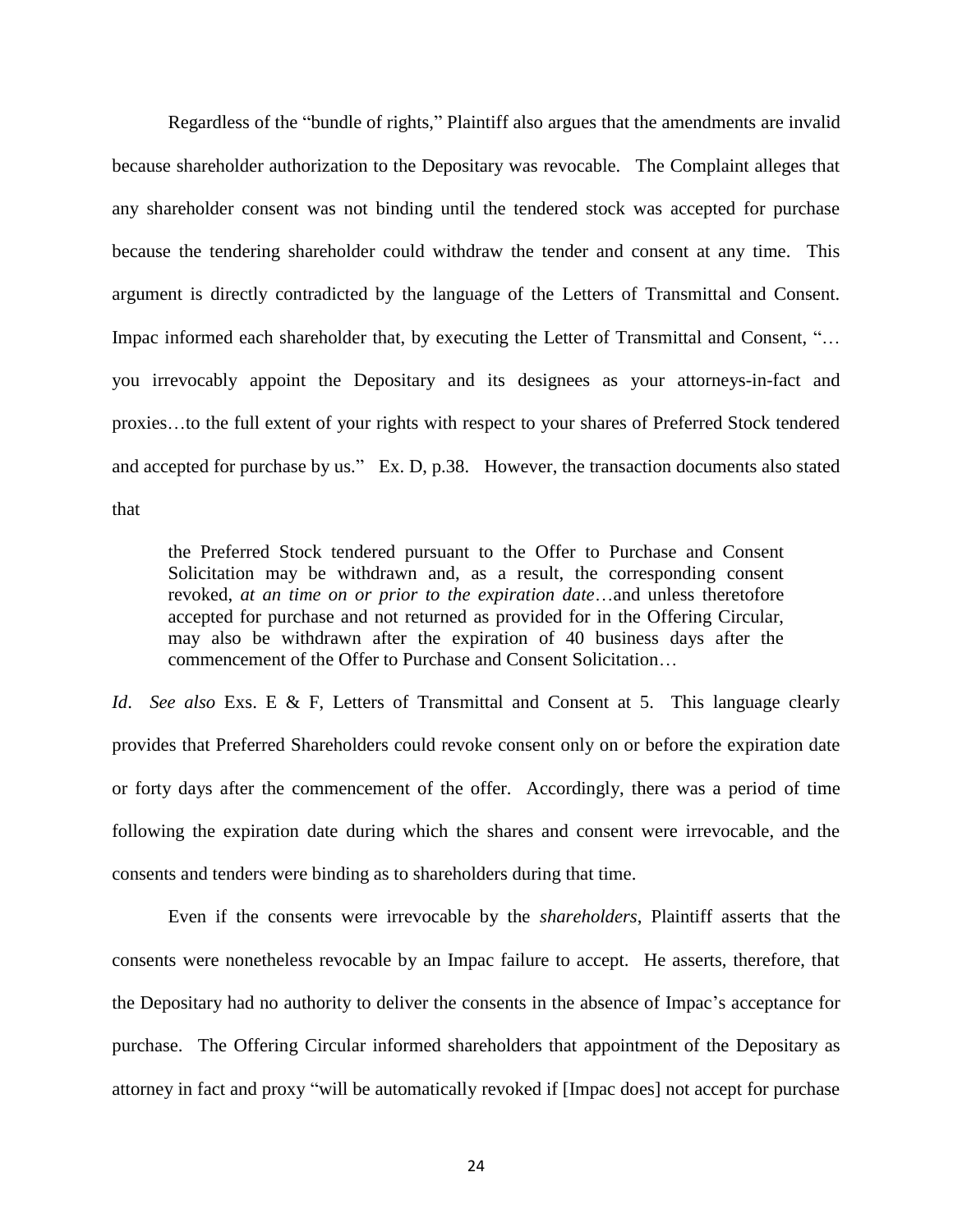Regardless of the "bundle of rights," Plaintiff also argues that the amendments are invalid because shareholder authorization to the Depositary was revocable. The Complaint alleges that any shareholder consent was not binding until the tendered stock was accepted for purchase because the tendering shareholder could withdraw the tender and consent at any time. This argument is directly contradicted by the language of the Letters of Transmittal and Consent. Impac informed each shareholder that, by executing the Letter of Transmittal and Consent, "... you irrevocably appoint the Depositary and its designees as your attorneys-in-fact and proxies…to the full extent of your rights with respect to your shares of Preferred Stock tendered and accepted for purchase by us." Ex. D, p.38. However, the transaction documents also stated that

the Preferred Stock tendered pursuant to the Offer to Purchase and Consent Solicitation may be withdrawn and, as a result, the corresponding consent revoked, *at an time on or prior to the expiration date*…and unless theretofore accepted for purchase and not returned as provided for in the Offering Circular, may also be withdrawn after the expiration of 40 business days after the commencement of the Offer to Purchase and Consent Solicitation…

*Id. See also* Exs. E & F, Letters of Transmittal and Consent at 5. This language clearly provides that Preferred Shareholders could revoke consent only on or before the expiration date or forty days after the commencement of the offer. Accordingly, there was a period of time following the expiration date during which the shares and consent were irrevocable, and the consents and tenders were binding as to shareholders during that time.

Even if the consents were irrevocable by the *shareholders*, Plaintiff asserts that the consents were nonetheless revocable by an Impac failure to accept. He asserts, therefore, that the Depositary had no authority to deliver the consents in the absence of Impac"s acceptance for purchase. The Offering Circular informed shareholders that appointment of the Depositary as attorney in fact and proxy "will be automatically revoked if [Impac does] not accept for purchase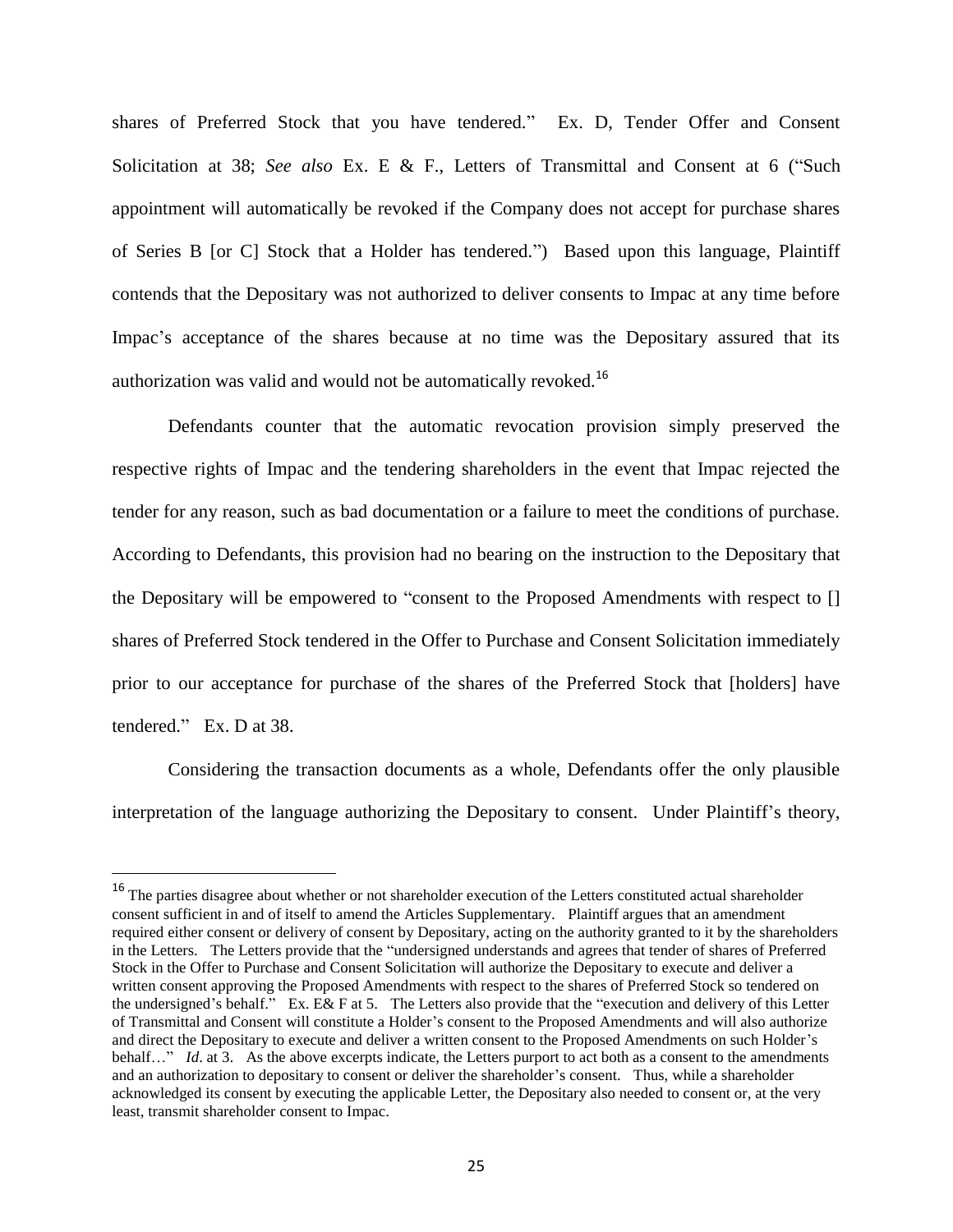shares of Preferred Stock that you have tendered." Ex. D, Tender Offer and Consent Solicitation at 38; *See also* Ex. E & F., Letters of Transmittal and Consent at 6 ("Such appointment will automatically be revoked if the Company does not accept for purchase shares of Series B [or C] Stock that a Holder has tendered.") Based upon this language, Plaintiff contends that the Depositary was not authorized to deliver consents to Impac at any time before Impac's acceptance of the shares because at no time was the Depositary assured that its authorization was valid and would not be automatically revoked.<sup>16</sup>

Defendants counter that the automatic revocation provision simply preserved the respective rights of Impac and the tendering shareholders in the event that Impac rejected the tender for any reason, such as bad documentation or a failure to meet the conditions of purchase. According to Defendants, this provision had no bearing on the instruction to the Depositary that the Depositary will be empowered to "consent to the Proposed Amendments with respect to [] shares of Preferred Stock tendered in the Offer to Purchase and Consent Solicitation immediately prior to our acceptance for purchase of the shares of the Preferred Stock that [holders] have tendered." Ex. D at 38.

Considering the transaction documents as a whole, Defendants offer the only plausible interpretation of the language authorizing the Depositary to consent. Under Plaintiff's theory,

 $16$  The parties disagree about whether or not shareholder execution of the Letters constituted actual shareholder consent sufficient in and of itself to amend the Articles Supplementary. Plaintiff argues that an amendment required either consent or delivery of consent by Depositary, acting on the authority granted to it by the shareholders in the Letters. The Letters provide that the "undersigned understands and agrees that tender of shares of Preferred Stock in the Offer to Purchase and Consent Solicitation will authorize the Depositary to execute and deliver a written consent approving the Proposed Amendments with respect to the shares of Preferred Stock so tendered on the undersigned"s behalf." Ex. E& F at 5. The Letters also provide that the "execution and delivery of this Letter of Transmittal and Consent will constitute a Holder"s consent to the Proposed Amendments and will also authorize and direct the Depositary to execute and deliver a written consent to the Proposed Amendments on such Holder"s behalf…" *Id*. at 3. As the above excerpts indicate, the Letters purport to act both as a consent to the amendments and an authorization to depositary to consent or deliver the shareholder"s consent. Thus, while a shareholder acknowledged its consent by executing the applicable Letter, the Depositary also needed to consent or, at the very least, transmit shareholder consent to Impac.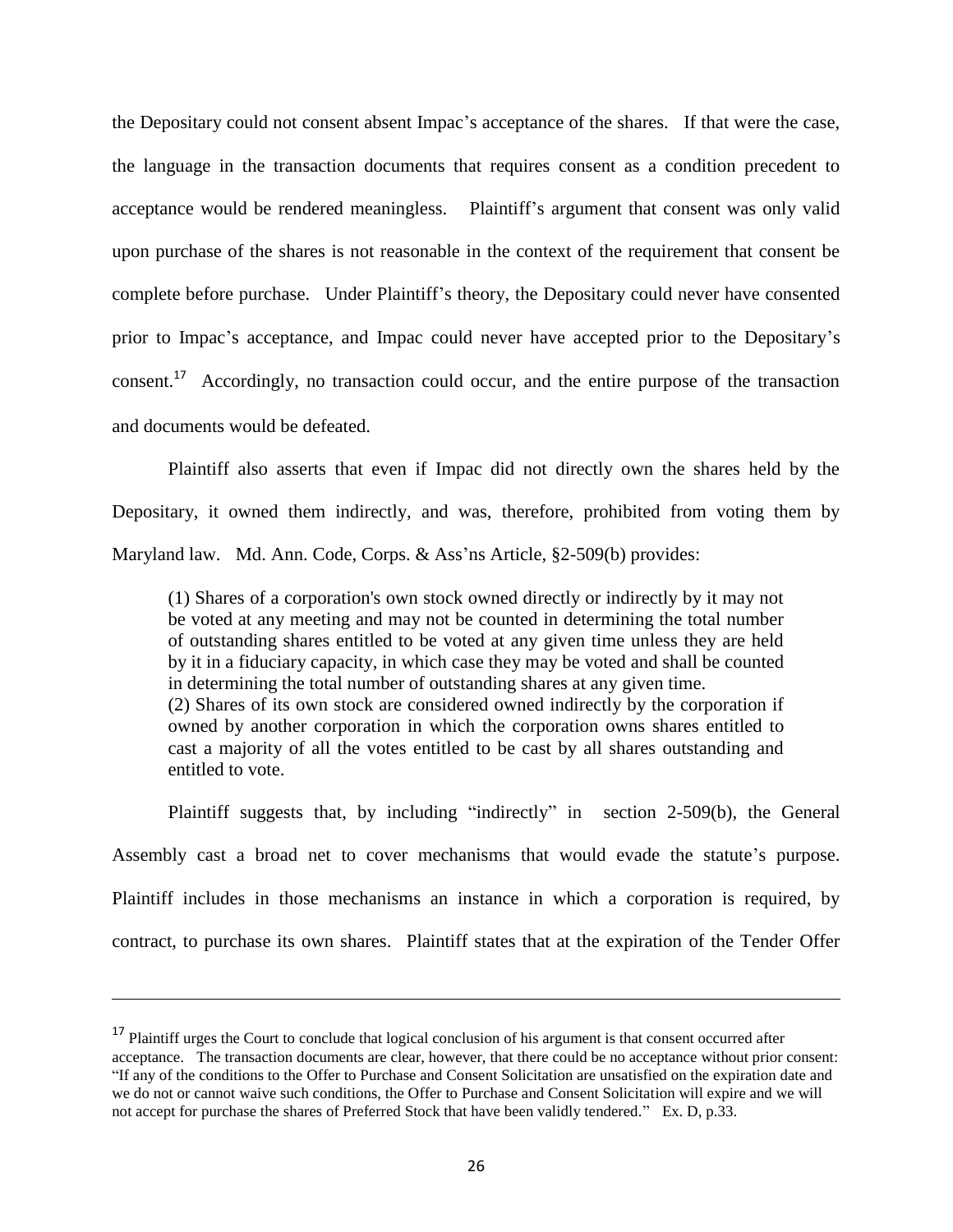the Depositary could not consent absent Impac"s acceptance of the shares. If that were the case, the language in the transaction documents that requires consent as a condition precedent to acceptance would be rendered meaningless. Plaintiff"s argument that consent was only valid upon purchase of the shares is not reasonable in the context of the requirement that consent be complete before purchase. Under Plaintiff"s theory, the Depositary could never have consented prior to Impac"s acceptance, and Impac could never have accepted prior to the Depositary"s consent.<sup>17</sup> Accordingly, no transaction could occur, and the entire purpose of the transaction and documents would be defeated.

Plaintiff also asserts that even if Impac did not directly own the shares held by the Depositary, it owned them indirectly, and was, therefore, prohibited from voting them by Maryland law. Md. Ann. Code, Corps. & Ass'ns Article, §2-509(b) provides:

(1) Shares of a corporation's own stock owned directly or indirectly by it may not be voted at any meeting and may not be counted in determining the total number of outstanding shares entitled to be voted at any given time unless they are held by it in a fiduciary capacity, in which case they may be voted and shall be counted in determining the total number of outstanding shares at any given time. (2) Shares of its own stock are considered owned indirectly by the corporation if owned by another corporation in which the corporation owns shares entitled to cast a majority of all the votes entitled to be cast by all shares outstanding and entitled to vote.

Plaintiff suggests that, by including "indirectly" in section 2-509(b), the General Assembly cast a broad net to cover mechanisms that would evade the statute's purpose. Plaintiff includes in those mechanisms an instance in which a corporation is required, by contract, to purchase its own shares. Plaintiff states that at the expiration of the Tender Offer

<sup>&</sup>lt;sup>17</sup> Plaintiff urges the Court to conclude that logical conclusion of his argument is that consent occurred after acceptance. The transaction documents are clear, however, that there could be no acceptance without prior consent: "If any of the conditions to the Offer to Purchase and Consent Solicitation are unsatisfied on the expiration date and we do not or cannot waive such conditions, the Offer to Purchase and Consent Solicitation will expire and we will not accept for purchase the shares of Preferred Stock that have been validly tendered." Ex. D, p.33.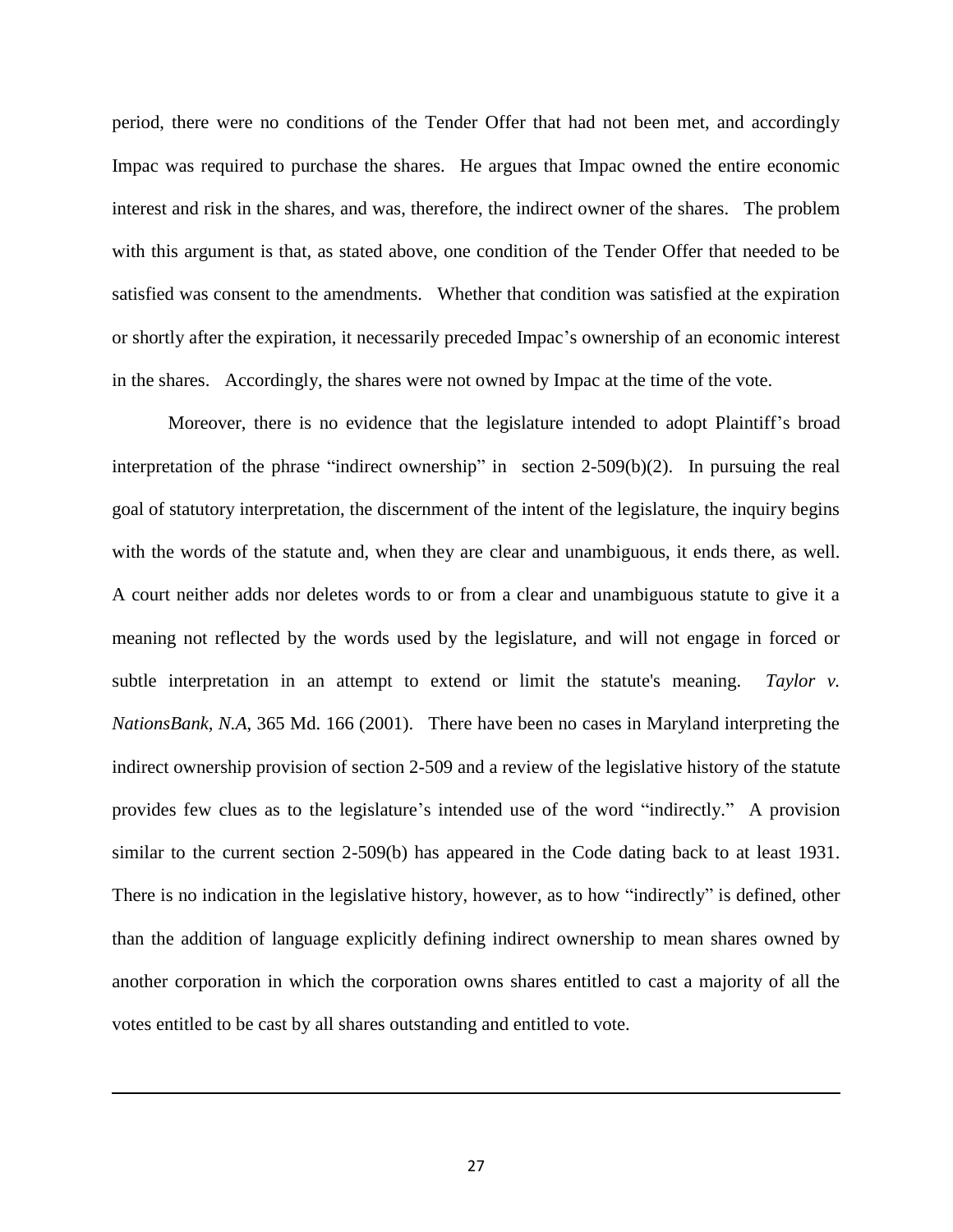period, there were no conditions of the Tender Offer that had not been met, and accordingly Impac was required to purchase the shares. He argues that Impac owned the entire economic interest and risk in the shares, and was, therefore, the indirect owner of the shares. The problem with this argument is that, as stated above, one condition of the Tender Offer that needed to be satisfied was consent to the amendments. Whether that condition was satisfied at the expiration or shortly after the expiration, it necessarily preceded Impac"s ownership of an economic interest in the shares. Accordingly, the shares were not owned by Impac at the time of the vote.

Moreover, there is no evidence that the legislature intended to adopt Plaintiff"s broad interpretation of the phrase "indirect ownership" in section 2-509(b)(2). In pursuing the real goal of statutory interpretation, the discernment of the intent of the legislature, the inquiry begins with the words of the statute and, when they are clear and unambiguous, it ends there, as well. A court neither adds nor deletes words to or from a clear and unambiguous statute to give it a meaning not reflected by the words used by the legislature, and will not engage in forced or subtle interpretation in an attempt to extend or limit the statute's meaning. *Taylor v. NationsBank, N.A*, 365 Md. 166 (2001). There have been no cases in Maryland interpreting the indirect ownership provision of section 2-509 and a review of the legislative history of the statute provides few clues as to the legislature"s intended use of the word "indirectly." A provision similar to the current section 2-509(b) has appeared in the Code dating back to at least 1931. There is no indication in the legislative history, however, as to how "indirectly" is defined, other than the addition of language explicitly defining indirect ownership to mean shares owned by another corporation in which the corporation owns shares entitled to cast a majority of all the votes entitled to be cast by all shares outstanding and entitled to vote.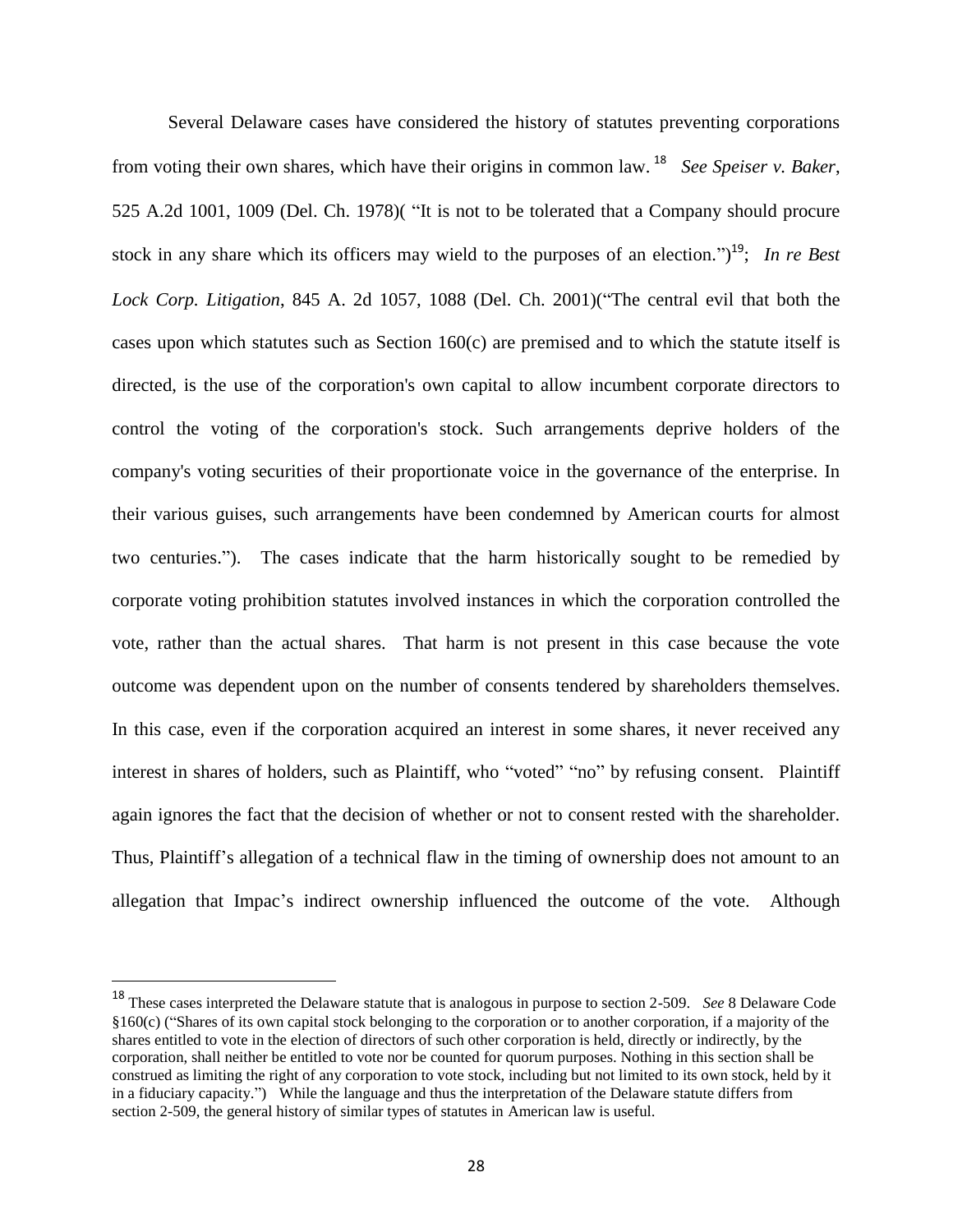Several Delaware cases have considered the history of statutes preventing corporations from voting their own shares, which have their origins in common law. <sup>18</sup> *See Speiser v. Baker*, 525 A.2d 1001, 1009 (Del. Ch. 1978)( "It is not to be tolerated that a Company should procure stock in any share which its officers may wield to the purposes of an election.")<sup>19</sup>; In re Best *Lock Corp. Litigation*, 845 A. 2d 1057, 1088 (Del. Ch. 2001)("The central evil that both the cases upon which statutes such as Section 160(c) are premised and to which the statute itself is directed, is the use of the corporation's own capital to allow incumbent corporate directors to control the voting of the corporation's stock. Such arrangements deprive holders of the company's voting securities of their proportionate voice in the governance of the enterprise. In their various guises, such arrangements have been condemned by American courts for almost two centuries."). The cases indicate that the harm historically sought to be remedied by corporate voting prohibition statutes involved instances in which the corporation controlled the vote, rather than the actual shares. That harm is not present in this case because the vote outcome was dependent upon on the number of consents tendered by shareholders themselves. In this case, even if the corporation acquired an interest in some shares, it never received any interest in shares of holders, such as Plaintiff, who "voted" "no" by refusing consent. Plaintiff again ignores the fact that the decision of whether or not to consent rested with the shareholder. Thus, Plaintiff"s allegation of a technical flaw in the timing of ownership does not amount to an allegation that Impac"s indirect ownership influenced the outcome of the vote. Although

<sup>18</sup> These cases interpreted the Delaware statute that is analogous in purpose to section 2-509. *See* 8 Delaware Code  $§160(c)$  ("Shares of its own capital stock belonging to the corporation or to another corporation, if a majority of the shares entitled to vote in the election of directors of such other corporation is held, directly or indirectly, by the corporation, shall neither be entitled to vote nor be counted for quorum purposes. Nothing in this section shall be construed as limiting the right of any corporation to vote stock, including but not limited to its own stock, held by it in a fiduciary capacity.") While the language and thus the interpretation of the Delaware statute differs from section 2-509, the general history of similar types of statutes in American law is useful.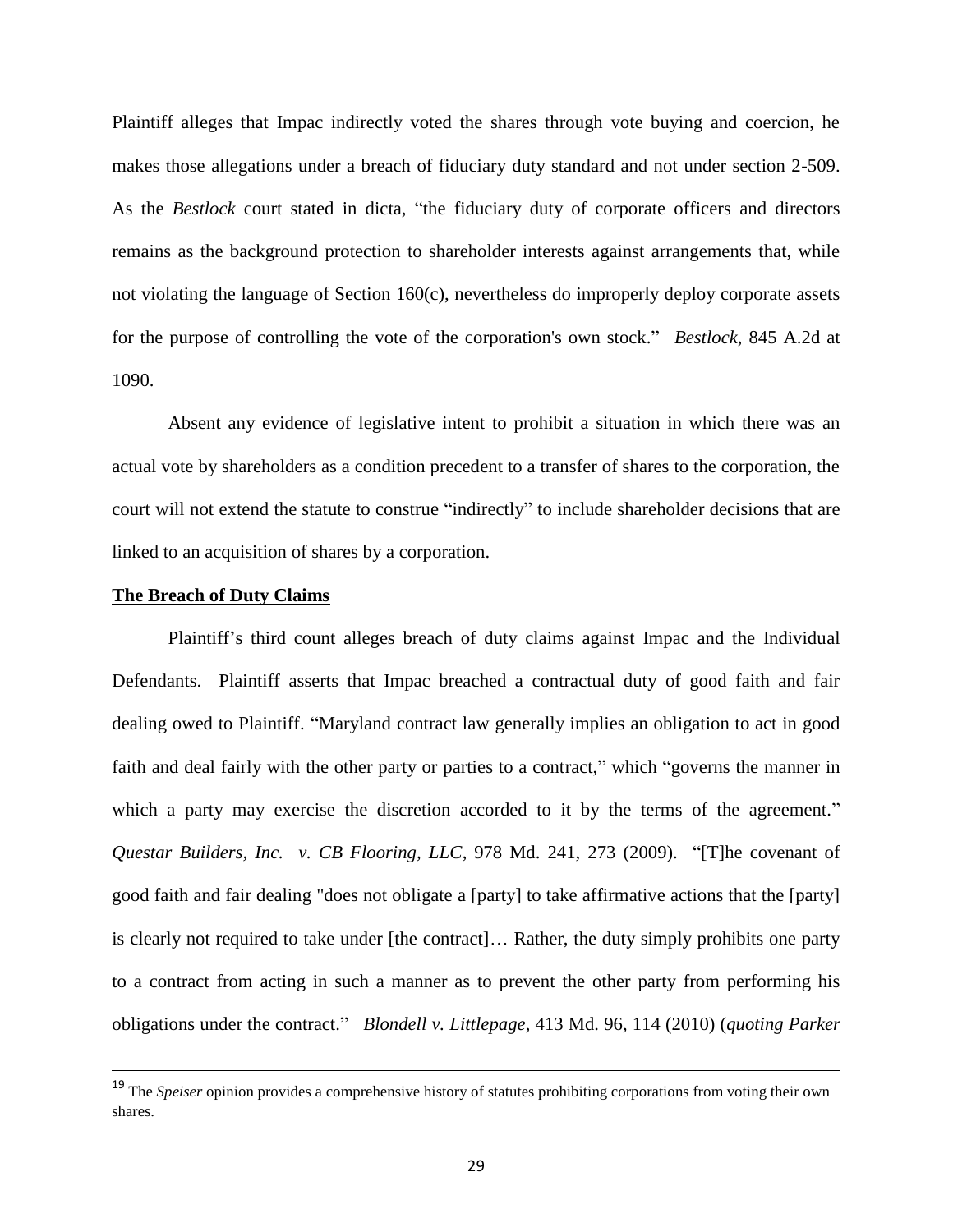Plaintiff alleges that Impac indirectly voted the shares through vote buying and coercion, he makes those allegations under a breach of fiduciary duty standard and not under section 2-509. As the *Bestlock* court stated in dicta, "the fiduciary duty of corporate officers and directors remains as the background protection to shareholder interests against arrangements that, while not violating the language of Section 160(c), nevertheless do improperly deploy corporate assets for the purpose of controlling the vote of the corporation's own stock." *Bestlock*, 845 A.2d at 1090.

Absent any evidence of legislative intent to prohibit a situation in which there was an actual vote by shareholders as a condition precedent to a transfer of shares to the corporation, the court will not extend the statute to construe "indirectly" to include shareholder decisions that are linked to an acquisition of shares by a corporation.

## **The Breach of Duty Claims**

 $\overline{a}$ 

Plaintiff"s third count alleges breach of duty claims against Impac and the Individual Defendants. Plaintiff asserts that Impac breached a contractual duty of good faith and fair dealing owed to Plaintiff. "Maryland contract law generally implies an obligation to act in good faith and deal fairly with the other party or parties to a contract," which "governs the manner in which a party may exercise the discretion accorded to it by the terms of the agreement." *Questar Builders, Inc. v. CB Flooring, LLC*, 978 Md. 241, 273 (2009). "[T]he covenant of good faith and fair dealing "does not obligate a [party] to take affirmative actions that the [party] is clearly not required to take under [the contract]… Rather, the duty simply prohibits one party to a contract from acting in such a manner as to prevent the other party from performing his obligations under the contract." *Blondell v. Littlepage*, 413 Md. 96, 114 (2010) (*quoting Parker* 

<sup>19</sup> The *Speiser* opinion provides a comprehensive history of statutes prohibiting corporations from voting their own shares.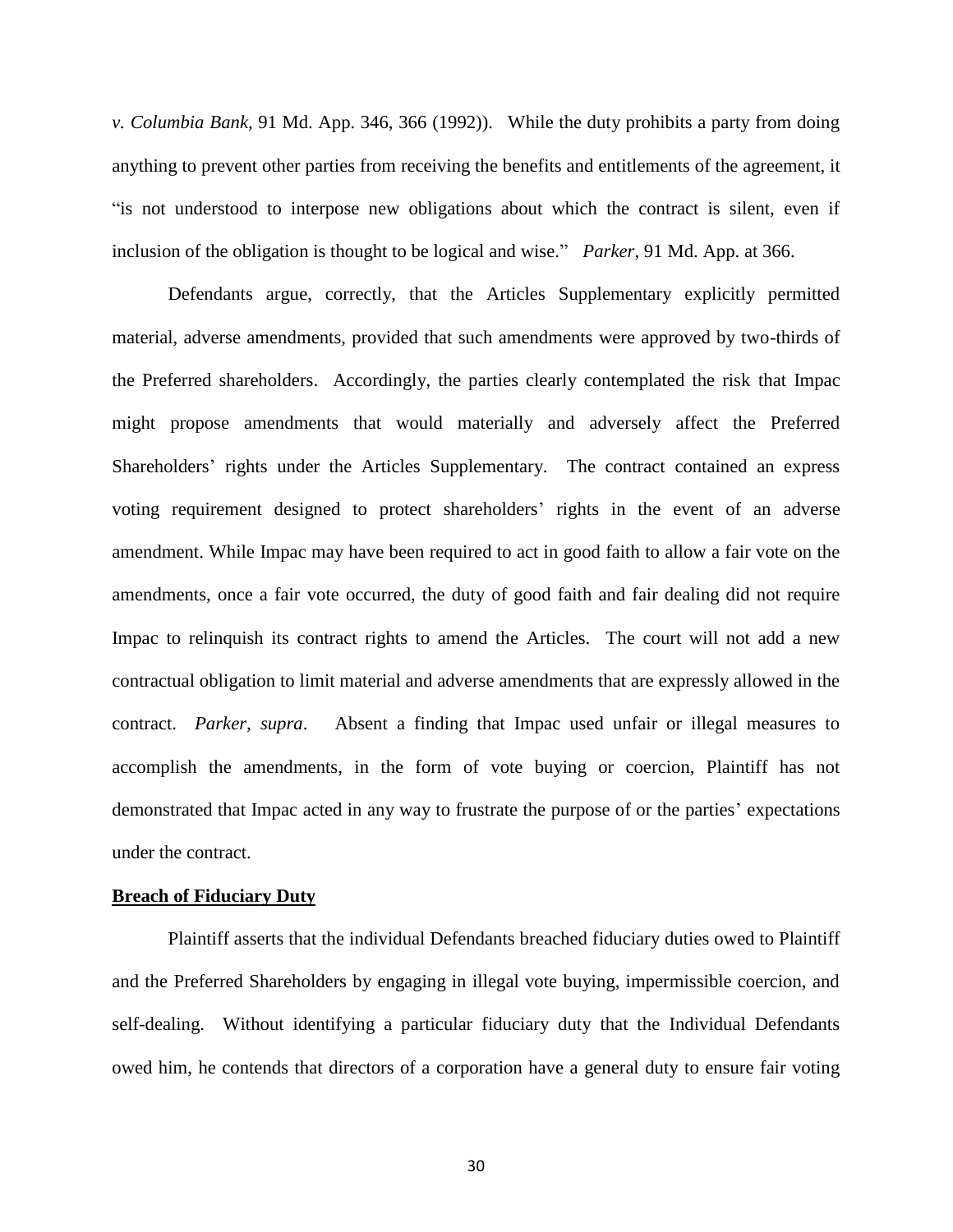*v. Columbia Bank,* 91 Md. App. 346, 366 (1992)). While the duty prohibits a party from doing anything to prevent other parties from receiving the benefits and entitlements of the agreement, it "is not understood to interpose new obligations about which the contract is silent, even if inclusion of the obligation is thought to be logical and wise." *Parker*, 91 Md. App. at 366.

Defendants argue, correctly, that the Articles Supplementary explicitly permitted material, adverse amendments, provided that such amendments were approved by two-thirds of the Preferred shareholders. Accordingly, the parties clearly contemplated the risk that Impac might propose amendments that would materially and adversely affect the Preferred Shareholders" rights under the Articles Supplementary. The contract contained an express voting requirement designed to protect shareholders' rights in the event of an adverse amendment. While Impac may have been required to act in good faith to allow a fair vote on the amendments, once a fair vote occurred, the duty of good faith and fair dealing did not require Impac to relinquish its contract rights to amend the Articles. The court will not add a new contractual obligation to limit material and adverse amendments that are expressly allowed in the contract. *Parker, supra*. Absent a finding that Impac used unfair or illegal measures to accomplish the amendments, in the form of vote buying or coercion, Plaintiff has not demonstrated that Impac acted in any way to frustrate the purpose of or the parties' expectations under the contract.

#### **Breach of Fiduciary Duty**

Plaintiff asserts that the individual Defendants breached fiduciary duties owed to Plaintiff and the Preferred Shareholders by engaging in illegal vote buying, impermissible coercion, and self-dealing. Without identifying a particular fiduciary duty that the Individual Defendants owed him, he contends that directors of a corporation have a general duty to ensure fair voting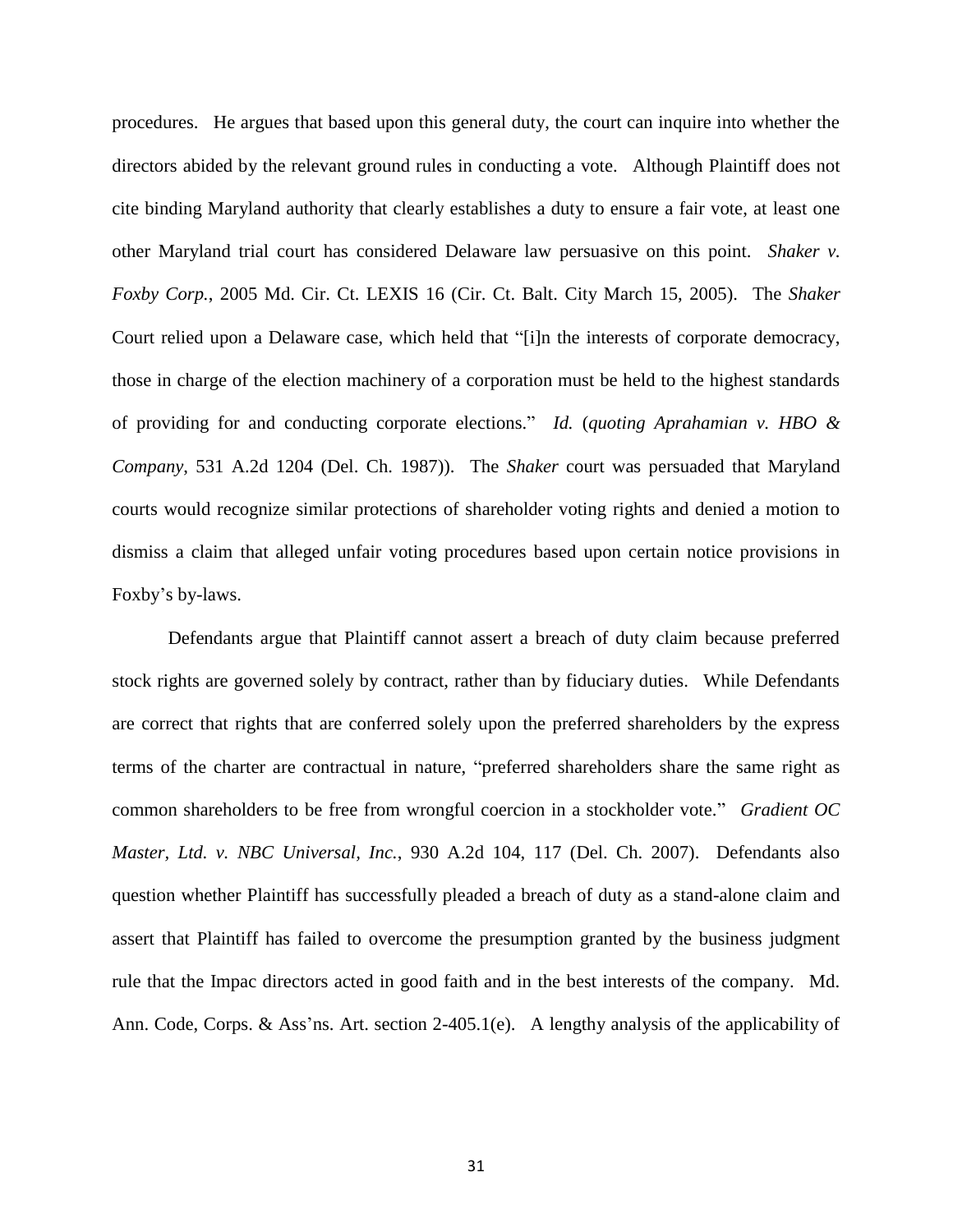procedures. He argues that based upon this general duty, the court can inquire into whether the directors abided by the relevant ground rules in conducting a vote. Although Plaintiff does not cite binding Maryland authority that clearly establishes a duty to ensure a fair vote, at least one other Maryland trial court has considered Delaware law persuasive on this point. *Shaker v. Foxby Corp.*, 2005 Md. Cir. Ct. LEXIS 16 (Cir. Ct. Balt. City March 15, 2005). The *Shaker*  Court relied upon a Delaware case, which held that "[i]n the interests of corporate democracy, those in charge of the election machinery of a corporation must be held to the highest standards of providing for and conducting corporate elections." *Id.* (*quoting Aprahamian v. HBO & Company*, 531 A.2d 1204 (Del. Ch. 1987)). The *Shaker* court was persuaded that Maryland courts would recognize similar protections of shareholder voting rights and denied a motion to dismiss a claim that alleged unfair voting procedures based upon certain notice provisions in Foxby"s by-laws.

Defendants argue that Plaintiff cannot assert a breach of duty claim because preferred stock rights are governed solely by contract, rather than by fiduciary duties. While Defendants are correct that rights that are conferred solely upon the preferred shareholders by the express terms of the charter are contractual in nature, "preferred shareholders share the same right as common shareholders to be free from wrongful coercion in a stockholder vote." *Gradient OC Master, Ltd. v. NBC Universal, Inc.*, 930 A.2d 104, 117 (Del. Ch. 2007). Defendants also question whether Plaintiff has successfully pleaded a breach of duty as a stand-alone claim and assert that Plaintiff has failed to overcome the presumption granted by the business judgment rule that the Impac directors acted in good faith and in the best interests of the company. Md. Ann. Code, Corps. & Ass'ns. Art. section 2-405.1(e). A lengthy analysis of the applicability of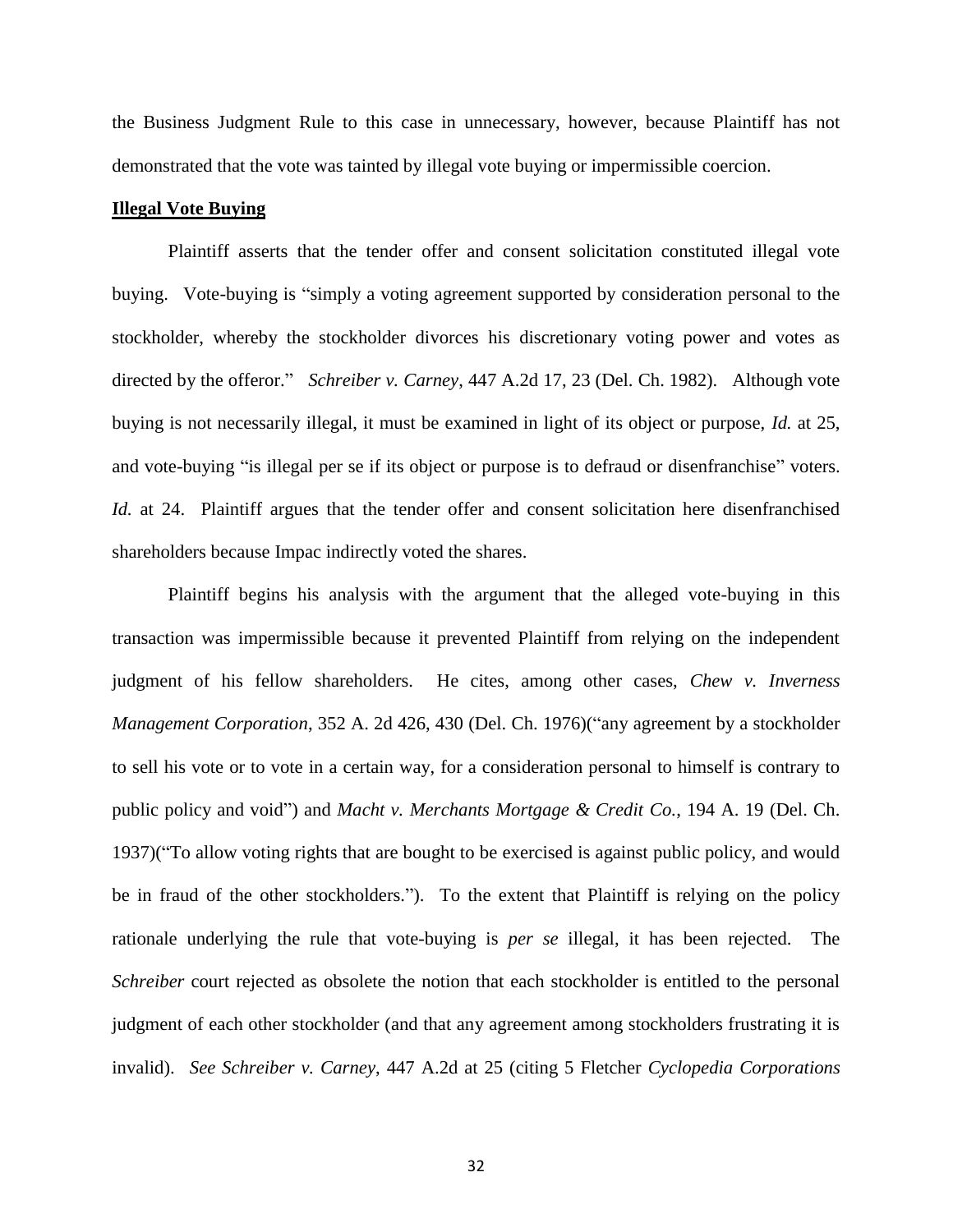the Business Judgment Rule to this case in unnecessary, however, because Plaintiff has not demonstrated that the vote was tainted by illegal vote buying or impermissible coercion.

# **Illegal Vote Buying**

Plaintiff asserts that the tender offer and consent solicitation constituted illegal vote buying. Vote-buying is "simply a voting agreement supported by consideration personal to the stockholder, whereby the stockholder divorces his discretionary voting power and votes as directed by the offeror." *Schreiber v. Carney*, 447 A.2d 17, 23 (Del. Ch. 1982). Although vote buying is not necessarily illegal, it must be examined in light of its object or purpose, *Id.* at 25, and vote-buying "is illegal per se if its object or purpose is to defraud or disenfranchise" voters. *Id.* at 24. Plaintiff argues that the tender offer and consent solicitation here disenfranchised shareholders because Impac indirectly voted the shares.

Plaintiff begins his analysis with the argument that the alleged vote-buying in this transaction was impermissible because it prevented Plaintiff from relying on the independent judgment of his fellow shareholders. He cites, among other cases, *Chew v. Inverness Management Corporation*, 352 A. 2d 426, 430 (Del. Ch. 1976)("any agreement by a stockholder to sell his vote or to vote in a certain way, for a consideration personal to himself is contrary to public policy and void") and *Macht v. Merchants Mortgage & Credit Co.*, 194 A. 19 (Del. Ch. 1937)("To allow voting rights that are bought to be exercised is against public policy, and would be in fraud of the other stockholders."). To the extent that Plaintiff is relying on the policy rationale underlying the rule that vote-buying is *per se* illegal, it has been rejected. The *Schreiber* court rejected as obsolete the notion that each stockholder is entitled to the personal judgment of each other stockholder (and that any agreement among stockholders frustrating it is invalid). *See Schreiber v. Carney*, 447 A.2d at 25 (citing 5 Fletcher *Cyclopedia Corporations*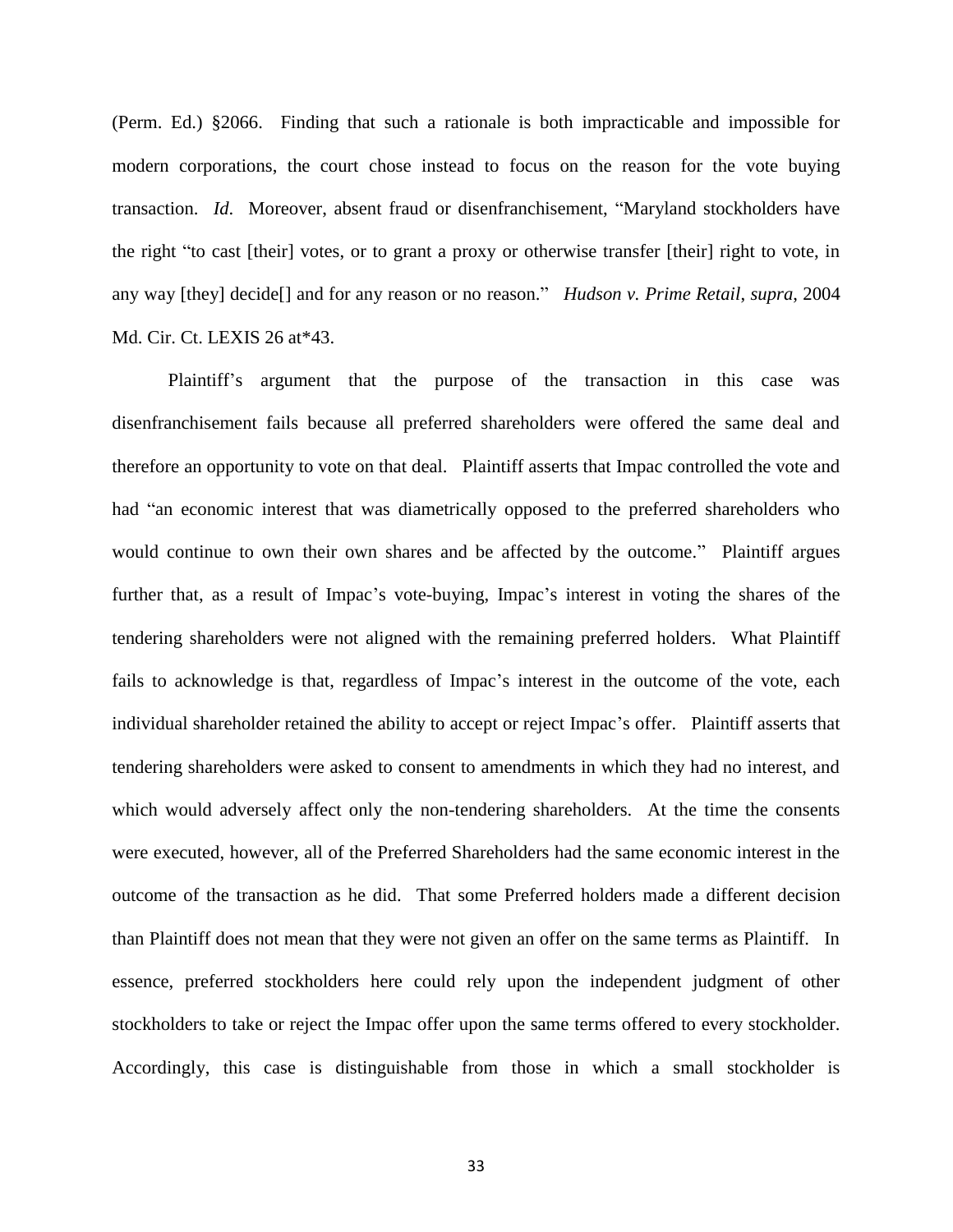(Perm. Ed.) §2066. Finding that such a rationale is both impracticable and impossible for modern corporations, the court chose instead to focus on the reason for the vote buying transaction. *Id*. Moreover, absent fraud or disenfranchisement, "Maryland stockholders have the right "to cast [their] votes, or to grant a proxy or otherwise transfer [their] right to vote, in any way [they] decide[] and for any reason or no reason." *Hudson v. Prime Retail*, *supra*, 2004 Md. Cir. Ct. LEXIS 26 at\*43.

Plaintiff"s argument that the purpose of the transaction in this case was disenfranchisement fails because all preferred shareholders were offered the same deal and therefore an opportunity to vote on that deal. Plaintiff asserts that Impac controlled the vote and had "an economic interest that was diametrically opposed to the preferred shareholders who would continue to own their own shares and be affected by the outcome." Plaintiff argues further that, as a result of Impac"s vote-buying, Impac"s interest in voting the shares of the tendering shareholders were not aligned with the remaining preferred holders. What Plaintiff fails to acknowledge is that, regardless of Impac's interest in the outcome of the vote, each individual shareholder retained the ability to accept or reject Impac"s offer. Plaintiff asserts that tendering shareholders were asked to consent to amendments in which they had no interest, and which would adversely affect only the non-tendering shareholders. At the time the consents were executed, however, all of the Preferred Shareholders had the same economic interest in the outcome of the transaction as he did. That some Preferred holders made a different decision than Plaintiff does not mean that they were not given an offer on the same terms as Plaintiff. In essence, preferred stockholders here could rely upon the independent judgment of other stockholders to take or reject the Impac offer upon the same terms offered to every stockholder. Accordingly, this case is distinguishable from those in which a small stockholder is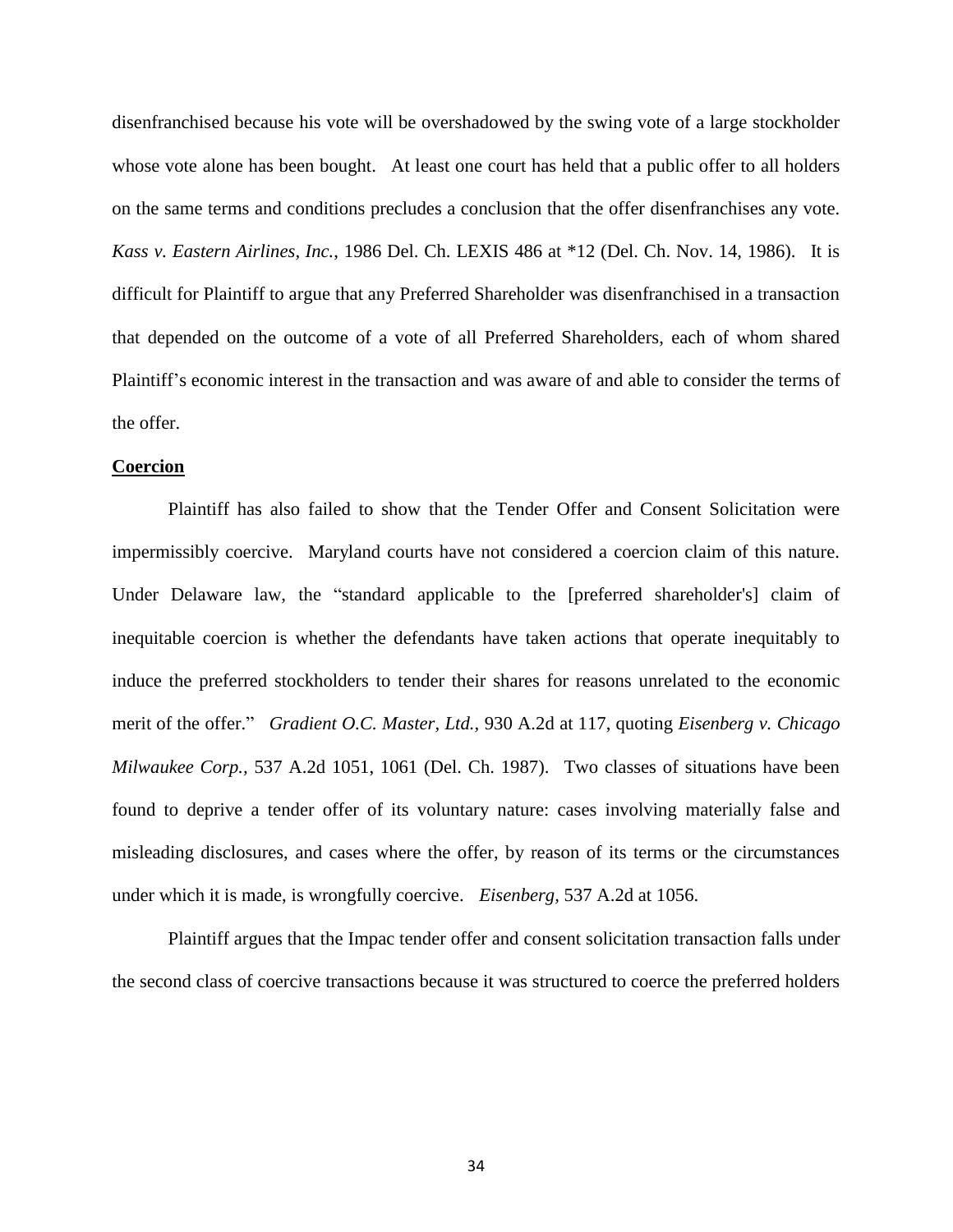disenfranchised because his vote will be overshadowed by the swing vote of a large stockholder whose vote alone has been bought. At least one court has held that a public offer to all holders on the same terms and conditions precludes a conclusion that the offer disenfranchises any vote. *Kass v. Eastern Airlines, Inc.*, 1986 Del. Ch. LEXIS 486 at \*12 (Del. Ch. Nov. 14, 1986). It is difficult for Plaintiff to argue that any Preferred Shareholder was disenfranchised in a transaction that depended on the outcome of a vote of all Preferred Shareholders, each of whom shared Plaintiff"s economic interest in the transaction and was aware of and able to consider the terms of the offer.

# **Coercion**

Plaintiff has also failed to show that the Tender Offer and Consent Solicitation were impermissibly coercive. Maryland courts have not considered a coercion claim of this nature. Under Delaware law, the "standard applicable to the [preferred shareholder's] claim of inequitable coercion is whether the defendants have taken actions that operate inequitably to induce the preferred stockholders to tender their shares for reasons unrelated to the economic merit of the offer." *Gradient O.C. Master, Ltd.,* 930 A.2d at 117, quoting *Eisenberg v. Chicago Milwaukee Corp.,* 537 A.2d 1051, 1061 (Del. Ch. 1987). Two classes of situations have been found to deprive a tender offer of its voluntary nature: cases involving materially false and misleading disclosures, and cases where the offer, by reason of its terms or the circumstances under which it is made, is wrongfully coercive. *Eisenberg,* 537 A.2d at 1056.

Plaintiff argues that the Impac tender offer and consent solicitation transaction falls under the second class of coercive transactions because it was structured to coerce the preferred holders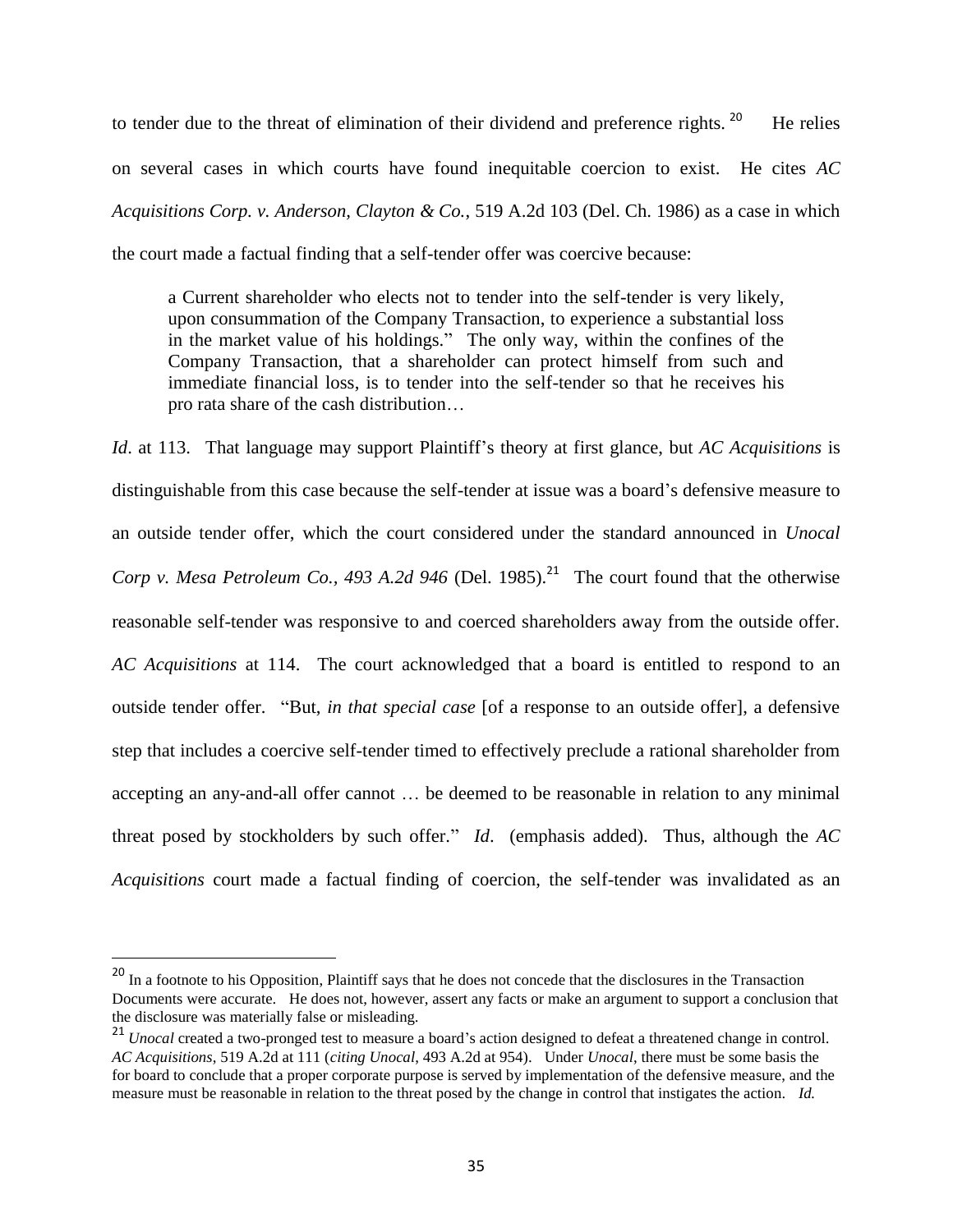to tender due to the threat of elimination of their dividend and preference rights. <sup>20</sup> He relies on several cases in which courts have found inequitable coercion to exist. He cites *AC Acquisitions Corp. v. Anderson, Clayton & Co.*, 519 A.2d 103 (Del. Ch. 1986) as a case in which the court made a factual finding that a self-tender offer was coercive because:

a Current shareholder who elects not to tender into the self-tender is very likely, upon consummation of the Company Transaction, to experience a substantial loss in the market value of his holdings." The only way, within the confines of the Company Transaction, that a shareholder can protect himself from such and immediate financial loss, is to tender into the self-tender so that he receives his pro rata share of the cash distribution…

*Id.* at 113. That language may support Plaintiff's theory at first glance, but *AC Acquisitions* is distinguishable from this case because the self-tender at issue was a board"s defensive measure to an outside tender offer, which the court considered under the standard announced in *Unocal Corp v. Mesa Petroleum Co., 493 A.2d 946* (Del. 1985).<sup>21</sup> The court found that the otherwise reasonable self-tender was responsive to and coerced shareholders away from the outside offer. *AC Acquisitions* at 114. The court acknowledged that a board is entitled to respond to an outside tender offer. "But, *in that special case* [of a response to an outside offer], a defensive step that includes a coercive self-tender timed to effectively preclude a rational shareholder from accepting an any-and-all offer cannot … be deemed to be reasonable in relation to any minimal threat posed by stockholders by such offer." *Id*. (emphasis added). Thus, although the *AC Acquisitions* court made a factual finding of coercion, the self-tender was invalidated as an

<sup>&</sup>lt;sup>20</sup> In a footnote to his Opposition, Plaintiff says that he does not concede that the disclosures in the Transaction Documents were accurate. He does not, however, assert any facts or make an argument to support a conclusion that the disclosure was materially false or misleading.

<sup>&</sup>lt;sup>21</sup> *Unocal* created a two-pronged test to measure a board's action designed to defeat a threatened change in control. *AC Acquisitions*, 519 A.2d at 111 (*citing Unocal*, 493 A.2d at 954). Under *Unocal*, there must be some basis the for board to conclude that a proper corporate purpose is served by implementation of the defensive measure, and the measure must be reasonable in relation to the threat posed by the change in control that instigates the action. *Id.*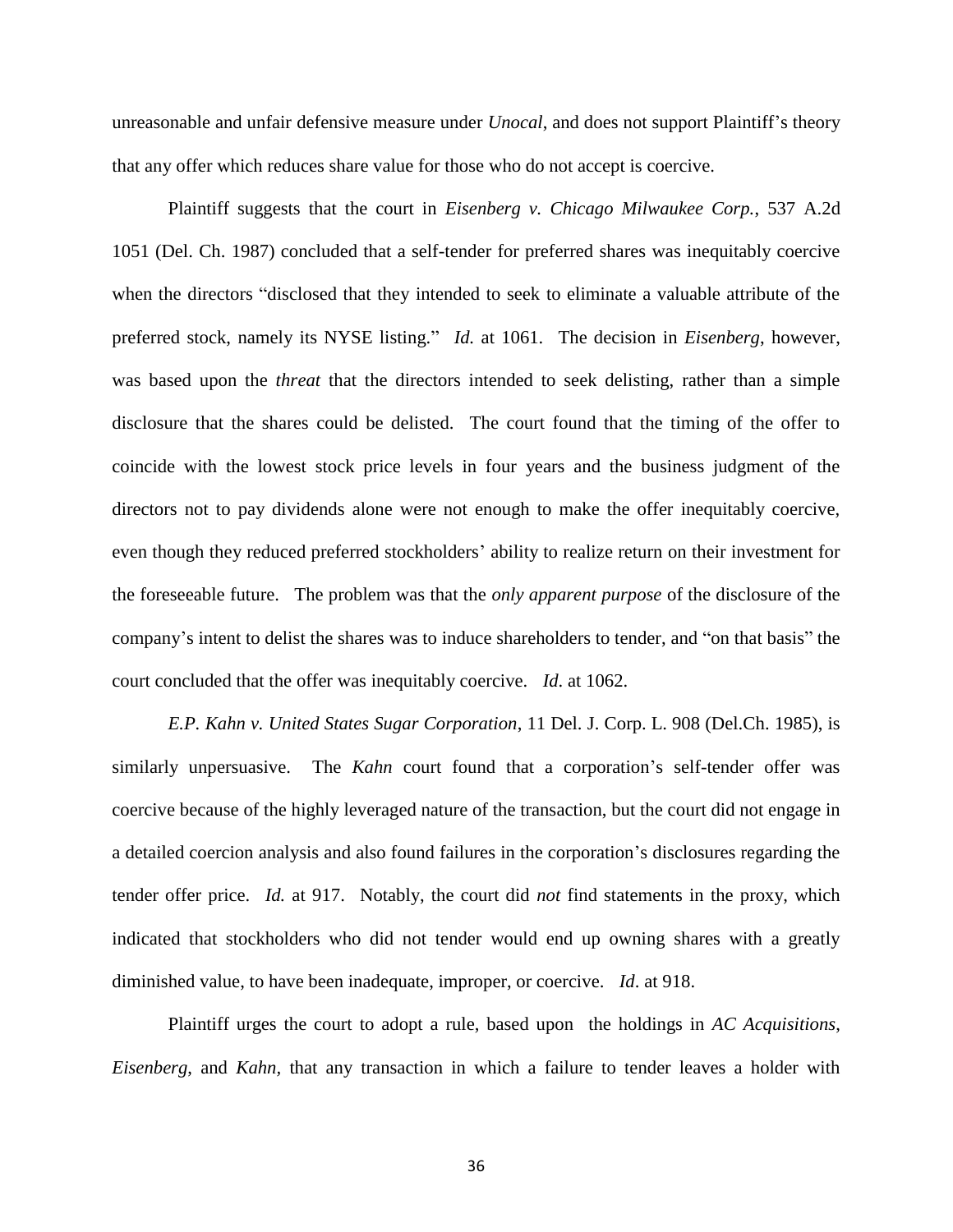unreasonable and unfair defensive measure under *Unocal*, and does not support Plaintiff"s theory that any offer which reduces share value for those who do not accept is coercive.

Plaintiff suggests that the court in *Eisenberg v. Chicago Milwaukee Corp.*, 537 A.2d 1051 (Del. Ch. 1987) concluded that a self-tender for preferred shares was inequitably coercive when the directors "disclosed that they intended to seek to eliminate a valuable attribute of the preferred stock, namely its NYSE listing." *Id.* at 1061. The decision in *Eisenberg*, however, was based upon the *threat* that the directors intended to seek delisting, rather than a simple disclosure that the shares could be delisted. The court found that the timing of the offer to coincide with the lowest stock price levels in four years and the business judgment of the directors not to pay dividends alone were not enough to make the offer inequitably coercive, even though they reduced preferred stockholders' ability to realize return on their investment for the foreseeable future. The problem was that the *only apparent purpose* of the disclosure of the company"s intent to delist the shares was to induce shareholders to tender, and "on that basis" the court concluded that the offer was inequitably coercive. *Id*. at 1062.

*E.P. Kahn v. United States Sugar Corporation*, 11 Del. J. Corp. L. 908 (Del.Ch. 1985), is similarly unpersuasive. The *Kahn* court found that a corporation's self-tender offer was coercive because of the highly leveraged nature of the transaction, but the court did not engage in a detailed coercion analysis and also found failures in the corporation"s disclosures regarding the tender offer price. *Id.* at 917. Notably, the court did *not* find statements in the proxy, which indicated that stockholders who did not tender would end up owning shares with a greatly diminished value, to have been inadequate, improper, or coercive. *Id*. at 918.

Plaintiff urges the court to adopt a rule, based upon the holdings in *AC Acquisitions*, *Eisenberg*, and *Kahn,* that any transaction in which a failure to tender leaves a holder with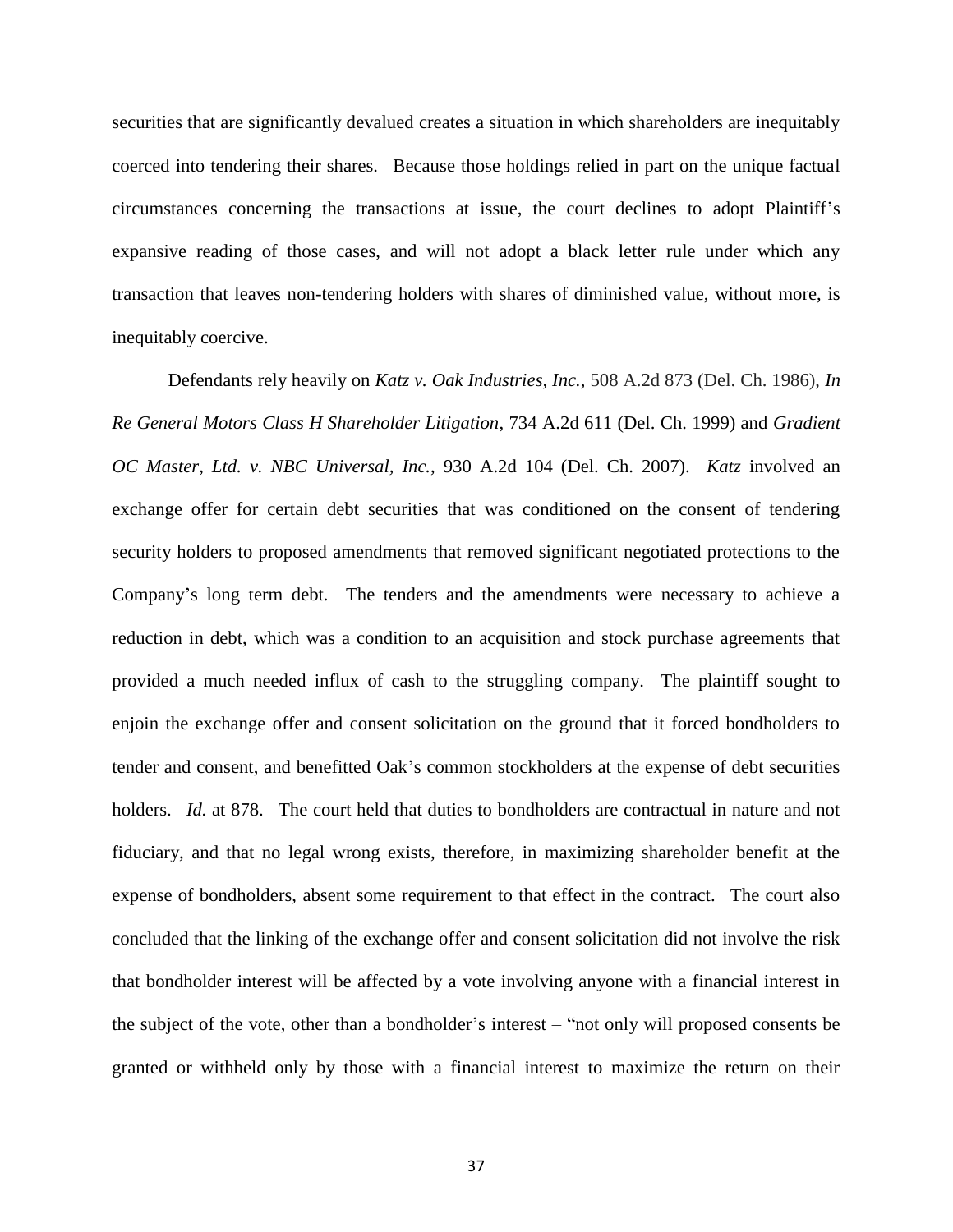securities that are significantly devalued creates a situation in which shareholders are inequitably coerced into tendering their shares. Because those holdings relied in part on the unique factual circumstances concerning the transactions at issue, the court declines to adopt Plaintiff"s expansive reading of those cases, and will not adopt a black letter rule under which any transaction that leaves non-tendering holders with shares of diminished value, without more, is inequitably coercive.

Defendants rely heavily on *Katz v. Oak Industries, Inc.*, 508 A.2d 873 (Del. Ch. 1986), *In Re General Motors Class H Shareholder Litigation*, 734 A.2d 611 (Del. Ch. 1999) and *Gradient OC Master, Ltd. v. NBC Universal, Inc.*, 930 A.2d 104 (Del. Ch. 2007). *Katz* involved an exchange offer for certain debt securities that was conditioned on the consent of tendering security holders to proposed amendments that removed significant negotiated protections to the Company"s long term debt. The tenders and the amendments were necessary to achieve a reduction in debt, which was a condition to an acquisition and stock purchase agreements that provided a much needed influx of cash to the struggling company. The plaintiff sought to enjoin the exchange offer and consent solicitation on the ground that it forced bondholders to tender and consent, and benefitted Oak"s common stockholders at the expense of debt securities holders. *Id.* at 878. The court held that duties to bondholders are contractual in nature and not fiduciary, and that no legal wrong exists, therefore, in maximizing shareholder benefit at the expense of bondholders, absent some requirement to that effect in the contract. The court also concluded that the linking of the exchange offer and consent solicitation did not involve the risk that bondholder interest will be affected by a vote involving anyone with a financial interest in the subject of the vote, other than a bondholder"s interest – "not only will proposed consents be granted or withheld only by those with a financial interest to maximize the return on their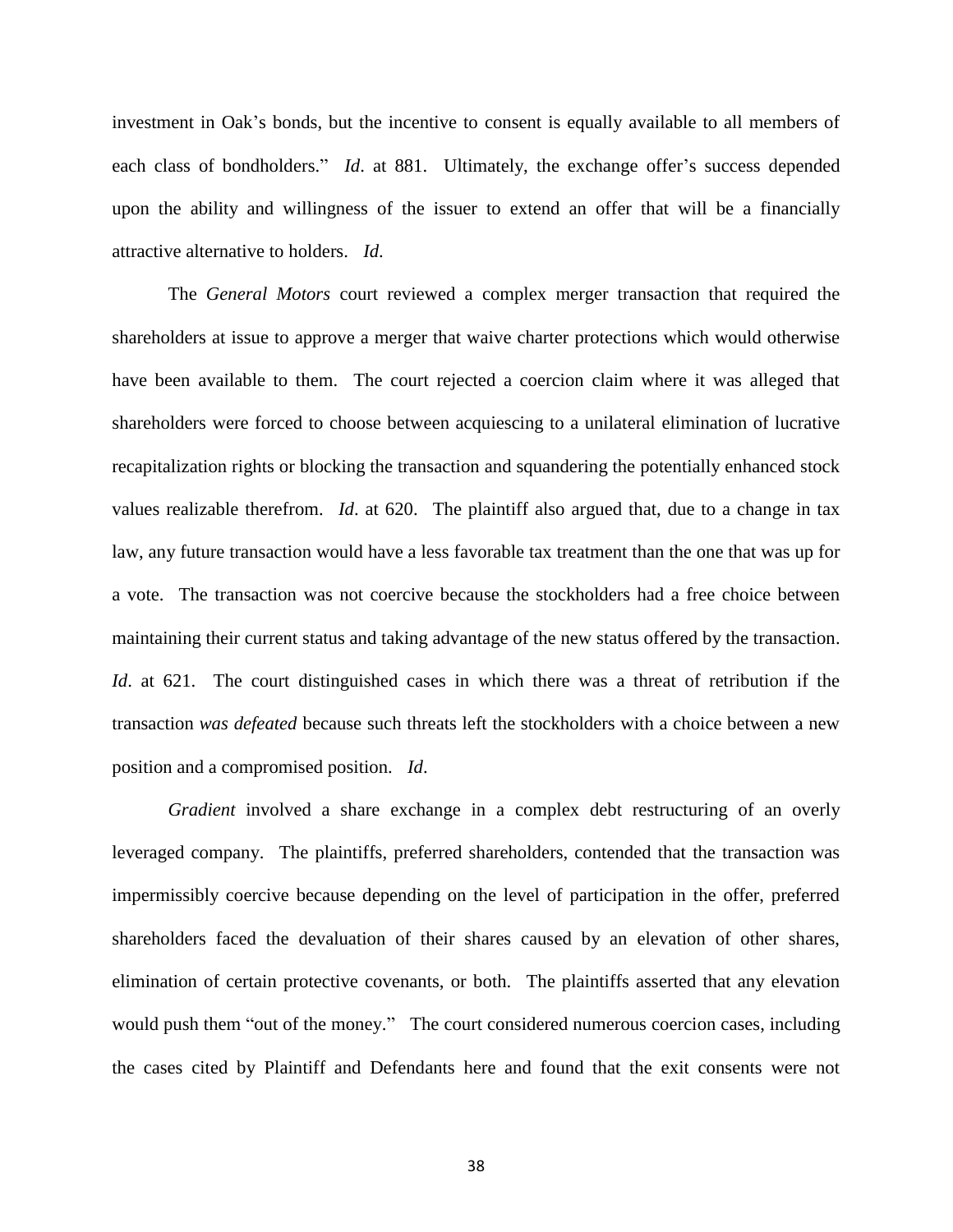investment in Oak"s bonds, but the incentive to consent is equally available to all members of each class of bondholders." *Id.* at 881. Ultimately, the exchange offer's success depended upon the ability and willingness of the issuer to extend an offer that will be a financially attractive alternative to holders. *Id*.

The *General Motors* court reviewed a complex merger transaction that required the shareholders at issue to approve a merger that waive charter protections which would otherwise have been available to them. The court rejected a coercion claim where it was alleged that shareholders were forced to choose between acquiescing to a unilateral elimination of lucrative recapitalization rights or blocking the transaction and squandering the potentially enhanced stock values realizable therefrom. *Id*. at 620. The plaintiff also argued that, due to a change in tax law, any future transaction would have a less favorable tax treatment than the one that was up for a vote. The transaction was not coercive because the stockholders had a free choice between maintaining their current status and taking advantage of the new status offered by the transaction. *Id.* at 621. The court distinguished cases in which there was a threat of retribution if the transaction *was defeated* because such threats left the stockholders with a choice between a new position and a compromised position. *Id*.

*Gradient* involved a share exchange in a complex debt restructuring of an overly leveraged company. The plaintiffs, preferred shareholders, contended that the transaction was impermissibly coercive because depending on the level of participation in the offer, preferred shareholders faced the devaluation of their shares caused by an elevation of other shares, elimination of certain protective covenants, or both. The plaintiffs asserted that any elevation would push them "out of the money." The court considered numerous coercion cases, including the cases cited by Plaintiff and Defendants here and found that the exit consents were not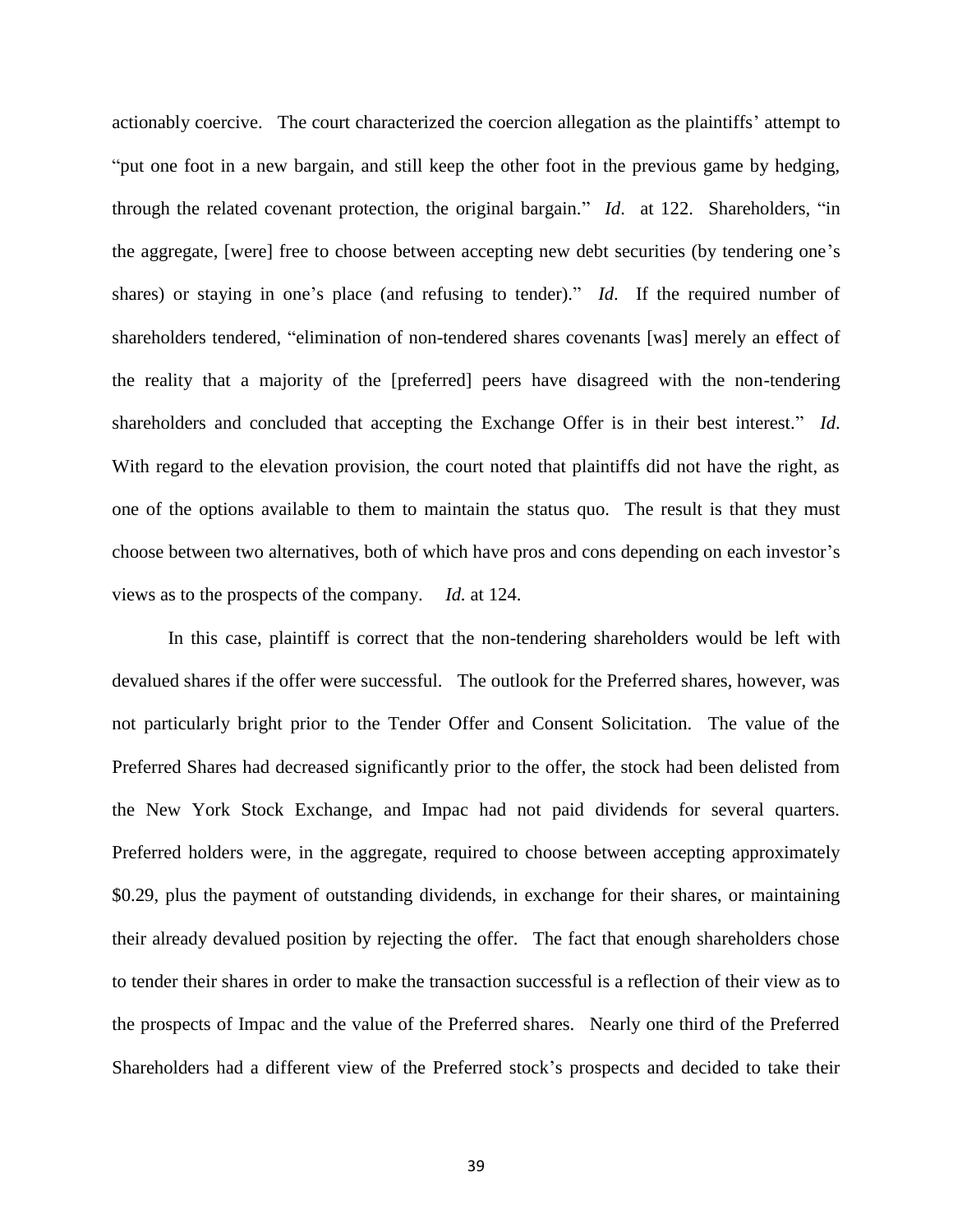actionably coercive. The court characterized the coercion allegation as the plaintiffs" attempt to "put one foot in a new bargain, and still keep the other foot in the previous game by hedging, through the related covenant protection, the original bargain." *Id*. at 122. Shareholders, "in the aggregate, [were] free to choose between accepting new debt securities (by tendering one"s shares) or staying in one's place (and refusing to tender)." *Id*. If the required number of shareholders tendered, "elimination of non-tendered shares covenants [was] merely an effect of the reality that a majority of the [preferred] peers have disagreed with the non-tendering shareholders and concluded that accepting the Exchange Offer is in their best interest." *Id*. With regard to the elevation provision, the court noted that plaintiffs did not have the right, as one of the options available to them to maintain the status quo. The result is that they must choose between two alternatives, both of which have pros and cons depending on each investor's views as to the prospects of the company. *Id.* at 124.

In this case, plaintiff is correct that the non-tendering shareholders would be left with devalued shares if the offer were successful. The outlook for the Preferred shares, however, was not particularly bright prior to the Tender Offer and Consent Solicitation. The value of the Preferred Shares had decreased significantly prior to the offer, the stock had been delisted from the New York Stock Exchange, and Impac had not paid dividends for several quarters. Preferred holders were, in the aggregate, required to choose between accepting approximately \$0.29, plus the payment of outstanding dividends, in exchange for their shares, or maintaining their already devalued position by rejecting the offer. The fact that enough shareholders chose to tender their shares in order to make the transaction successful is a reflection of their view as to the prospects of Impac and the value of the Preferred shares. Nearly one third of the Preferred Shareholders had a different view of the Preferred stock"s prospects and decided to take their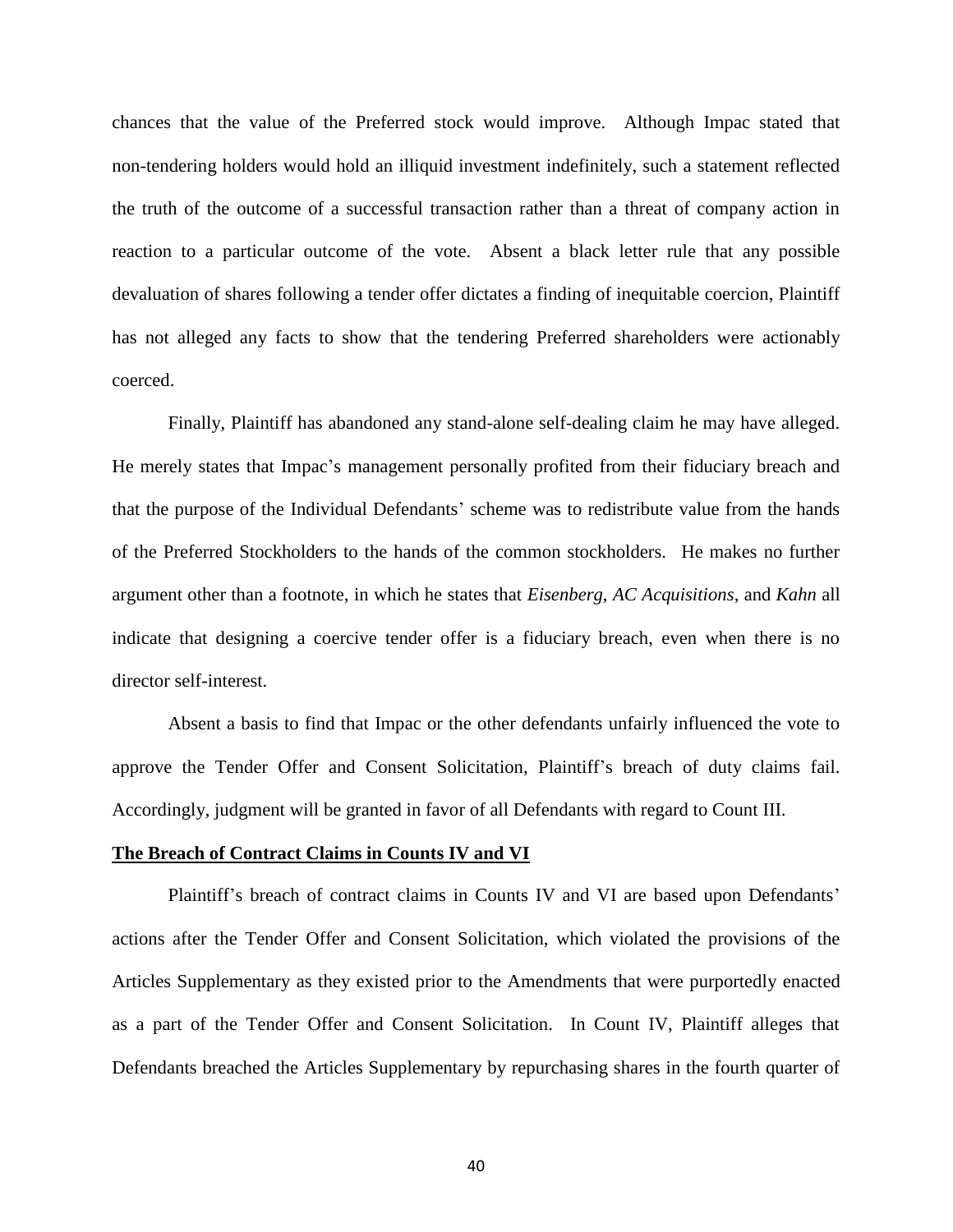chances that the value of the Preferred stock would improve. Although Impac stated that non-tendering holders would hold an illiquid investment indefinitely, such a statement reflected the truth of the outcome of a successful transaction rather than a threat of company action in reaction to a particular outcome of the vote. Absent a black letter rule that any possible devaluation of shares following a tender offer dictates a finding of inequitable coercion, Plaintiff has not alleged any facts to show that the tendering Preferred shareholders were actionably coerced.

Finally, Plaintiff has abandoned any stand-alone self-dealing claim he may have alleged. He merely states that Impac's management personally profited from their fiduciary breach and that the purpose of the Individual Defendants' scheme was to redistribute value from the hands of the Preferred Stockholders to the hands of the common stockholders. He makes no further argument other than a footnote, in which he states that *Eisenberg*, *AC Acquisitions*, and *Kahn* all indicate that designing a coercive tender offer is a fiduciary breach, even when there is no director self-interest.

Absent a basis to find that Impac or the other defendants unfairly influenced the vote to approve the Tender Offer and Consent Solicitation, Plaintiff"s breach of duty claims fail. Accordingly, judgment will be granted in favor of all Defendants with regard to Count III.

#### **The Breach of Contract Claims in Counts IV and VI**

Plaintiff's breach of contract claims in Counts IV and VI are based upon Defendants' actions after the Tender Offer and Consent Solicitation, which violated the provisions of the Articles Supplementary as they existed prior to the Amendments that were purportedly enacted as a part of the Tender Offer and Consent Solicitation. In Count IV, Plaintiff alleges that Defendants breached the Articles Supplementary by repurchasing shares in the fourth quarter of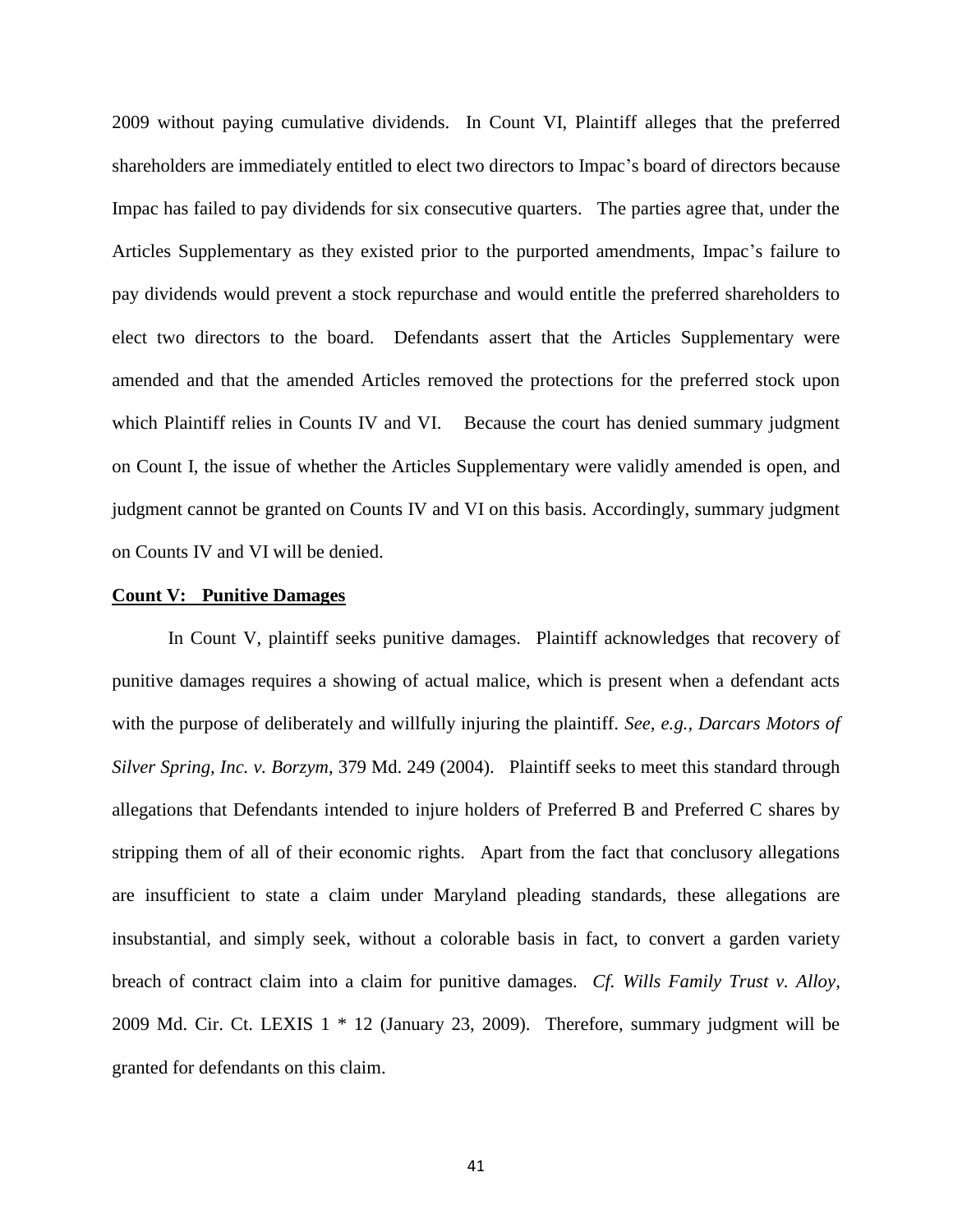2009 without paying cumulative dividends. In Count VI, Plaintiff alleges that the preferred shareholders are immediately entitled to elect two directors to Impac"s board of directors because Impac has failed to pay dividends for six consecutive quarters. The parties agree that, under the Articles Supplementary as they existed prior to the purported amendments, Impac"s failure to pay dividends would prevent a stock repurchase and would entitle the preferred shareholders to elect two directors to the board. Defendants assert that the Articles Supplementary were amended and that the amended Articles removed the protections for the preferred stock upon which Plaintiff relies in Counts IV and VI. Because the court has denied summary judgment on Count I, the issue of whether the Articles Supplementary were validly amended is open, and judgment cannot be granted on Counts IV and VI on this basis. Accordingly, summary judgment on Counts IV and VI will be denied.

## **Count V: Punitive Damages**

In Count V, plaintiff seeks punitive damages. Plaintiff acknowledges that recovery of punitive damages requires a showing of actual malice, which is present when a defendant acts with the purpose of deliberately and willfully injuring the plaintiff. *See, e.g., Darcars Motors of Silver Spring, Inc. v. Borzym*, 379 Md. 249 (2004). Plaintiff seeks to meet this standard through allegations that Defendants intended to injure holders of Preferred B and Preferred C shares by stripping them of all of their economic rights. Apart from the fact that conclusory allegations are insufficient to state a claim under Maryland pleading standards, these allegations are insubstantial, and simply seek, without a colorable basis in fact, to convert a garden variety breach of contract claim into a claim for punitive damages. *Cf. Wills Family Trust v. Alloy*, 2009 Md. Cir. Ct. LEXIS 1 \* 12 (January 23, 2009). Therefore, summary judgment will be granted for defendants on this claim.